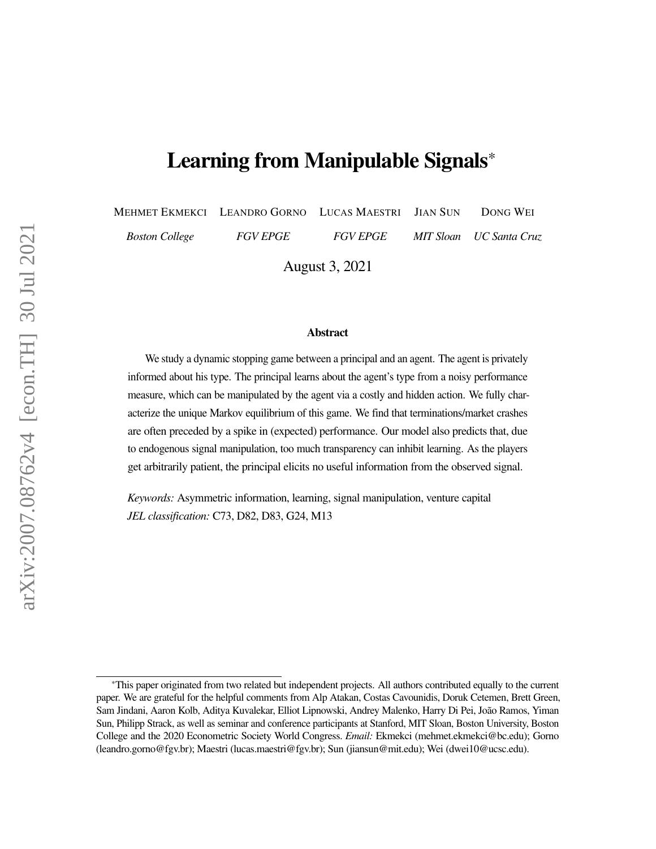# Learning from Manipulable Signals\*

MEHMET EKMEKCI LEANDRO GORNO LUCAS MAESTRI JIAN SUN DONG WEI *Boston College FGV EPGE FGV EPGE MIT Sloan UC Santa Cruz*

August 3, 2021

#### Abstract

We study a dynamic stopping game between a principal and an agent. The agent is privately informed about his type. The principal learns about the agent's type from a noisy performance measure, which can be manipulated by the agent via a costly and hidden action. We fully characterize the unique Markov equilibrium of this game. We find that terminations/market crashes are often preceded by a spike in (expected) performance. Our model also predicts that, due to endogenous signal manipulation, too much transparency can inhibit learning. As the players get arbitrarily patient, the principal elicits no useful information from the observed signal.

*Keywords:* Asymmetric information, learning, signal manipulation, venture capital *JEL classification:* C73, D82, D83, G24, M13

<sup>\*</sup>This paper originated from two related but independent projects. All authors contributed equally to the current paper. We are grateful for the helpful comments from Alp Atakan, Costas Cavounidis, Doruk Cetemen, Brett Green, Sam Jindani, Aaron Kolb, Aditya Kuvalekar, Elliot Lipnowski, Andrey Malenko, Harry Di Pei, João Ramos, Yiman Sun, Philipp Strack, as well as seminar and conference participants at Stanford, MIT Sloan, Boston University, Boston College and the 2020 Econometric Society World Congress. *Email:* Ekmekci (mehmet.ekmekci@bc.edu); Gorno (leandro.gorno@fgv.br); Maestri (lucas.maestri@fgv.br); Sun (jiansun@mit.edu); Wei (dwei10@ucsc.edu).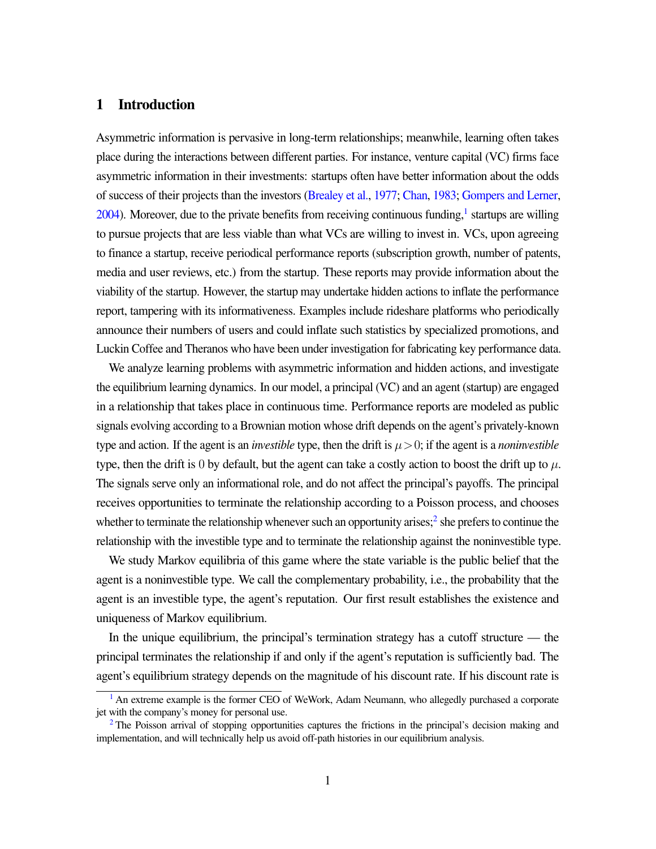### 1 Introduction

<span id="page-1-2"></span>Asymmetric information is pervasive in long-term relationships; meanwhile, learning often takes place during the interactions between different parties. For instance, venture capital (VC) firms face asymmetric information in their investments: startups often have better information about the odds of success of their projects than the investors [\(Brealey et al.,](#page-27-0) [1977;](#page-27-0) [Chan,](#page-27-1) [1983;](#page-27-1) [Gompers and Lerner,](#page-28-0)  $2004$ ). Moreover, due to the private benefits from receiving continuous funding,<sup>[1](#page-1-0)</sup> startups are willing to pursue projects that are less viable than what VCs are willing to invest in. VCs, upon agreeing to finance a startup, receive periodical performance reports (subscription growth, number of patents, media and user reviews, etc.) from the startup. These reports may provide information about the viability of the startup. However, the startup may undertake hidden actions to inflate the performance report, tampering with its informativeness. Examples include rideshare platforms who periodically announce their numbers of users and could inflate such statistics by specialized promotions, and Luckin Coffee and Theranos who have been under investigation for fabricating key performance data.

We analyze learning problems with asymmetric information and hidden actions, and investigate the equilibrium learning dynamics. In our model, a principal (VC) and an agent (startup) are engaged in a relationship that takes place in continuous time. Performance reports are modeled as public signals evolving according to a Brownian motion whose drift depends on the agent's privately-known type and action. If the agent is an *investible* type, then the drift is  $\mu > 0$ ; if the agent is a *noninvestible* type, then the drift is 0 by default, but the agent can take a costly action to boost the drift up to  $\mu$ . The signals serve only an informational role, and do not affect the principal's payoffs. The principal receives opportunities to terminate the relationship according to a Poisson process, and chooses whether to terminate the relationship whenever such an opportunity arises;<sup>[2](#page-1-1)</sup> she prefers to continue the relationship with the investible type and to terminate the relationship against the noninvestible type.

<span id="page-1-3"></span>We study Markov equilibria of this game where the state variable is the public belief that the agent is a noninvestible type. We call the complementary probability, i.e., the probability that the agent is an investible type, the agent's reputation. Our first result establishes the existence and uniqueness of Markov equilibrium.

In the unique equilibrium, the principal's termination strategy has a cutoff structure — the principal terminates the relationship if and only if the agent's reputation is sufficiently bad. The agent's equilibrium strategy depends on the magnitude of his discount rate. If his discount rate is

<span id="page-1-0"></span><sup>&</sup>lt;sup>[1](#page-1-2)</sup> An extreme example is the former CEO of WeWork, Adam Neumann, who allegedly purchased a corporate jet with the company's money for personal use.

<span id="page-1-1"></span> $2$  The Poisson arrival of stopping opportunities captures the frictions in the principal's decision making and implementation, and will technically help us avoid off-path histories in our equilibrium analysis.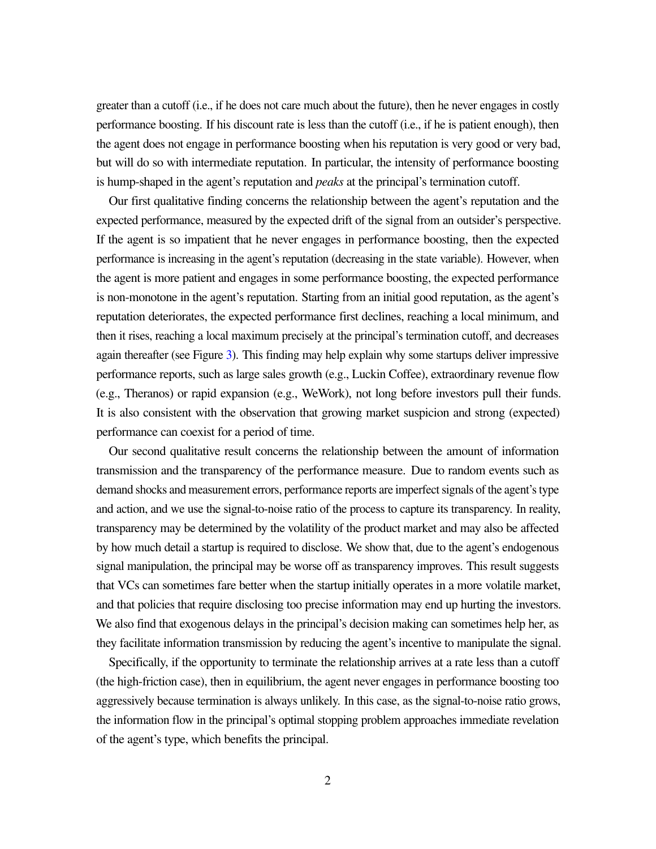greater than a cutoff (i.e., if he does not care much about the future), then he never engages in costly performance boosting. If his discount rate is less than the cutoff (i.e., if he is patient enough), then the agent does not engage in performance boosting when his reputation is very good or very bad, but will do so with intermediate reputation. In particular, the intensity of performance boosting is hump-shaped in the agent's reputation and *peaks* at the principal's termination cutoff.

Our first qualitative finding concerns the relationship between the agent's reputation and the expected performance, measured by the expected drift of the signal from an outsider's perspective. If the agent is so impatient that he never engages in performance boosting, then the expected performance is increasing in the agent's reputation (decreasing in the state variable). However, when the agent is more patient and engages in some performance boosting, the expected performance is non-monotone in the agent's reputation. Starting from an initial good reputation, as the agent's reputation deteriorates, the expected performance first declines, reaching a local minimum, and then it rises, reaching a local maximum precisely at the principal's termination cutoff, and decreases again thereafter (see Figure [3\)](#page-19-0). This finding may help explain why some startups deliver impressive performance reports, such as large sales growth (e.g., Luckin Coffee), extraordinary revenue flow (e.g., Theranos) or rapid expansion (e.g., WeWork), not long before investors pull their funds. It is also consistent with the observation that growing market suspicion and strong (expected) performance can coexist for a period of time.

Our second qualitative result concerns the relationship between the amount of information transmission and the transparency of the performance measure. Due to random events such as demand shocks and measurement errors, performance reports are imperfect signals of the agent's type and action, and we use the signal-to-noise ratio of the process to capture its transparency. In reality, transparency may be determined by the volatility of the product market and may also be affected by how much detail a startup is required to disclose. We show that, due to the agent's endogenous signal manipulation, the principal may be worse off as transparency improves. This result suggests that VCs can sometimes fare better when the startup initially operates in a more volatile market, and that policies that require disclosing too precise information may end up hurting the investors. We also find that exogenous delays in the principal's decision making can sometimes help her, as they facilitate information transmission by reducing the agent's incentive to manipulate the signal.

Specifically, if the opportunity to terminate the relationship arrives at a rate less than a cutoff (the high-friction case), then in equilibrium, the agent never engages in performance boosting too aggressively because termination is always unlikely. In this case, as the signal-to-noise ratio grows, the information flow in the principal's optimal stopping problem approaches immediate revelation of the agent's type, which benefits the principal.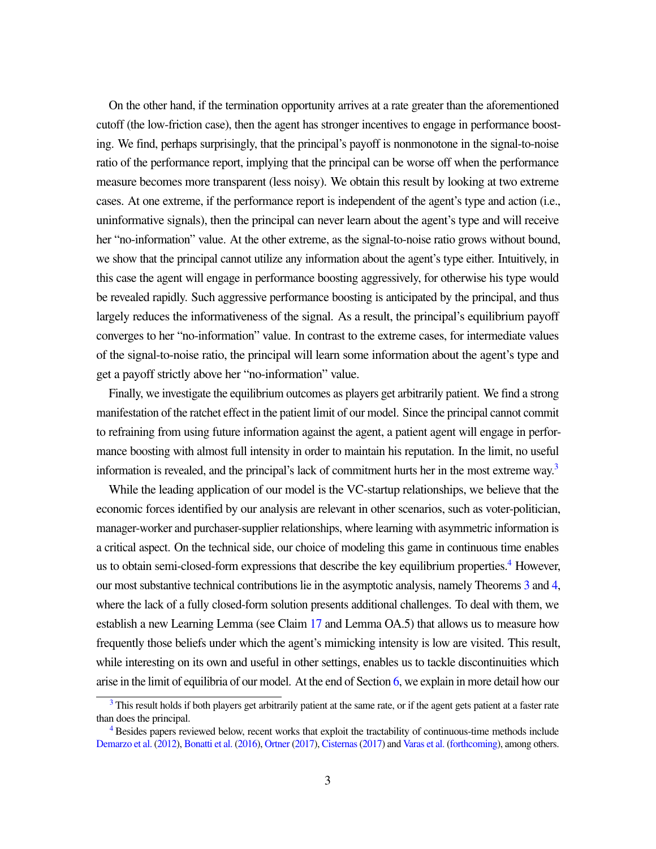On the other hand, if the termination opportunity arrives at a rate greater than the aforementioned cutoff (the low-friction case), then the agent has stronger incentives to engage in performance boosting. We find, perhaps surprisingly, that the principal's payoff is nonmonotone in the signal-to-noise ratio of the performance report, implying that the principal can be worse off when the performance measure becomes more transparent (less noisy). We obtain this result by looking at two extreme cases. At one extreme, if the performance report is independent of the agent's type and action (i.e., uninformative signals), then the principal can never learn about the agent's type and will receive her "no-information" value. At the other extreme, as the signal-to-noise ratio grows without bound, we show that the principal cannot utilize any information about the agent's type either. Intuitively, in this case the agent will engage in performance boosting aggressively, for otherwise his type would be revealed rapidly. Such aggressive performance boosting is anticipated by the principal, and thus largely reduces the informativeness of the signal. As a result, the principal's equilibrium payoff converges to her "no-information" value. In contrast to the extreme cases, for intermediate values of the signal-to-noise ratio, the principal will learn some information about the agent's type and get a payoff strictly above her "no-information" value.

Finally, we investigate the equilibrium outcomes as players get arbitrarily patient. We find a strong manifestation of the ratchet effect in the patient limit of our model. Since the principal cannot commit to refraining from using future information against the agent, a patient agent will engage in performance boosting with almost full intensity in order to maintain his reputation. In the limit, no useful information is revealed, and the principal's lack of commitment hurts her in the most extreme way.<sup>[3](#page-3-0)</sup>

<span id="page-3-3"></span><span id="page-3-2"></span>While the leading application of our model is the VC-startup relationships, we believe that the economic forces identified by our analysis are relevant in other scenarios, such as voter-politician, manager-worker and purchaser-supplier relationships, where learning with asymmetric information is a critical aspect. On the technical side, our choice of modeling this game in continuous time enables us to obtain semi-closed-form expressions that describe the key equilibrium properties.<sup>[4](#page-3-1)</sup> However, our most substantive technical contributions lie in the asymptotic analysis, namely Theorems [3](#page-20-0) and [4,](#page-26-0) where the lack of a fully closed-form solution presents additional challenges. To deal with them, we establish a new Learning Lemma (see Claim [17](#page-45-0) and Lemma OA.5) that allows us to measure how frequently those beliefs under which the agent's mimicking intensity is low are visited. This result, while interesting on its own and useful in other settings, enables us to tackle discontinuities which arise in the limit of equilibria of our model. At the end of Section [6,](#page-19-1) we explain in more detail how our

<span id="page-3-0"></span><sup>&</sup>lt;sup>[3](#page-3-2)</sup> This result holds if both players get arbitrarily patient at the same rate, or if the agent gets patient at a faster rate than does the principal.

<span id="page-3-1"></span>[<sup>4</sup>](#page-3-3) Besides papers reviewed below, recent works that exploit the tractability of continuous-time methods include [Demarzo et al.](#page-28-1) [\(2012\)](#page-28-1), [Bonatti et al.](#page-27-2) [\(2016\)](#page-27-2), [Ortner](#page-29-0) [\(2017\)](#page-29-0), [Cisternas\(2017\)](#page-27-3) and [Varas et al.](#page-29-1) [\(forthcoming\)](#page-29-1), among others.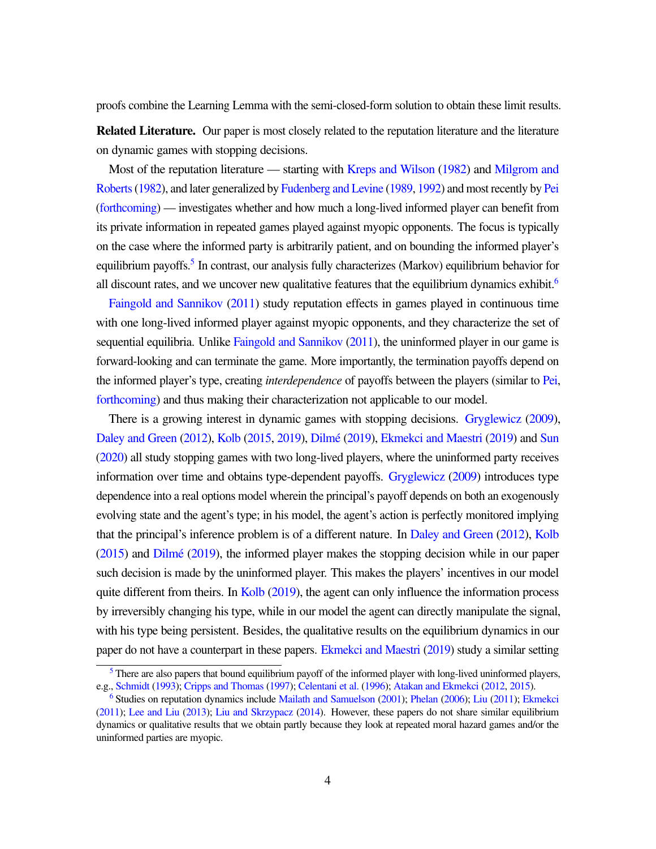proofs combine the Learning Lemma with the semi-closed-form solution to obtain these limit results.

Related Literature. Our paper is most closely related to the reputation literature and the literature on dynamic games with stopping decisions.

Most of the reputation literature — starting with [Kreps and Wilson](#page-28-2) [\(1982\)](#page-28-2) and [Milgrom and](#page-29-2) Roberts (1982), and later generalized by [Fudenberg and Levine](#page-28-3) [\(1989,](#page-28-3) [1992\)](#page-28-4) and most recently by [Pei](#page-29-3) [\(forthcoming\)](#page-29-3) — investigates whether and how much a long-lived informed player can benefit from its private information in repeated games played against myopic opponents. The focus is typically on the case where the informed party is arbitrarily patient, and on bounding the informed player's equilibrium payoffs.<sup>[5](#page-4-0)</sup> In contrast, our analysis fully characterizes (Markov) equilibrium behavior for all discount rates, and we uncover new qualitative features that the equilibrium dynamics exhibit.<sup>[6](#page-4-1)</sup>

<span id="page-4-3"></span><span id="page-4-2"></span>[Faingold and Sannikov](#page-28-5) [\(2011\)](#page-28-5) study reputation effects in games played in continuous time with one long-lived informed player against myopic opponents, and they characterize the set of sequential equilibria. Unlike [Faingold and Sannikov](#page-28-5) [\(2011\)](#page-28-5), the uninformed player in our game is forward-looking and can terminate the game. More importantly, the termination payoffs depend on the informed player's type, creating *interdependence* of payoffs between the players (similar to [Pei,](#page-29-3) [forthcoming\)](#page-29-3) and thus making their characterization not applicable to our model.

There is a growing interest in dynamic games with stopping decisions. [Gryglewicz](#page-28-6) [\(2009\)](#page-28-6), [Daley and Green](#page-28-7) [\(2012\)](#page-28-7), [Kolb](#page-28-8) [\(2015,](#page-28-8) [2019\)](#page-28-9), Dilmé [\(2019\)](#page-28-11), [Ekmekci and Maestri](#page-28-11) (2019) and [Sun](#page-29-4) [\(2020\)](#page-29-4) all study stopping games with two long-lived players, where the uninformed party receives information over time and obtains type-dependent payoffs. [Gryglewicz](#page-28-6) [\(2009\)](#page-28-6) introduces type dependence into a real options model wherein the principal's payoff depends on both an exogenously evolving state and the agent's type; in his model, the agent's action is perfectly monitored implying that the principal's inference problem is of a different nature. In [Daley and Green](#page-28-7) [\(2012\)](#page-28-7), [Kolb](#page-28-8)  $(2015)$  and  $Dilmé (2019)$  $Dilmé (2019)$ , the informed player makes the stopping decision while in our paper such decision is made by the uninformed player. This makes the players' incentives in our model quite different from theirs. In [Kolb](#page-28-9) [\(2019\)](#page-28-9), the agent can only influence the information process by irreversibly changing his type, while in our model the agent can directly manipulate the signal, with his type being persistent. Besides, the qualitative results on the equilibrium dynamics in our paper do not have a counterpart in these papers. [Ekmekci and Maestri](#page-28-11) [\(2019\)](#page-28-11) study a similar setting

<span id="page-4-0"></span> $<sup>5</sup>$  $<sup>5</sup>$  $<sup>5</sup>$  There are also papers that bound equilibrium payoff of the informed player with long-lived uninformed players,</sup> e.g., [Schmidt](#page-29-5) [\(1993\)](#page-29-5); [Cripps and Thomas](#page-28-12) [\(1997\)](#page-28-12); [Celentani et al.](#page-27-4) [\(1996\)](#page-27-4); [Atakan and Ekmekci](#page-27-5) [\(2012,](#page-27-5) [2015\)](#page-27-6).

<span id="page-4-1"></span>[<sup>6</sup>](#page-4-3) Studies on reputation dynamics include [Mailath and Samuelson](#page-29-6) [\(2001\)](#page-29-6); [Phelan](#page-29-7) [\(2006\)](#page-29-7); [Liu](#page-29-8) [\(2011\)](#page-29-8); [Ekmekci](#page-28-13) [\(2011\)](#page-28-13); [Lee and Liu](#page-29-9) [\(2013\)](#page-29-9); [Liu and Skrzypacz](#page-29-10) [\(2014\)](#page-29-10). However, these papers do not share similar equilibrium dynamics or qualitative results that we obtain partly because they look at repeated moral hazard games and/or the uninformed parties are myopic.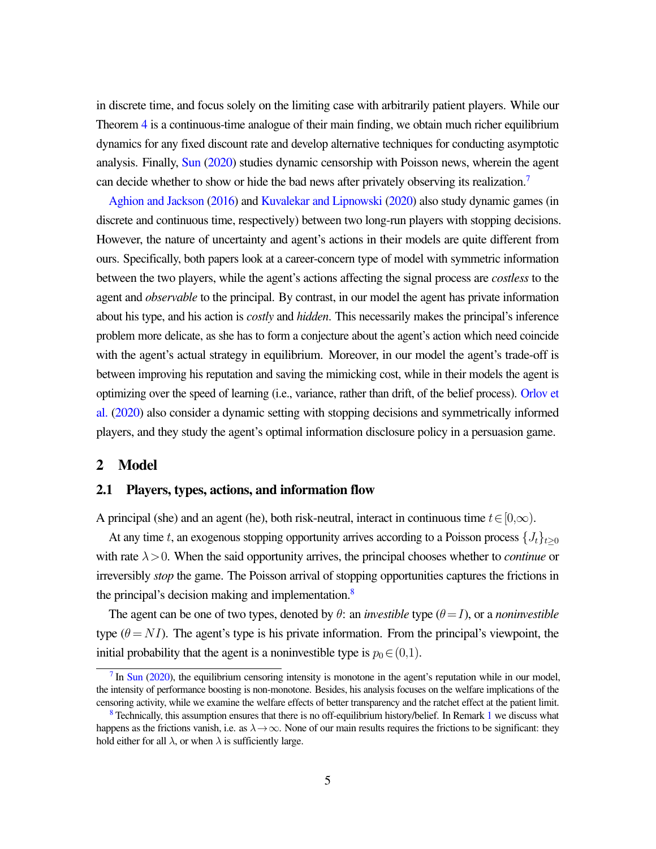in discrete time, and focus solely on the limiting case with arbitrarily patient players. While our Theorem [4](#page-26-0) is a continuous-time analogue of their main finding, we obtain much richer equilibrium dynamics for any fixed discount rate and develop alternative techniques for conducting asymptotic analysis. Finally, [Sun](#page-29-4) [\(2020\)](#page-29-4) studies dynamic censorship with Poisson news, wherein the agent can decide whether to show or hide the bad news after privately observing its realization.<sup>[7](#page-5-0)</sup>

<span id="page-5-2"></span>[Aghion and Jackson](#page-27-7) [\(2016\)](#page-27-7) and [Kuvalekar and Lipnowski](#page-29-11) [\(2020\)](#page-29-11) also study dynamic games (in discrete and continuous time, respectively) between two long-run players with stopping decisions. However, the nature of uncertainty and agent's actions in their models are quite different from ours. Specifically, both papers look at a career-concern type of model with symmetric information between the two players, while the agent's actions affecting the signal process are *costless* to the agent and *observable* to the principal. By contrast, in our model the agent has private information about his type, and his action is *costly* and *hidden*. This necessarily makes the principal's inference problem more delicate, as she has to form a conjecture about the agent's action which need coincide with the agent's actual strategy in equilibrium. Moreover, in our model the agent's trade-off is between improving his reputation and saving the mimicking cost, while in their models the agent is optimizing over the speed of learning (i.e., variance, rather than drift, of the belief process). [Orlov et](#page-29-12) [al.](#page-29-12) [\(2020\)](#page-29-12) also consider a dynamic setting with stopping decisions and symmetrically informed players, and they study the agent's optimal information disclosure policy in a persuasion game.

### 2 Model

#### 2.1 Players, types, actions, and information flow

A principal (she) and an agent (he), both risk-neutral, interact in continuous time  $t \in [0,\infty)$ .

At any time t, an exogenous stopping opportunity arrives according to a Poisson process  $\{J_t\}_{t>0}$ with rate  $\lambda > 0$ . When the said opportunity arrives, the principal chooses whether to *continue* or irreversibly *stop* the game. The Poisson arrival of stopping opportunities captures the frictions in the principal's decision making and implementation.<sup>[8](#page-5-1)</sup>

<span id="page-5-3"></span>The agent can be one of two types, denoted by  $\theta$ : an *investible* type  $(\theta = I)$ , or a *noninvestible* type ( $\theta = NI$ ). The agent's type is his private information. From the principal's viewpoint, the initial probability that the agent is a noninvestible type is  $p_0 \in (0,1)$ .

<span id="page-5-0"></span> $<sup>7</sup>$  $<sup>7</sup>$  $<sup>7</sup>$  In [Sun](#page-29-4) [\(2020\)](#page-29-4), the equilibrium censoring intensity is monotone in the agent's reputation while in our model,</sup> the intensity of performance boosting is non-monotone. Besides, his analysis focuses on the welfare implications of the censoring activity, while we examine the welfare effects of better transparency and the ratchet effect at the patient limit.

<span id="page-5-1"></span>[<sup>8</sup>](#page-5-3) Technically, this assumption ensures that there is no off-equilibrium history/belief. In Remark [1](#page-13-0) we discuss what happens as the frictions vanish, i.e. as  $\lambda \to \infty$ . None of our main results requires the frictions to be significant: they hold either for all  $\lambda$ , or when  $\lambda$  is sufficiently large.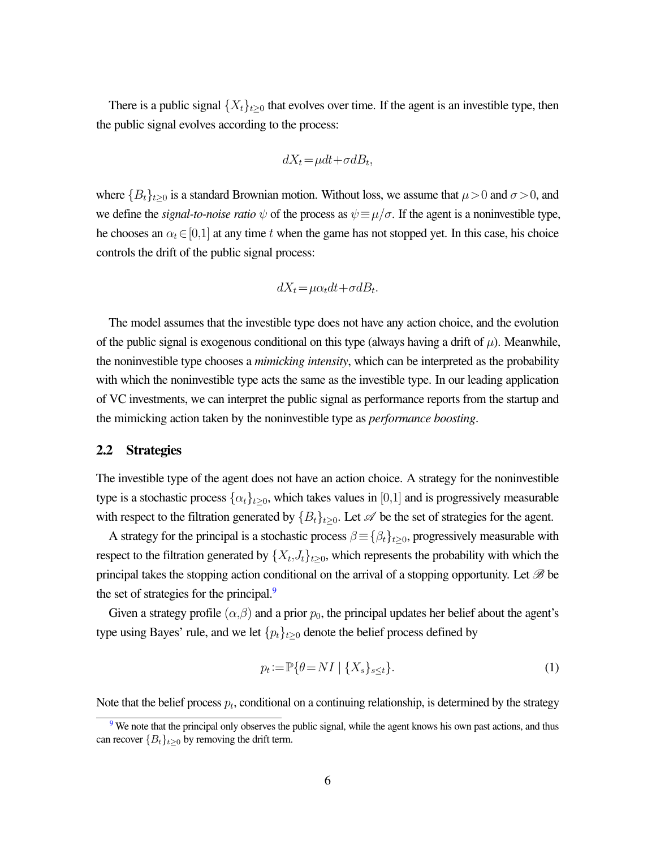There is a public signal  $\{X_t\}_{t>0}$  that evolves over time. If the agent is an investible type, then the public signal evolves according to the process:

$$
dX_t = \mu dt + \sigma dB_t,
$$

where  ${B_t}_{t\geq0}$  is a standard Brownian motion. Without loss, we assume that  $\mu>0$  and  $\sigma>0$ , and we define the *signal-to-noise ratio*  $\psi$  of the process as  $\psi = \mu/\sigma$ . If the agent is a noninvestible type, he chooses an  $\alpha_t \in [0,1]$  at any time t when the game has not stopped yet. In this case, his choice controls the drift of the public signal process:

$$
dX_t = \mu \alpha_t dt + \sigma dB_t.
$$

The model assumes that the investible type does not have any action choice, and the evolution of the public signal is exogenous conditional on this type (always having a drift of  $\mu$ ). Meanwhile, the noninvestible type chooses a *mimicking intensity*, which can be interpreted as the probability with which the noninvestible type acts the same as the investible type. In our leading application of VC investments, we can interpret the public signal as performance reports from the startup and the mimicking action taken by the noninvestible type as *performance boosting*.

#### 2.2 Strategies

The investible type of the agent does not have an action choice. A strategy for the noninvestible type is a stochastic process  $\{\alpha_t\}_{t>0}$ , which takes values in [0,1] and is progressively measurable with respect to the filtration generated by  ${B_t}_{t\geq0}$ . Let  $\mathscr A$  be the set of strategies for the agent.

A strategy for the principal is a stochastic process  $\beta \equiv {\beta_t}_{t\geq 0}$ , progressively measurable with respect to the filtration generated by  $\{X_t, J_t\}_{t \geq 0}$ , which represents the probability with which the principal takes the stopping action conditional on the arrival of a stopping opportunity. Let  $\mathscr B$  be the set of strategies for the principal.<sup>[9](#page-6-0)</sup>

Given a strategy profile  $(\alpha,\beta)$  and a prior  $p_0$ , the principal updates her belief about the agent's type using Bayes' rule, and we let  $\{p_t\}_{t\geq 0}$  denote the belief process defined by

<span id="page-6-2"></span><span id="page-6-1"></span>
$$
p_t := \mathbb{P}\{\theta = NI \mid \{X_s\}_{s \le t}\}.
$$
\n<sup>(1)</sup>

Note that the belief process  $p_t$ , conditional on a continuing relationship, is determined by the strategy

<span id="page-6-0"></span><sup>&</sup>lt;sup>[9](#page-6-1)</sup> We note that the principal only observes the public signal, while the agent knows his own past actions, and thus can recover  ${B_t}_{t\geq0}$  by removing the drift term.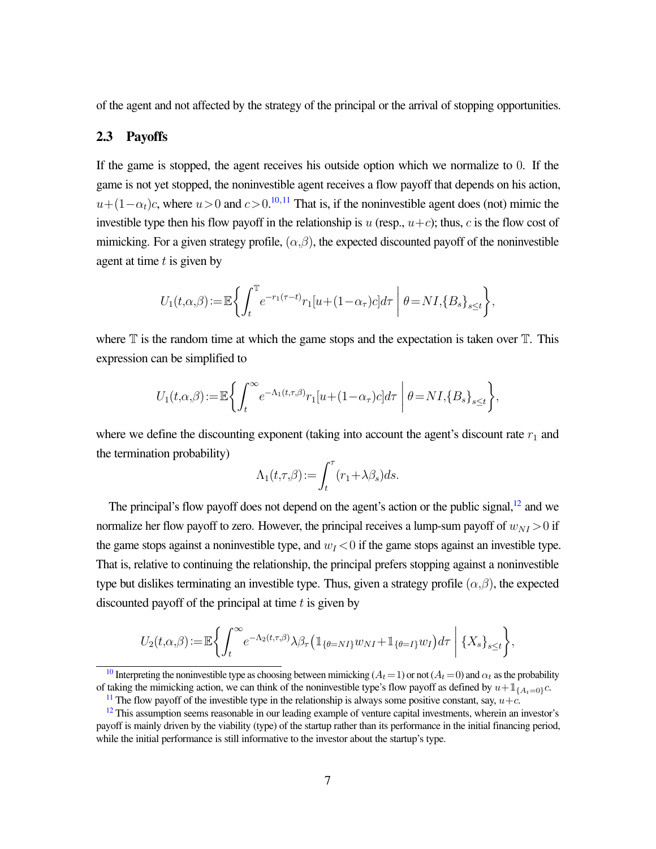of the agent and not affected by the strategy of the principal or the arrival of stopping opportunities.

### 2.3 Payoffs

If the game is stopped, the agent receives his outside option which we normalize to 0. If the game is not yet stopped, the noninvestible agent receives a flow payoff that depends on his action,  $u+(1-\alpha_t)c$ , where  $u>0$  and  $c>0$ .<sup>[10](#page-7-0),[11](#page-7-1)</sup> That is, if the noninvestible agent does (not) mimic the investible type then his flow payoff in the relationship is u (resp.,  $u+c$ ); thus, c is the flow cost of mimicking. For a given strategy profile,  $(\alpha, \beta)$ , the expected discounted payoff of the noninvestible agent at time  $t$  is given by

<span id="page-7-4"></span><span id="page-7-3"></span>
$$
U_1(t,\alpha,\beta) := \mathbb{E}\bigg\{\int_t^{\mathbb{T}} e^{-r_1(\tau-t)} r_1[u+(1-\alpha_{\tau})c]d\tau \bigg|\ \theta = NI, \{B_s\}_{s\leq t}\bigg\},\
$$

where  $\mathbb T$  is the random time at which the game stops and the expectation is taken over  $\mathbb T$ . This expression can be simplified to

$$
U_1(t,\alpha,\beta) := \mathbb{E}\left\{\int_t^\infty e^{-\Lambda_1(t,\tau,\beta)}r_1[u+(1-\alpha_\tau)c]d\tau \mid \theta = NI, \{B_s\}_{s\leq t}\right\},\,
$$

where we define the discounting exponent (taking into account the agent's discount rate  $r_1$  and the termination probability)

<span id="page-7-5"></span>
$$
\Lambda_1(t,\tau,\beta) := \int_t^\tau (r_1 + \lambda \beta_s) ds.
$$

The principal's flow payoff does not depend on the agent's action or the public signal,<sup>[12](#page-7-2)</sup> and we normalize her flow payoff to zero. However, the principal receives a lump-sum payoff of  $w_{NI} > 0$  if the game stops against a noninvestible type, and  $w_I < 0$  if the game stops against an investible type. That is, relative to continuing the relationship, the principal prefers stopping against a noninvestible type but dislikes terminating an investible type. Thus, given a strategy profile  $(\alpha,\beta)$ , the expected discounted payoff of the principal at time  $t$  is given by

$$
U_2(t,\alpha,\beta) := \mathbb{E}\left\{\int_t^\infty e^{-\Lambda_2(t,\tau,\beta)}\lambda\beta_\tau \left(\mathbbm{1}_{\{\theta=NI\}}w_{NI} + \mathbbm{1}_{\{\theta=I\}}w_I\right)d\tau \mid \{X_s\}_{s\leq t}\right\},\,
$$

<span id="page-7-0"></span><sup>[10](#page-7-3)</sup> Interpreting the noninvestible type as choosing between mimicking ( $A_t=1$ ) or not ( $A_t=0$ ) and  $\alpha_t$  as the probability of taking the mimicking action, we can think of the noninvestible type's flow payoff as defined by  $u+1_{\{A_t=0\}}c$ .

<span id="page-7-2"></span><span id="page-7-1"></span><sup>&</sup>lt;sup>[11](#page-7-4)</sup> The flow payoff of the investible type in the relationship is always some positive constant, say,  $u+c$ .

 $12$  This assumption seems reasonable in our leading example of venture capital investments, wherein an investor's payoff is mainly driven by the viability (type) of the startup rather than its performance in the initial financing period, while the initial performance is still informative to the investor about the startup's type.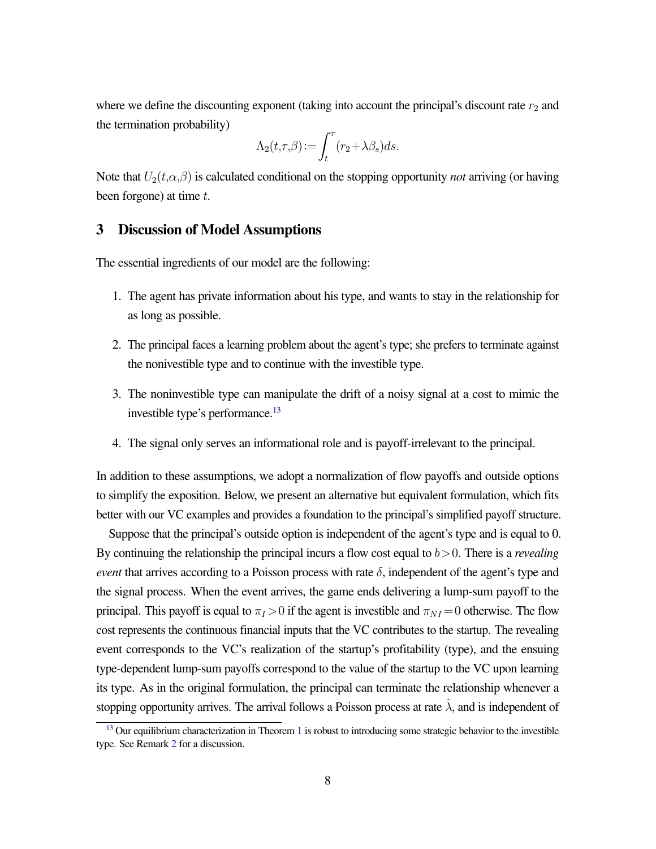where we define the discounting exponent (taking into account the principal's discount rate  $r_2$  and the termination probability)

$$
\Lambda_2(t,\tau,\beta) := \int_t^\tau (r_2 + \lambda \beta_s) ds.
$$

Note that  $U_2(t, \alpha, \beta)$  is calculated conditional on the stopping opportunity *not* arriving (or having been forgone) at time  $t$ .

### 3 Discussion of Model Assumptions

The essential ingredients of our model are the following:

- 1. The agent has private information about his type, and wants to stay in the relationship for as long as possible.
- 2. The principal faces a learning problem about the agent's type; she prefers to terminate against the nonivestible type and to continue with the investible type.
- <span id="page-8-1"></span>3. The noninvestible type can manipulate the drift of a noisy signal at a cost to mimic the investible type's performance.<sup>[13](#page-8-0)</sup>
- 4. The signal only serves an informational role and is payoff-irrelevant to the principal.

In addition to these assumptions, we adopt a normalization of flow payoffs and outside options to simplify the exposition. Below, we present an alternative but equivalent formulation, which fits better with our VC examples and provides a foundation to the principal's simplified payoff structure.

Suppose that the principal's outside option is independent of the agent's type and is equal to 0. By continuing the relationship the principal incurs a flow cost equal to  $b > 0$ . There is a *revealing event* that arrives according to a Poisson process with rate  $\delta$ , independent of the agent's type and the signal process. When the event arrives, the game ends delivering a lump-sum payoff to the principal. This payoff is equal to  $\pi_I > 0$  if the agent is investible and  $\pi_{NI} = 0$  otherwise. The flow cost represents the continuous financial inputs that the VC contributes to the startup. The revealing event corresponds to the VC's realization of the startup's profitability (type), and the ensuing type-dependent lump-sum payoffs correspond to the value of the startup to the VC upon learning its type. As in the original formulation, the principal can terminate the relationship whenever a stopping opportunity arrives. The arrival follows a Poisson process at rate  $\lambda$ , and is independent of

<span id="page-8-0"></span> $13$  Our equilibrium characterization in Theorem [1](#page-11-0) is robust to introducing some strategic behavior to the investible type. See Remark [2](#page-13-1) for a discussion.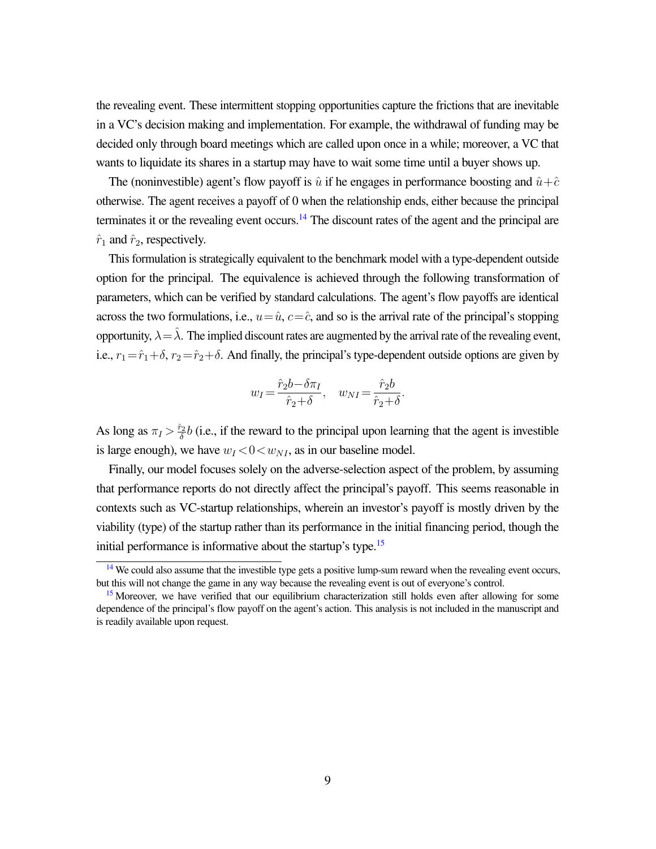the revealing event. These intermittent stopping opportunities capture the frictions that are inevitable in a VC's decision making and implementation. For example, the withdrawal of funding may be decided only through board meetings which are called upon once in a while; moreover, a VC that wants to liquidate its shares in a startup may have to wait some time until a buyer shows up.

The (noninvestible) agent's flow payoff is  $\hat{u}$  if he engages in performance boosting and  $\hat{u}+\hat{c}$ otherwise. The agent receives a payoff of 0 when the relationship ends, either because the principal terminates it or the revealing event occurs.<sup>[14](#page-9-0)</sup> The discount rates of the agent and the principal are  $\hat{r}_1$  and  $\hat{r}_2$ , respectively.

This formulation is strategically equivalent to the benchmark model with a type-dependent outside option for the principal. The equivalence is achieved through the following transformation of parameters, which can be verified by standard calculations. The agent's flow payoffs are identical across the two formulations, i.e.,  $u=\hat{u}$ ,  $c=\hat{c}$ , and so is the arrival rate of the principal's stopping opportunity,  $\lambda = \lambda$ . The implied discount rates are augmented by the arrival rate of the revealing event, i.e.,  $r_1=\hat{r}_1+\delta$ ,  $r_2=\hat{r}_2+\delta$ . And finally, the principal's type-dependent outside options are given by

<span id="page-9-2"></span>
$$
w_I = \frac{\hat{r}_2 b - \delta \pi_I}{\hat{r}_2 + \delta}, \quad w_{NI} = \frac{\hat{r}_2 b}{\hat{r}_2 + \delta}
$$

<span id="page-9-3"></span>.

As long as  $\pi_I > \frac{\hat{r}_2}{\delta}$  $\frac{\partial^2}{\partial \delta}$ b (i.e., if the reward to the principal upon learning that the agent is investible is large enough), we have  $w_I < 0 < w_{NI}$ , as in our baseline model.

Finally, our model focuses solely on the adverse-selection aspect of the problem, by assuming that performance reports do not directly affect the principal's payoff. This seems reasonable in contexts such as VC-startup relationships, wherein an investor's payoff is mostly driven by the viability (type) of the startup rather than its performance in the initial financing period, though the initial performance is informative about the startup's type.<sup>[15](#page-9-1)</sup>

<span id="page-9-0"></span><sup>&</sup>lt;sup>[14](#page-9-2)</sup> We could also assume that the investible type gets a positive lump-sum reward when the revealing event occurs, but this will not change the game in any way because the revealing event is out of everyone's control.

<span id="page-9-1"></span><sup>&</sup>lt;sup>[15](#page-9-3)</sup> Moreover, we have verified that our equilibrium characterization still holds even after allowing for some dependence of the principal's flow payoff on the agent's action. This analysis is not included in the manuscript and is readily available upon request.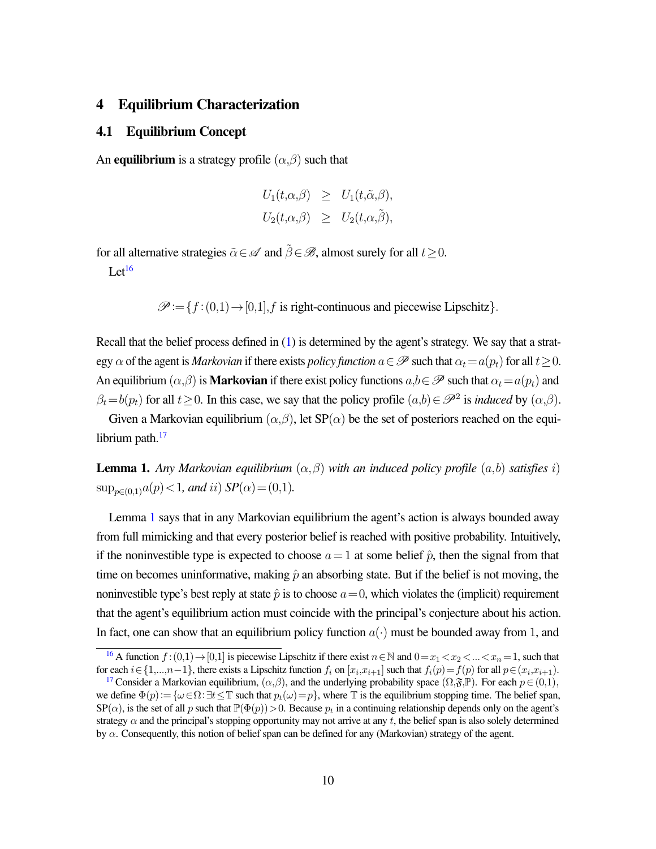## 4 Equilibrium Characterization

### 4.1 Equilibrium Concept

An **equilibrium** is a strategy profile  $(\alpha, \beta)$  such that

$$
U_1(t,\alpha,\beta) \geq U_1(t,\tilde{\alpha},\beta),
$$
  

$$
U_2(t,\alpha,\beta) \geq U_2(t,\alpha,\tilde{\beta}),
$$

for all alternative strategies  $\tilde{\alpha} \in \mathscr{A}$  and  $\tilde{\beta} \in \mathscr{B}$ , almost surely for all  $t \geq 0$ .

<span id="page-10-3"></span>Let $^{16}$  $^{16}$  $^{16}$ 

 $\mathscr{P}:=\{f:(0,1)\rightarrow[0,1], f \text{ is right-continuous and piecewise Lipschitz}\}.$ 

Recall that the belief process defined in [\(1\)](#page-6-2) is determined by the agent's strategy. We say that a strategy  $\alpha$  of the agent is *Markovian* if there exists *policy function*  $a \in \mathscr{P}$  such that  $\alpha_t = a(p_t)$  for all  $t > 0$ . An equilibrium  $(\alpha, \beta)$  is **Markovian** if there exist policy functions  $a, b \in \mathcal{P}$  such that  $\alpha_t = a(p_t)$  and  $\beta_t = b(p_t)$  for all  $t \ge 0$ . In this case, we say that the policy profile  $(a,b) \in \mathcal{P}^2$  is *induced* by  $(\alpha,\beta)$ .

<span id="page-10-4"></span>Given a Markovian equilibrium  $(\alpha, \beta)$ , let SP( $\alpha$ ) be the set of posteriors reached on the equilibrium path. $17$ 

<span id="page-10-2"></span>**Lemma 1.** Any Markovian equilibrium  $(\alpha, \beta)$  with an induced policy profile  $(a, b)$  satisfies i)  $\sup_{p \in (0,1)} a(p) < 1$ *, and ii*)  $SP(\alpha) = (0,1)$ *.* 

Lemma [1](#page-10-2) says that in any Markovian equilibrium the agent's action is always bounded away from full mimicking and that every posterior belief is reached with positive probability. Intuitively, if the noninvestible type is expected to choose  $a=1$  at some belief  $\hat{p}$ , then the signal from that time on becomes uninformative, making  $\hat{p}$  an absorbing state. But if the belief is not moving, the noninvestible type's best reply at state  $\hat{p}$  is to choose  $a=0$ , which violates the (implicit) requirement that the agent's equilibrium action must coincide with the principal's conjecture about his action. In fact, one can show that an equilibrium policy function  $a(\cdot)$  must be bounded away from 1, and

<span id="page-10-0"></span><sup>&</sup>lt;sup>[16](#page-10-3)</sup> A function  $f:(0,1) \rightarrow [0,1]$  is piecewise Lipschitz if there exist  $n \in \mathbb{N}$  and  $0=x_1 < x_2 < ... < x_n = 1$ , such that for each  $i \in \{1,...,n-1\}$ , there exists a Lipschitz function  $f_i$  on  $[x_i,x_{i+1}]$  such that  $f_i(p) = f(p)$  for all  $p \in (x_i,x_{i+1})$ .

<span id="page-10-1"></span><sup>&</sup>lt;sup>[17](#page-10-4)</sup> Consider a Markovian equilibrium,  $(\alpha, \beta)$ , and the underlying probability space  $(\Omega, \mathfrak{F}, \mathbb{P})$ . For each  $p \in (0,1)$ , we define  $\Phi(p) := {\{\omega \in \Omega : \exists t \leq \mathbb{T} \text{ such that } p_t(\omega) = p\}}$ , where  $\mathbb{T}$  is the equilibrium stopping time. The belief span,  $SP(\alpha)$ , is the set of all p such that  $\mathbb{P}(\Phi(p)) > 0$ . Because  $p_t$  in a continuing relationship depends only on the agent's strategy  $\alpha$  and the principal's stopping opportunity may not arrive at any t, the belief span is also solely determined by  $\alpha$ . Consequently, this notion of belief span can be defined for any (Markovian) strategy of the agent.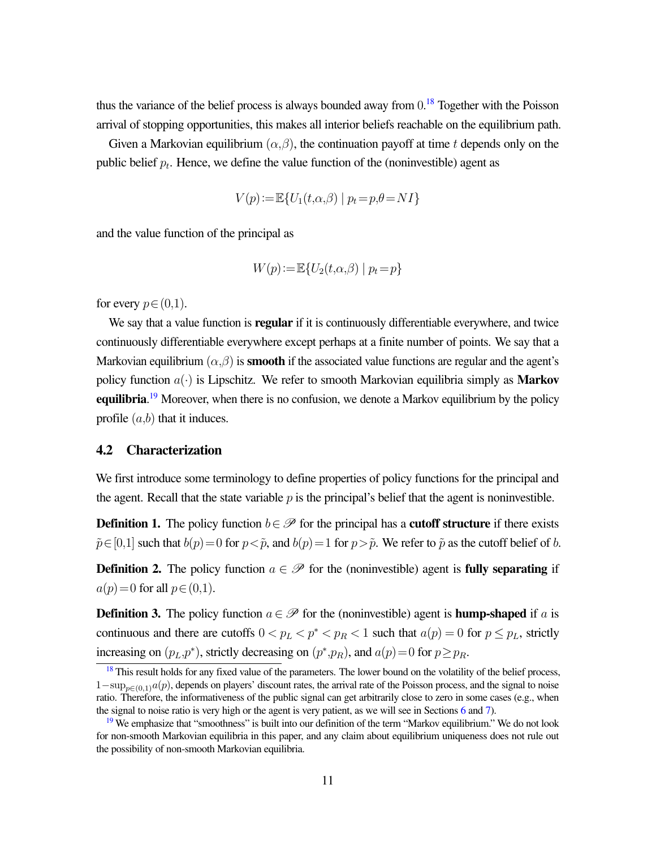thus the variance of the belief process is always bounded away from  $0.18$  $0.18$  Together with the Poisson arrival of stopping opportunities, this makes all interior beliefs reachable on the equilibrium path.

Given a Markovian equilibrium  $(\alpha, \beta)$ , the continuation payoff at time t depends only on the public belief  $p_t$ . Hence, we define the value function of the (noninvestible) agent as

<span id="page-11-3"></span>
$$
V(p) := \mathbb{E}\{U_1(t, \alpha, \beta) \mid p_t = p, \theta = NI\}
$$

and the value function of the principal as

$$
W(p) := \mathbb{E}\{U_2(t,\alpha,\beta) \mid p_t = p\}
$$

for every  $p \in (0,1)$ .

We say that a value function is **regular** if it is continuously differentiable everywhere, and twice continuously differentiable everywhere except perhaps at a finite number of points. We say that a Markovian equilibrium  $(\alpha, \beta)$  is **smooth** if the associated value functions are regular and the agent's policy function  $a(\cdot)$  is Lipschitz. We refer to smooth Markovian equilibria simply as **Markov** equilibria.<sup>[19](#page-11-2)</sup> Moreover, when there is no confusion, we denote a Markov equilibrium by the policy profile  $(a,b)$  that it induces.

#### <span id="page-11-4"></span>4.2 Characterization

We first introduce some terminology to define properties of policy functions for the principal and the agent. Recall that the state variable  $p$  is the principal's belief that the agent is noninvestible.

**Definition 1.** The policy function  $b \in \mathcal{P}$  for the principal has a **cutoff structure** if there exists  $\tilde{p} \in [0,1]$  such that  $b(p)=0$  for  $p < \tilde{p}$ , and  $b(p)=1$  for  $p > \tilde{p}$ . We refer to  $\tilde{p}$  as the cutoff belief of b.

**Definition 2.** The policy function  $a \in \mathcal{P}$  for the (noninvestible) agent is **fully separating** if  $a(p)=0$  for all  $p \in (0,1)$ .

<span id="page-11-5"></span>**Definition 3.** The policy function  $a \in \mathcal{P}$  for the (noninvestible) agent is **hump-shaped** if a is continuous and there are cutoffs  $0 < p<sub>L</sub> < p<sup>*</sup> < p<sub>R</sub> < 1$  such that  $a(p) = 0$  for  $p \leq p<sub>L</sub>$ , strictly increasing on  $(p_L, p^*)$ , strictly decreasing on  $(p^*, p_R)$ , and  $a(p) = 0$  for  $p \ge p_R$ .

<span id="page-11-1"></span><span id="page-11-0"></span> $18$  This result holds for any fixed value of the parameters. The lower bound on the volatility of the belief process,  $1-\sup_{p\in(0,1)}a(p)$ , depends on players' discount rates, the arrival rate of the Poisson process, and the signal to noise ratio. Therefore, the informativeness of the public signal can get arbitrarily close to zero in some cases (e.g., when the signal to noise ratio is very high or the agent is very patient, as we will see in Sections [6](#page-19-1) and [7\)](#page-25-0).

<span id="page-11-2"></span> $19$  We emphasize that "smoothness" is built into our definition of the term "Markov equilibrium." We do not look for non-smooth Markovian equilibria in this paper, and any claim about equilibrium uniqueness does not rule out the possibility of non-smooth Markovian equilibria.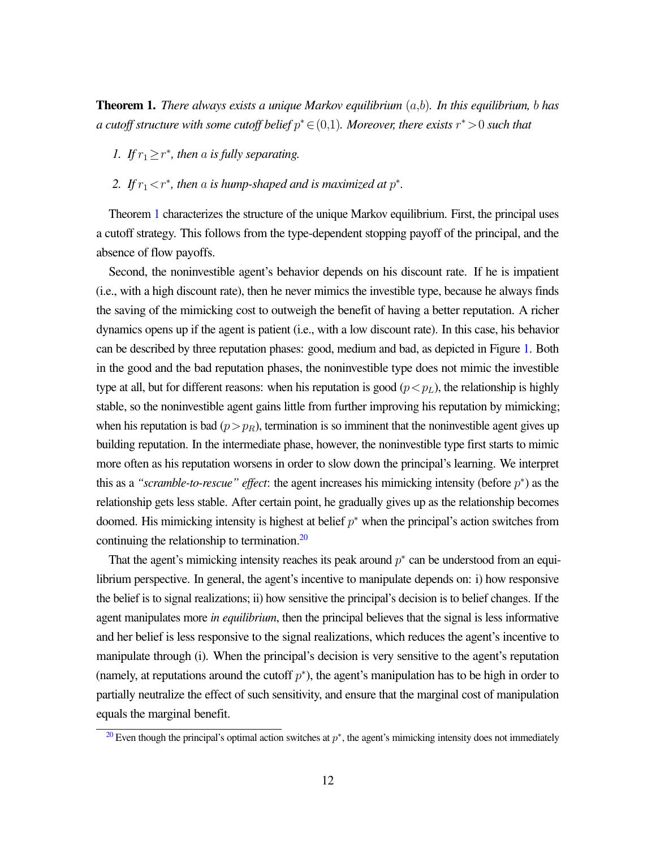Theorem 1. *There always exists a unique Markov equilibrium* (a,b)*. In this equilibrium,* b *has a cutoff structure with some cutoff belief* p <sup>∗</sup>∈(0,1)*. Moreover, there exists* r <sup>∗</sup>>0 *such that*

- *1. If*  $r_1 \geq r^*$ , then a *is fully separating.*
- 2. If  $r_1 < r^*$ , then a is hump-shaped and is maximized at  $p^*$ .

Theorem [1](#page-11-0) characterizes the structure of the unique Markov equilibrium. First, the principal uses a cutoff strategy. This follows from the type-dependent stopping payoff of the principal, and the absence of flow payoffs.

Second, the noninvestible agent's behavior depends on his discount rate. If he is impatient (i.e., with a high discount rate), then he never mimics the investible type, because he always finds the saving of the mimicking cost to outweigh the benefit of having a better reputation. A richer dynamics opens up if the agent is patient (i.e., with a low discount rate). In this case, his behavior can be described by three reputation phases: good, medium and bad, as depicted in Figure [1.](#page-13-2) Both in the good and the bad reputation phases, the noninvestible type does not mimic the investible type at all, but for different reasons: when his reputation is good  $(p < p<sub>L</sub>)$ , the relationship is highly stable, so the noninvestible agent gains little from further improving his reputation by mimicking; when his reputation is bad  $(p>p<sub>R</sub>)$ , termination is so imminent that the noninvestible agent gives up building reputation. In the intermediate phase, however, the noninvestible type first starts to mimic more often as his reputation worsens in order to slow down the principal's learning. We interpret this as a "*scramble-to-rescue" effect*: the agent increases his mimicking intensity (before  $p^*$ ) as the relationship gets less stable. After certain point, he gradually gives up as the relationship becomes doomed. His mimicking intensity is highest at belief  $p^*$  when the principal's action switches from continuing the relationship to termination.<sup>[20](#page-12-0)</sup>

<span id="page-12-1"></span>That the agent's mimicking intensity reaches its peak around  $p^*$  can be understood from an equilibrium perspective. In general, the agent's incentive to manipulate depends on: i) how responsive the belief is to signal realizations; ii) how sensitive the principal's decision is to belief changes. If the agent manipulates more *in equilibrium*, then the principal believes that the signal is less informative and her belief is less responsive to the signal realizations, which reduces the agent's incentive to manipulate through (i). When the principal's decision is very sensitive to the agent's reputation (namely, at reputations around the cutoff  $p^*$ ), the agent's manipulation has to be high in order to partially neutralize the effect of such sensitivity, and ensure that the marginal cost of manipulation equals the marginal benefit.

<span id="page-12-0"></span> $20$  Even though the principal's optimal action switches at  $p^*$ , the agent's mimicking intensity does not immediately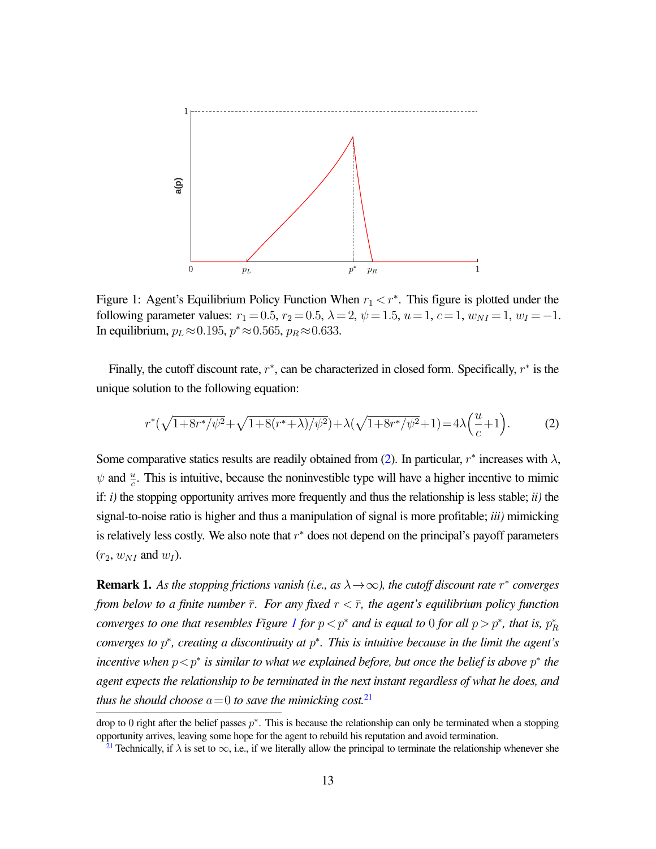<span id="page-13-2"></span>

Figure 1: Agent's Equilibrium Policy Function When  $r_1 < r^*$ . This figure is plotted under the following parameter values:  $r_1 = 0.5$ ,  $r_2 = 0.5$ ,  $\lambda = 2$ ,  $\psi = 1.5$ ,  $u = 1$ ,  $c = 1$ ,  $w_{NI} = 1$ ,  $w_I = -1$ . In equilibrium,  $p_L \approx 0.195$ ,  $p^* \approx 0.565$ ,  $p_R \approx 0.633$ .

Finally, the cutoff discount rate,  $r^*$ , can be characterized in closed form. Specifically,  $r^*$  is the unique solution to the following equation:

<span id="page-13-3"></span>
$$
r^*(\sqrt{1+8r^*/\psi^2}+\sqrt{1+8(r^*+\lambda)/\psi^2})+\lambda(\sqrt{1+8r^*/\psi^2}+1)=4\lambda\left(\frac{u}{c}+1\right).
$$
 (2)

Some comparative statics results are readily obtained from [\(2\)](#page-13-3). In particular,  $r^*$  increases with  $\lambda$ ,  $\psi$  and  $\frac{u}{c}$ . This is intuitive, because the noninvestible type will have a higher incentive to mimic if: *i)* the stopping opportunity arrives more frequently and thus the relationship is less stable; *ii)* the signal-to-noise ratio is higher and thus a manipulation of signal is more profitable; *iii)* mimicking is relatively less costly. We also note that  $r^*$  does not depend on the principal's payoff parameters  $(r_2, w_{NI} \text{ and } w_I).$ 

<span id="page-13-0"></span>**Remark 1.** As the stopping frictions vanish (i.e., as  $\lambda \rightarrow \infty$ ), the cutoff discount rate  $r^*$  converges *from below to a finite number*  $\bar{r}$ *. For any fixed*  $r < \bar{r}$ *, the agent's equilibrium policy function converges to one that resembles Figure [1](#page-13-2) for*  $p < p^*$  *and is equal to 0 for all*  $p > p^*$ *, that is,*  $p^*_R$ *converges to* p ∗ *, creating a discontinuity at* p ∗ *. This is intuitive because in the limit the agent's incentive when*  $p < p^*$  *is similar to what we explained before, but once the belief is above*  $p^*$  *the agent expects the relationship to be terminated in the next instant regardless of what he does, and thus he should choose*  $a=0$  *to save the mimicking cost.*<sup>[21](#page-13-4)</sup>

<span id="page-13-1"></span>drop to 0 right after the belief passes  $p^*$ . This is because the relationship can only be terminated when a stopping opportunity arrives, leaving some hope for the agent to rebuild his reputation and avoid termination.

<span id="page-13-5"></span><span id="page-13-4"></span><sup>&</sup>lt;sup>[21](#page-13-5)</sup> Technically, if  $\lambda$  is set to  $\infty$ , i.e., if we literally allow the principal to terminate the relationship whenever she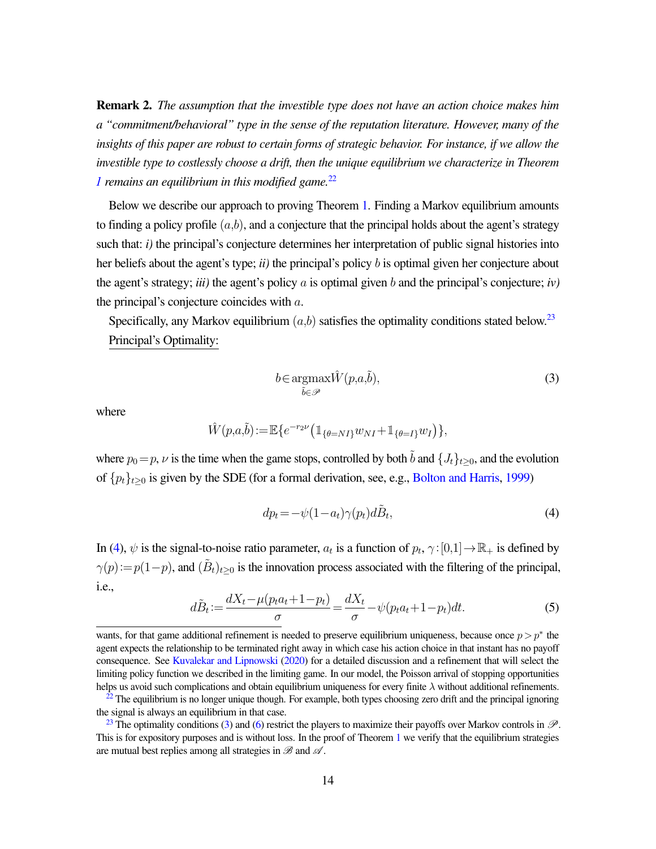Remark 2. *The assumption that the investible type does not have an action choice makes him a "commitment/behavioral" type in the sense of the reputation literature. However, many of the insights of this paper are robust to certain forms of strategic behavior. For instance, if we allow the investible type to costlessly choose a drift, then the unique equilibrium we characterize in Theorem [1](#page-11-0) remains an equilibrium in this modified game.*[22](#page-14-0)

Below we describe our approach to proving Theorem [1.](#page-11-0) Finding a Markov equilibrium amounts to finding a policy profile  $(a,b)$ , and a conjecture that the principal holds about the agent's strategy such that:  $i$ ) the principal's conjecture determines her interpretation of public signal histories into her beliefs about the agent's type; *ii)* the principal's policy b is optimal given her conjecture about the agent's strategy; *iii)* the agent's policy a is optimal given b and the principal's conjecture; *iv)* the principal's conjecture coincides with  $a$ .

Specifically, any Markov equilibrium  $(a,b)$  satisfies the optimality conditions stated below.<sup>[23](#page-14-1)</sup> Principal's Optimality:

<span id="page-14-5"></span><span id="page-14-4"></span><span id="page-14-3"></span>
$$
b \in \underset{\tilde{b} \in \mathcal{P}}{\operatorname{argmax}} \hat{W}(p, a, \tilde{b}),\tag{3}
$$

where

$$
\hat{W}(p,a,\tilde{b}) := \mathbb{E}\{e^{-r_2 \nu}(\mathbb{1}_{\{\theta = NI\}} w_{NI} + \mathbb{1}_{\{\theta = I\}} w_I)\},\
$$

where  $p_0=p$ ,  $\nu$  is the time when the game stops, controlled by both  $\tilde{b}$  and  ${J_t}_{t\geq0}$ , and the evolution of  $\{p_t\}_{t>0}$  is given by the SDE (for a formal derivation, see, e.g., [Bolton and Harris,](#page-27-8) [1999\)](#page-27-8)

<span id="page-14-2"></span>
$$
dp_t = -\psi(1 - a_t)\gamma(p_t)d\tilde{B}_t,\tag{4}
$$

In [\(4\)](#page-14-2),  $\psi$  is the signal-to-noise ratio parameter,  $a_t$  is a function of  $p_t$ ,  $\gamma$ : [0,1]  $\to \mathbb{R}_+$  is defined by  $\gamma(p) := p(1-p)$ , and  $(\tilde{B}_t)_{t\geq 0}$  is the innovation process associated with the filtering of the principal, i.e.,

<span id="page-14-6"></span>
$$
d\tilde{B}_t := \frac{dX_t - \mu(p_t a_t + 1 - p_t)}{\sigma} = \frac{dX_t}{\sigma} - \psi(p_t a_t + 1 - p_t)dt.
$$
\n<sup>(5)</sup>

wants, for that game additional refinement is needed to preserve equilibrium uniqueness, because once  $p > p^*$  the agent expects the relationship to be terminated right away in which case his action choice in that instant has no payoff consequence. See [Kuvalekar and Lipnowski](#page-29-11) [\(2020\)](#page-29-11) for a detailed discussion and a refinement that will select the limiting policy function we described in the limiting game. In our model, the Poisson arrival of stopping opportunities helps us avoid such complications and obtain equilibrium uniqueness for every finite  $\lambda$  without additional refinements.

<span id="page-14-0"></span> $22$  The equilibrium is no longer unique though. For example, both types choosing zero drift and the principal ignoring the signal is always an equilibrium in that case.

<span id="page-14-1"></span><sup>&</sup>lt;sup>[23](#page-14-4)</sup> The optimality conditions [\(3\)](#page-14-5) and [\(6\)](#page-15-0) restrict the players to maximize their payoffs over Markov controls in  $\mathscr{P}$ . This is for expository purposes and is without loss. In the proof of Theorem [1](#page-11-0) we verify that the equilibrium strategies are mutual best replies among all strategies in  $\mathscr{B}$  and  $\mathscr{A}$ .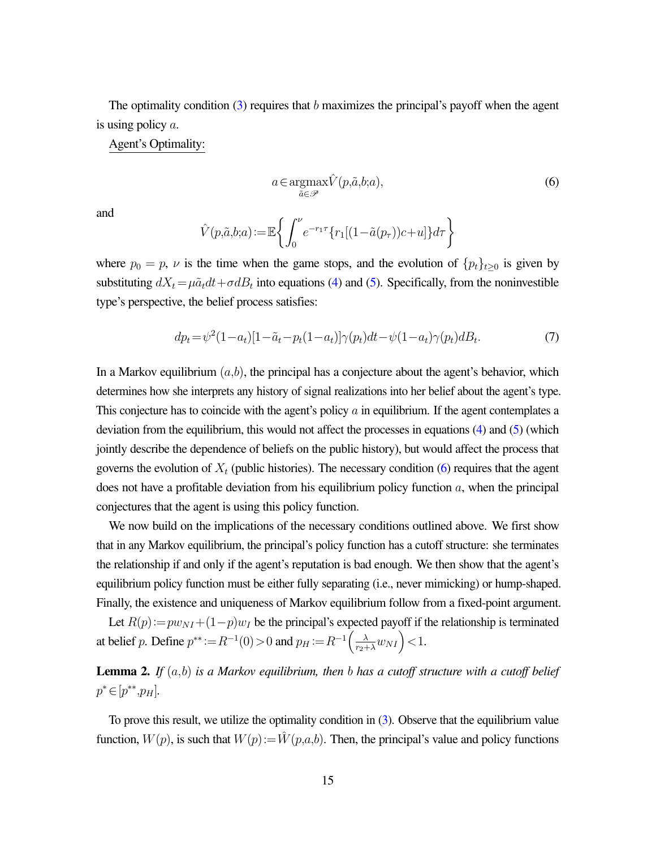The optimality condition  $(3)$  requires that b maximizes the principal's payoff when the agent is using policy  $a$ .

Agent's Optimality:

<span id="page-15-0"></span>
$$
a \in \underset{\tilde{a} \in \mathcal{P}}{\operatorname{argmax}} \hat{V}(p, \tilde{a}, b; a), \tag{6}
$$

and

$$
\hat{V}(p,\tilde{a},b;a) := \mathbb{E}\left\{\int_0^{\nu} e^{-r_1\tau}\left\{r_1[(1-\tilde{a}(p_\tau))c+u]\right\}d\tau\right\}
$$

where  $p_0 = p$ ,  $\nu$  is the time when the game stops, and the evolution of  $\{p_t\}_{t\geq 0}$  is given by substituting  $dX_t = \mu \tilde{a}_t dt + \sigma dB_t$  into equations [\(4\)](#page-14-2) and [\(5\)](#page-14-6). Specifically, from the noninvestible type's perspective, the belief process satisfies:

<span id="page-15-1"></span>
$$
dp_t = \psi^2 (1 - a_t) [1 - \tilde{a}_t - p_t (1 - a_t)] \gamma(p_t) dt - \psi (1 - a_t) \gamma(p_t) dB_t.
$$
 (7)

In a Markov equilibrium  $(a,b)$ , the principal has a conjecture about the agent's behavior, which determines how she interprets any history of signal realizations into her belief about the agent's type. This conjecture has to coincide with the agent's policy  $\alpha$  in equilibrium. If the agent contemplates a deviation from the equilibrium, this would not affect the processes in equations [\(4\)](#page-14-2) and [\(5\)](#page-14-6) (which jointly describe the dependence of beliefs on the public history), but would affect the process that governs the evolution of  $X_t$  (public histories). The necessary condition [\(6\)](#page-15-0) requires that the agent does not have a profitable deviation from his equilibrium policy function  $a$ , when the principal conjectures that the agent is using this policy function.

We now build on the implications of the necessary conditions outlined above. We first show that in any Markov equilibrium, the principal's policy function has a cutoff structure: she terminates the relationship if and only if the agent's reputation is bad enough. We then show that the agent's equilibrium policy function must be either fully separating (i.e., never mimicking) or hump-shaped. Finally, the existence and uniqueness of Markov equilibrium follow from a fixed-point argument.

Let  $R(p) := p w_{NI} + (1-p) w_I$  be the principal's expected payoff if the relationship is terminated at belief p. Define  $p^{**} := R^{-1}(0) > 0$  and  $p_H := R^{-1}\left(\frac{\lambda}{r_2 + \lambda}w_{NI}\right) < 1$ .

<span id="page-15-2"></span>Lemma 2. *If* (a,b) *is a Markov equilibrium, then* b *has a cutoff structure with a cutoff belief*  $p^* \in [p^{**}, p_H].$ 

To prove this result, we utilize the optimality condition in [\(3\)](#page-14-5). Observe that the equilibrium value function,  $W(p)$ , is such that  $W(p) := W(p,a,b)$ . Then, the principal's value and policy functions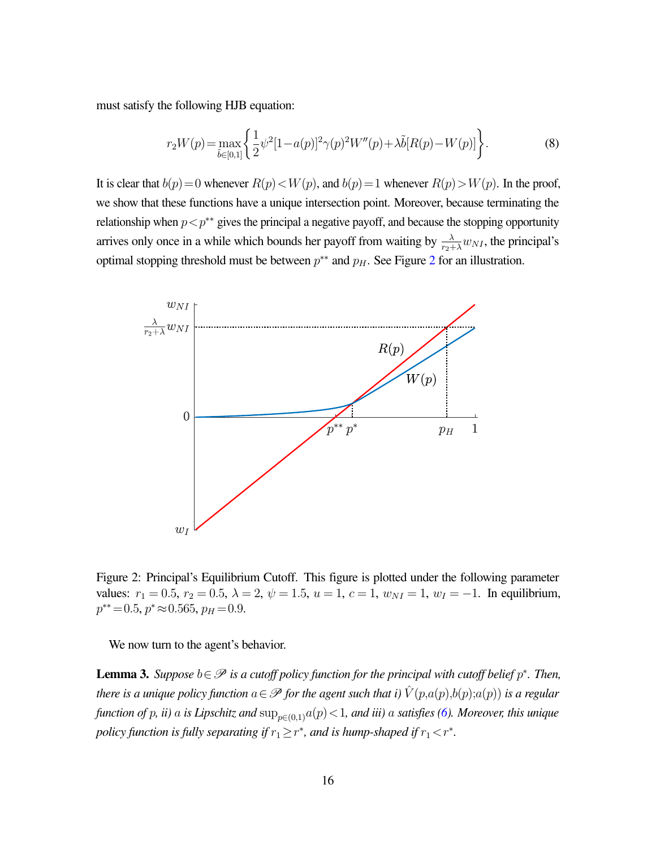must satisfy the following HJB equation:

<span id="page-16-2"></span>
$$
r_2W(p) = \max_{\tilde{b} \in [0,1]} \left\{ \frac{1}{2} \psi^2 [1 - a(p)]^2 \gamma(p)^2 W''(p) + \lambda \tilde{b}[R(p) - W(p)] \right\}.
$$
 (8)

It is clear that  $b(p)=0$  whenever  $R(p) < W(p)$ , and  $b(p)=1$  whenever  $R(p) > W(p)$ . In the proof, we show that these functions have a unique intersection point. Moreover, because terminating the relationship when  $p < p^*$  gives the principal a negative payoff, and because the stopping opportunity arrives only once in a while which bounds her payoff from waiting by  $\frac{\lambda}{r_2 + \lambda} w_{NI}$ , the principal's optimal stopping threshold must be between  $p^{**}$  and  $p<sub>H</sub>$ . See Figure [2](#page-16-0) for an illustration.

<span id="page-16-0"></span>

Figure 2: Principal's Equilibrium Cutoff. This figure is plotted under the following parameter values:  $r_1 = 0.5$ ,  $r_2 = 0.5$ ,  $\lambda = 2$ ,  $\psi = 1.5$ ,  $u = 1$ ,  $c = 1$ ,  $w_{NI} = 1$ ,  $w_I = -1$ . In equilibrium,  $p^{**}=0.5, p^* \approx 0.565, p_H=0.9.$ 

<span id="page-16-1"></span>We now turn to the agent's behavior.

**Lemma 3.** Suppose  $b \in \mathcal{P}$  is a cutoff policy function for the principal with cutoff belief  $p^*$ . Then, *there is a unique policy function*  $a \in \mathscr{P}$  *for the agent such that i)*  $\hat{V}(p,a(p),b(p);a(p))$  *is a regular function of* p, *ii*) a *is Lipschitz and*  $\sup_{p \in (0,1)} a(p) < 1$ *, and iii*) a *satisfies* [\(6\)](#page-15-0)*. Moreover, this unique policy function is fully separating if*  $r_1 \geq r^*$ *, and is hump-shaped if*  $r_1 < r^*$ *.*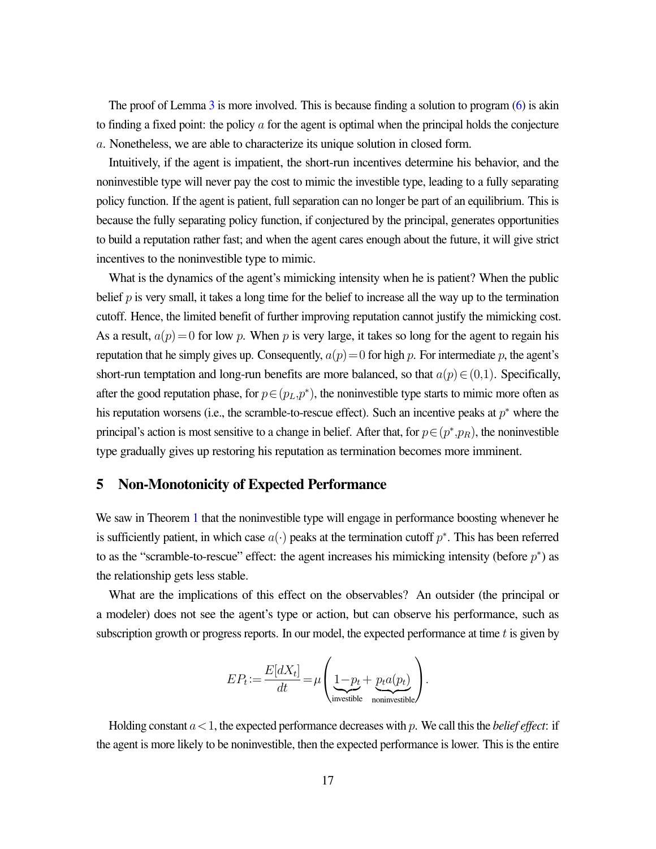The proof of Lemma  $3$  is more involved. This is because finding a solution to program  $(6)$  is akin to finding a fixed point: the policy  $\alpha$  for the agent is optimal when the principal holds the conjecture a. Nonetheless, we are able to characterize its unique solution in closed form.

Intuitively, if the agent is impatient, the short-run incentives determine his behavior, and the noninvestible type will never pay the cost to mimic the investible type, leading to a fully separating policy function. If the agent is patient, full separation can no longer be part of an equilibrium. This is because the fully separating policy function, if conjectured by the principal, generates opportunities to build a reputation rather fast; and when the agent cares enough about the future, it will give strict incentives to the noninvestible type to mimic.

What is the dynamics of the agent's mimicking intensity when he is patient? When the public belief  $p$  is very small, it takes a long time for the belief to increase all the way up to the termination cutoff. Hence, the limited benefit of further improving reputation cannot justify the mimicking cost. As a result,  $a(p)=0$  for low p. When p is very large, it takes so long for the agent to regain his reputation that he simply gives up. Consequently,  $a(p)=0$  for high p. For intermediate p, the agent's short-run temptation and long-run benefits are more balanced, so that  $a(p) \in (0,1)$ . Specifically, after the good reputation phase, for  $p \in (p_L, p^*)$ , the noninvestible type starts to mimic more often as his reputation worsens (i.e., the scramble-to-rescue effect). Such an incentive peaks at  $p^*$  where the principal's action is most sensitive to a change in belief. After that, for  $p \in (p^*, p_R)$ , the noninvestible type gradually gives up restoring his reputation as termination becomes more imminent.

### <span id="page-17-0"></span>5 Non-Monotonicity of Expected Performance

We saw in Theorem [1](#page-11-0) that the noninvestible type will engage in performance boosting whenever he is sufficiently patient, in which case  $a(\cdot)$  peaks at the termination cutoff  $p^*$ . This has been referred to as the "scramble-to-rescue" effect: the agent increases his mimicking intensity (before  $p^*$ ) as the relationship gets less stable.

What are the implications of this effect on the observables? An outsider (the principal or a modeler) does not see the agent's type or action, but can observe his performance, such as subscription growth or progress reports. In our model, the expected performance at time t is given by

$$
EP_t \! := \! \frac{E[dX_t]}{dt} \! = \! \mu \! \left(\underbrace{1 \! - \! p_t + \underbrace{p_t a(p_t)}_{\text{noninvestible}}\right)\!.
$$

Holding constant  $a < 1$ , the expected performance decreases with p. We call this the *belief effect*: if the agent is more likely to be noninvestible, then the expected performance is lower. This is the entire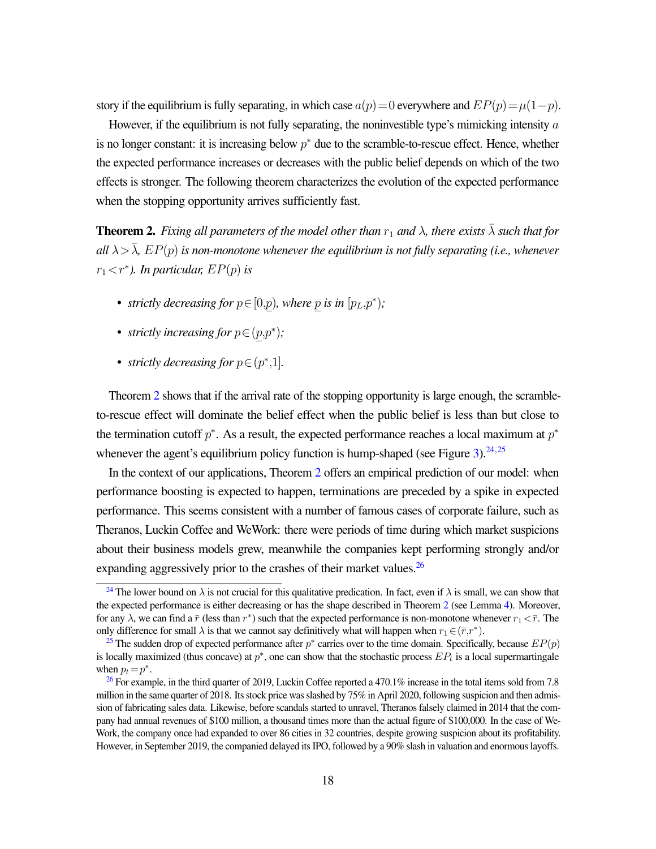story if the equilibrium is fully separating, in which case  $a(p)=0$  everywhere and  $EP(p)=\mu(1-p)$ .

However, if the equilibrium is not fully separating, the noninvestible type's mimicking intensity  $\alpha$ is no longer constant: it is increasing below  $p^*$  due to the scramble-to-rescue effect. Hence, whether the expected performance increases or decreases with the public belief depends on which of the two effects is stronger. The following theorem characterizes the evolution of the expected performance when the stopping opportunity arrives sufficiently fast.

<span id="page-18-0"></span>**Theorem 2.** *Fixing all parameters of the model other than*  $r_1$  *and*  $\lambda$ *, there exists*  $\bar{\lambda}$  *such that for all*  $\lambda > \overline{\lambda}$ ,  $EP(p)$  *is non-monotone whenever the equilibrium is not fully separating (i.e., whenever*  $r_1 < r^*$ ). In particular,  $EP(p)$  is

- *strictly decreasing for*  $p \in [0,p)$ *, where* p *is in*  $[p_L, p^*);$
- *strictly increasing for*  $p \in (p, p^*)$ ;
- <span id="page-18-5"></span><span id="page-18-4"></span>• *strictly decreasing for*  $p \in (p^*, 1]$ *.*

Theorem [2](#page-18-0) shows that if the arrival rate of the stopping opportunity is large enough, the scrambleto-rescue effect will dominate the belief effect when the public belief is less than but close to the termination cutoff  $p^*$ . As a result, the expected performance reaches a local maximum at  $p^*$ whenever the agent's equilibrium policy function is hump-shaped (see Figure [3\)](#page-19-0).  $24,25$  $24,25$  $24,25$ 

In the context of our applications, Theorem [2](#page-18-0) offers an empirical prediction of our model: when performance boosting is expected to happen, terminations are preceded by a spike in expected performance. This seems consistent with a number of famous cases of corporate failure, such as Theranos, Luckin Coffee and WeWork: there were periods of time during which market suspicions about their business models grew, meanwhile the companies kept performing strongly and/or expanding aggressively prior to the crashes of their market values.  $^{26}$  $^{26}$  $^{26}$ 

<span id="page-18-6"></span><span id="page-18-1"></span><sup>&</sup>lt;sup>[24](#page-18-4)</sup> The lower bound on  $\lambda$  is not crucial for this qualitative predication. In fact, even if  $\lambda$  is small, we can show that the expected performance is either decreasing or has the shape described in Theorem [2](#page-18-0) (see Lemma [4\)](#page-40-0). Moreover, for any  $\lambda$ , we can find a  $\bar{r}$  (less than  $r^*$ ) such that the expected performance is non-monotone whenever  $r_1 < \bar{r}$ . The only difference for small  $\lambda$  is that we cannot say definitively what will happen when  $r_1 \in (\bar{r}, r^*)$ .

<span id="page-18-2"></span><sup>&</sup>lt;sup>[25](#page-18-5)</sup> The sudden drop of expected performance after  $p^*$  carries over to the time domain. Specifically, because  $EP(p)$ is locally maximized (thus concave) at  $p^*$ , one can show that the stochastic process  $EP_t$  is a local supermartingale when  $p_t = p^*$ .

<span id="page-18-3"></span><sup>&</sup>lt;sup>[26](#page-18-6)</sup> For example, in the third quarter of 2019, Luckin Coffee reported a 470.1% increase in the total items sold from 7.8 million in the same quarter of 2018. Its stock price was slashed by 75% in April 2020, following suspicion and then admission of fabricating sales data. Likewise, before scandals started to unravel, Theranos falsely claimed in 2014 that the company had annual revenues of \$100 million, a thousand times more than the actual figure of \$100,000. In the case of We-Work, the company once had expanded to over 86 cities in 32 countries, despite growing suspicion about its profitability. However, in September 2019, the companied delayed its IPO, followed by a 90% slash in valuation and enormous layoffs.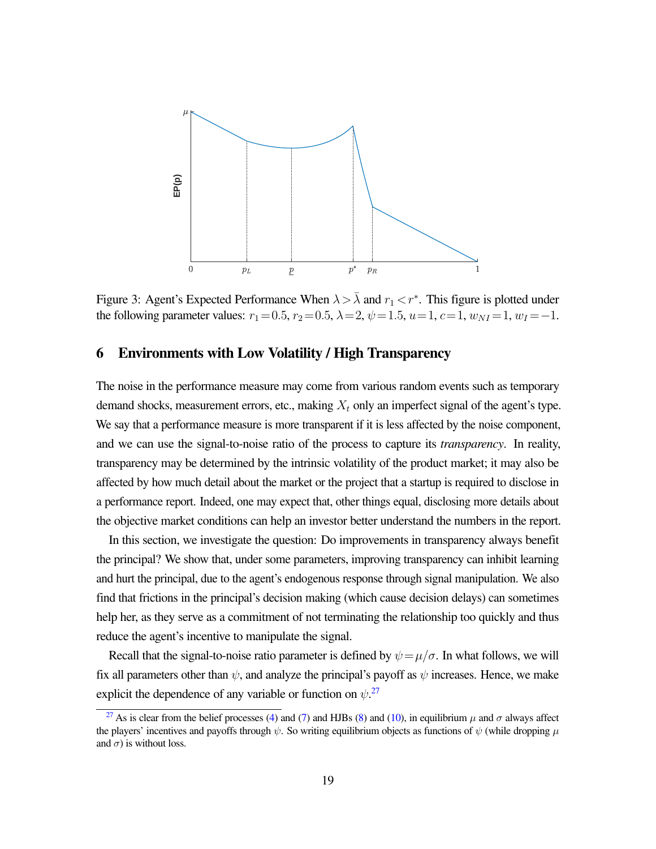<span id="page-19-0"></span>

Figure 3: Agent's Expected Performance When  $\lambda > \overline{\lambda}$  and  $r_1 < r^*$ . This figure is plotted under the following parameter values:  $r_1=0.5$ ,  $r_2=0.5$ ,  $\lambda=2$ ,  $\psi=1.5$ ,  $u=1$ ,  $c=1$ ,  $w_{NI}=1$ ,  $w_I=-1$ .

### <span id="page-19-1"></span>6 Environments with Low Volatility / High Transparency

The noise in the performance measure may come from various random events such as temporary demand shocks, measurement errors, etc., making  $X_t$  only an imperfect signal of the agent's type. We say that a performance measure is more transparent if it is less affected by the noise component, and we can use the signal-to-noise ratio of the process to capture its *transparency*. In reality, transparency may be determined by the intrinsic volatility of the product market; it may also be affected by how much detail about the market or the project that a startup is required to disclose in a performance report. Indeed, one may expect that, other things equal, disclosing more details about the objective market conditions can help an investor better understand the numbers in the report.

In this section, we investigate the question: Do improvements in transparency always benefit the principal? We show that, under some parameters, improving transparency can inhibit learning and hurt the principal, due to the agent's endogenous response through signal manipulation. We also find that frictions in the principal's decision making (which cause decision delays) can sometimes help her, as they serve as a commitment of not terminating the relationship too quickly and thus reduce the agent's incentive to manipulate the signal.

<span id="page-19-3"></span>Recall that the signal-to-noise ratio parameter is defined by  $\psi = \mu/\sigma$ . In what follows, we will fix all parameters other than  $\psi$ , and analyze the principal's payoff as  $\psi$  increases. Hence, we make explicit the dependence of any variable or function on  $\psi$ <sup>[27](#page-19-2)</sup>

<span id="page-19-2"></span><sup>&</sup>lt;sup>[27](#page-19-3)</sup> As is clear from the belief processes [\(4\)](#page-14-2) and [\(7\)](#page-15-1) and HJBs [\(8\)](#page-16-2) and [\(10\)](#page-30-0), in equilibrium  $\mu$  and  $\sigma$  always affect the players' incentives and payoffs through  $\psi$ . So writing equilibrium objects as functions of  $\psi$  (while dropping  $\mu$ and  $\sigma$ ) is without loss.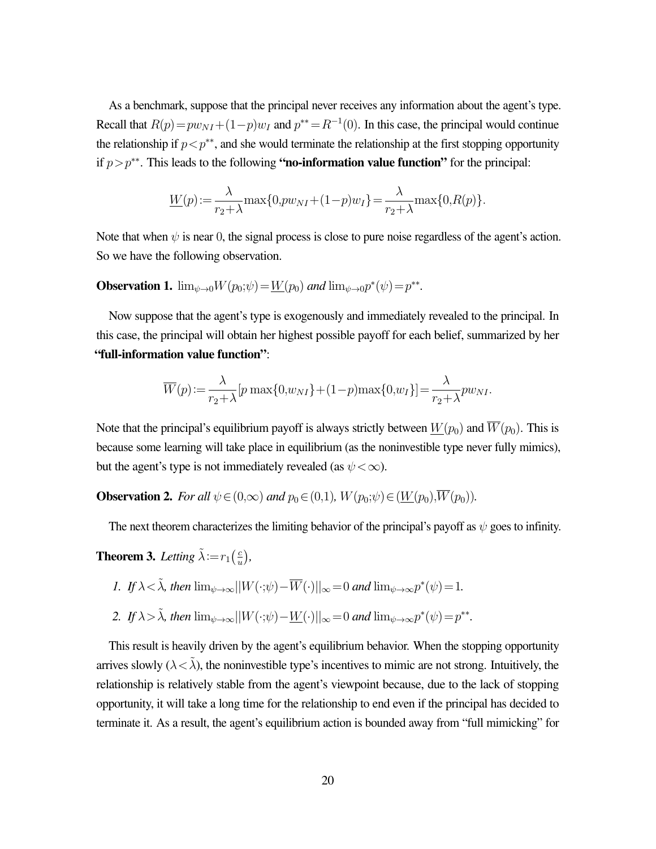As a benchmark, suppose that the principal never receives any information about the agent's type. Recall that  $R(p) = pw_{NI} + (1-p)w_I$  and  $p^{**} = R^{-1}(0)$ . In this case, the principal would continue the relationship if  $p < p^{**}$ , and she would terminate the relationship at the first stopping opportunity if  $p > p^{**}$ . This leads to the following "no-information value function" for the principal:

$$
\underline{W}(p) := \frac{\lambda}{r_2 + \lambda} \max\{0, p w_{NI} + (1 - p) w_I\} = \frac{\lambda}{r_2 + \lambda} \max\{0, R(p)\}.
$$

Note that when  $\psi$  is near 0, the signal process is close to pure noise regardless of the agent's action. So we have the following observation.

**Observation 1.**  $\lim_{\psi \to 0} W(p_0; \psi) = \underline{W}(p_0)$  *and*  $\lim_{\psi \to 0} p^*(\psi) = p^{**}$ *.* 

Now suppose that the agent's type is exogenously and immediately revealed to the principal. In this case, the principal will obtain her highest possible payoff for each belief, summarized by her "full-information value function":

$$
\overline{W}(p) := \frac{\lambda}{r_2 + \lambda} [p \max\{0, w_{NI}\} + (1-p) \max\{0, w_I\}] = \frac{\lambda}{r_2 + \lambda} p w_{NI}.
$$

Note that the principal's equilibrium payoff is always strictly between  $W(p_0)$  and  $\overline{W}(p_0)$ . This is because some learning will take place in equilibrium (as the noninvestible type never fully mimics), but the agent's type is not immediately revealed (as  $\psi < \infty$ ).

**Observation 2.** *For all*  $\psi \in (0,\infty)$  *and*  $p_0 \in (0,1)$ *,*  $W(p_0;\psi) \in (\underline{W}(p_0),\overline{W}(p_0))$ *.* 

The next theorem characterizes the limiting behavior of the principal's payoff as  $\psi$  goes to infinity.

<span id="page-20-0"></span>**Theorem 3.** Letting  $\tilde{\lambda} := r_1 \left( \frac{c}{n} \right)$  $\frac{c}{u}$ ),

*I.* If 
$$
\lambda < \tilde{\lambda}
$$
, then  $\lim_{\psi \to \infty} ||W(\cdot;\psi) - \overline{W}(\cdot)||_{\infty} = 0$  and  $\lim_{\psi \to \infty} p^*(\psi) = 1$ .

2. If 
$$
\lambda > \tilde{\lambda}
$$
, then  $\lim_{\psi \to \infty} ||W(\cdot;\psi) - \underline{W}(\cdot)||_{\infty} = 0$  and  $\lim_{\psi \to \infty} p^*(\psi) = p^{**}$ .

This result is heavily driven by the agent's equilibrium behavior. When the stopping opportunity arrives slowly ( $\lambda < \tilde{\lambda}$ ), the noninvestible type's incentives to mimic are not strong. Intuitively, the relationship is relatively stable from the agent's viewpoint because, due to the lack of stopping opportunity, it will take a long time for the relationship to end even if the principal has decided to terminate it. As a result, the agent's equilibrium action is bounded away from "full mimicking" for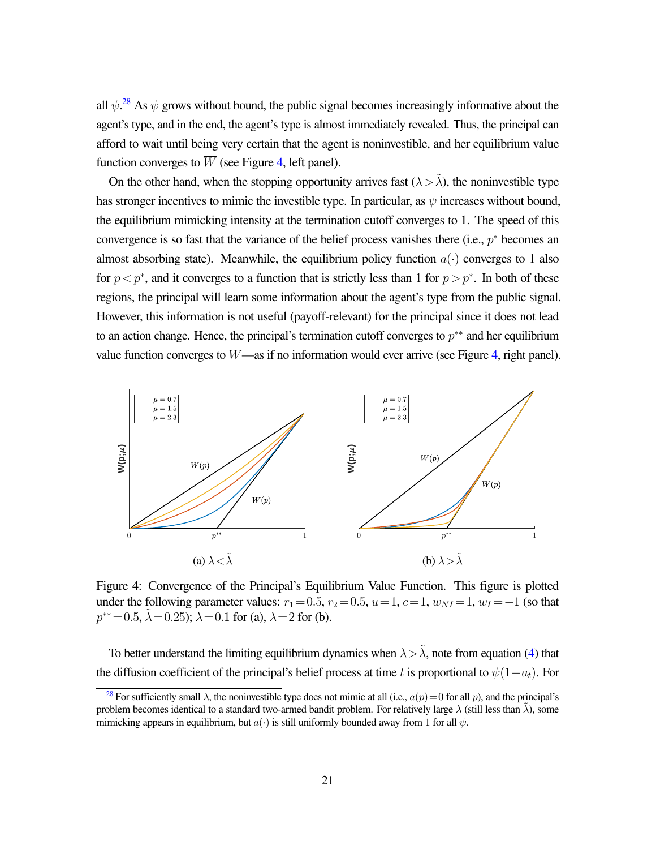<span id="page-21-2"></span>all  $\psi$ <sup>[28](#page-21-0)</sup>. As  $\psi$  grows without bound, the public signal becomes increasingly informative about the agent's type, and in the end, the agent's type is almost immediately revealed. Thus, the principal can afford to wait until being very certain that the agent is noninvestible, and her equilibrium value function converges to  $\overline{W}$  (see Figure [4,](#page-21-1) left panel).

On the other hand, when the stopping opportunity arrives fast  $(\lambda > \tilde{\lambda})$ , the noninvestible type has stronger incentives to mimic the investible type. In particular, as  $\psi$  increases without bound, the equilibrium mimicking intensity at the termination cutoff converges to 1. The speed of this convergence is so fast that the variance of the belief process vanishes there (i.e.,  $p^*$  becomes an almost absorbing state). Meanwhile, the equilibrium policy function  $a(\cdot)$  converges to 1 also for  $p < p^*$ , and it converges to a function that is strictly less than 1 for  $p > p^*$ . In both of these regions, the principal will learn some information about the agent's type from the public signal. However, this information is not useful (payoff-relevant) for the principal since it does not lead to an action change. Hence, the principal's termination cutoff converges to  $p^{**}$  and her equilibrium value function converges to  $W$ —as if no information would ever arrive (see Figure [4,](#page-21-1) right panel).

<span id="page-21-1"></span>

Figure 4: Convergence of the Principal's Equilibrium Value Function. This figure is plotted under the following parameter values:  $r_1=0.5$ ,  $r_2=0.5$ ,  $u=1$ ,  $c=1$ ,  $w_{NI}=1$ ,  $w_I=-1$  (so that  $p^{**}=0.5$ ,  $\tilde{\lambda}=0.25$ );  $\lambda=0.1$  for (a),  $\lambda=2$  for (b).

To better understand the limiting equilibrium dynamics when  $\lambda > \tilde{\lambda}$ , note from equation [\(4\)](#page-14-2) that the diffusion coefficient of the principal's belief process at time t is proportional to  $\psi(1-a_t)$ . For

<span id="page-21-0"></span><sup>&</sup>lt;sup>[28](#page-21-2)</sup> For sufficiently small  $\lambda$ , the noninvestible type does not mimic at all (i.e.,  $a(p) = 0$  for all p), and the principal's problem becomes identical to a standard two-armed bandit problem. For relatively large  $\lambda$  (still less than  $\lambda$ ), some mimicking appears in equilibrium, but  $a(\cdot)$  is still uniformly bounded away from 1 for all  $\psi$ .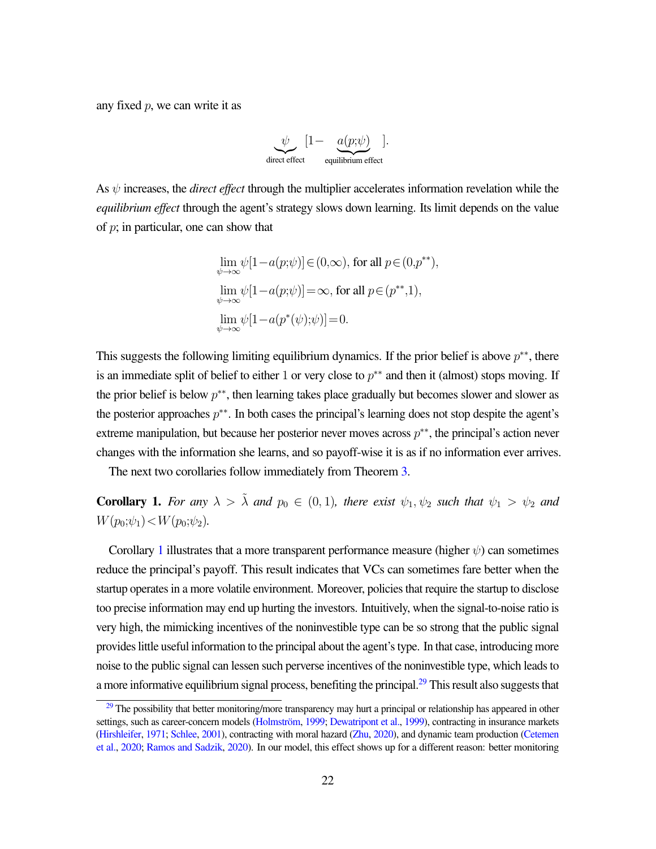any fixed  $p$ , we can write it as

$$
\underbrace{\psi}_{\text{direct effect}} [1 - \underbrace{a(p;\psi)}_{\text{equilibrium effect}}].
$$

As  $\psi$  increases, the *direct effect* through the multiplier accelerates information revelation while the *equilibrium effect* through the agent's strategy slows down learning. Its limit depends on the value of  $p$ ; in particular, one can show that

$$
\lim_{\psi \to \infty} \psi[1 - a(p;\psi)] \in (0,\infty), \text{ for all } p \in (0,p^{**}),
$$
  
\n
$$
\lim_{\psi \to \infty} \psi[1 - a(p;\psi)] = \infty, \text{ for all } p \in (p^{**},1),
$$
  
\n
$$
\lim_{\psi \to \infty} \psi[1 - a(p^*(\psi);\psi)] = 0.
$$

This suggests the following limiting equilibrium dynamics. If the prior belief is above  $p^{**}$ , there is an immediate split of belief to either 1 or very close to  $p^{**}$  and then it (almost) stops moving. If the prior belief is below  $p^{**}$ , then learning takes place gradually but becomes slower and slower as the posterior approaches  $p^{**}$ . In both cases the principal's learning does not stop despite the agent's extreme manipulation, but because her posterior never moves across  $p^{**}$ , the principal's action never changes with the information she learns, and so payoff-wise it is as if no information ever arrives.

The next two corollaries follow immediately from Theorem [3.](#page-20-0)

<span id="page-22-0"></span>**Corollary 1.** For any  $\lambda > \tilde{\lambda}$  and  $p_0 \in (0, 1)$ , there exist  $\psi_1, \psi_2$  such that  $\psi_1 > \psi_2$  and  $W(p_0;\psi_1) < W(p_0;\psi_2)$ .

Corollary [1](#page-22-0) illustrates that a more transparent performance measure (higher  $\psi$ ) can sometimes reduce the principal's payoff. This result indicates that VCs can sometimes fare better when the startup operates in a more volatile environment. Moreover, policies that require the startup to disclose too precise information may end up hurting the investors. Intuitively, when the signal-to-noise ratio is very high, the mimicking incentives of the noninvestible type can be so strong that the public signal provides little useful information to the principal about the agent's type. In that case, introducing more noise to the public signal can lessen such perverse incentives of the noninvestible type, which leads to a more informative equilibrium signal process, benefiting the principal.<sup>[29](#page-22-1)</sup> This result also suggests that

<span id="page-22-2"></span><span id="page-22-1"></span> $29$  The possibility that better monitoring/more transparency may hurt a principal or relationship has appeared in other settings, such as career-concern models (Holmström, [1999;](#page-28-14) [Dewatripont et al.,](#page-28-15) [1999\)](#page-28-15), contracting in insurance markets [\(Hirshleifer,](#page-28-16) [1971;](#page-28-16) [Schlee,](#page-29-13) [2001\)](#page-29-13), contracting with moral hazard [\(Zhu,](#page-29-14) [2020\)](#page-29-14), and dynamic team production [\(Cetemen](#page-27-9) [et al.,](#page-27-9) [2020;](#page-27-9) [Ramos and Sadzik,](#page-29-15) [2020\)](#page-29-15). In our model, this effect shows up for a different reason: better monitoring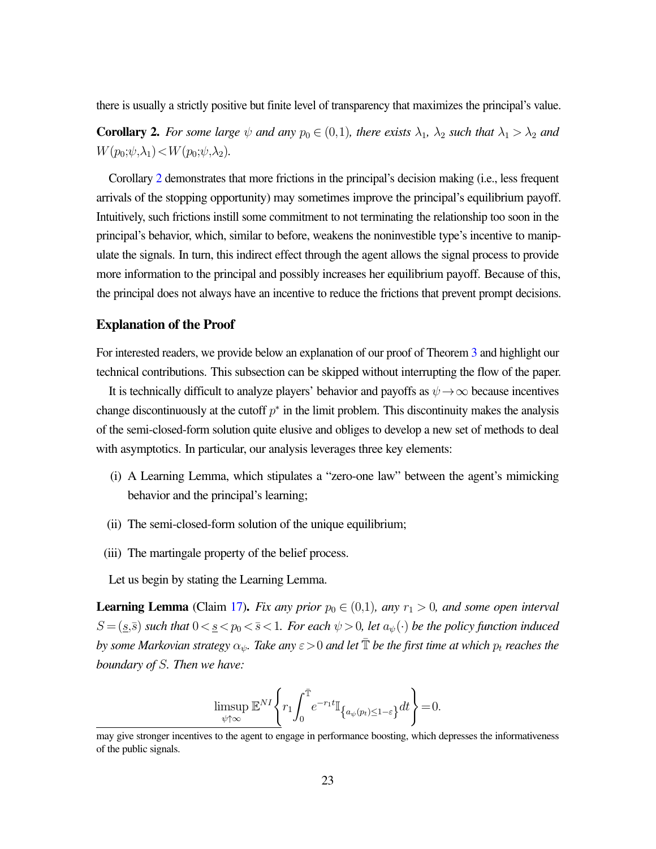there is usually a strictly positive but finite level of transparency that maximizes the principal's value.

<span id="page-23-0"></span>**Corollary 2.** For some large  $\psi$  and any  $p_0 \in (0,1)$ , there exists  $\lambda_1$ ,  $\lambda_2$  such that  $\lambda_1 > \lambda_2$  and  $W(p_0;\psi,\lambda_1) < W(p_0;\psi,\lambda_2)$ .

Corollary [2](#page-23-0) demonstrates that more frictions in the principal's decision making (i.e., less frequent arrivals of the stopping opportunity) may sometimes improve the principal's equilibrium payoff. Intuitively, such frictions instill some commitment to not terminating the relationship too soon in the principal's behavior, which, similar to before, weakens the noninvestible type's incentive to manipulate the signals. In turn, this indirect effect through the agent allows the signal process to provide more information to the principal and possibly increases her equilibrium payoff. Because of this, the principal does not always have an incentive to reduce the frictions that prevent prompt decisions.

### Explanation of the Proof

For interested readers, we provide below an explanation of our proof of Theorem [3](#page-20-0) and highlight our technical contributions. This subsection can be skipped without interrupting the flow of the paper.

It is technically difficult to analyze players' behavior and payoffs as  $\psi \rightarrow \infty$  because incentives change discontinuously at the cutoff  $p^*$  in the limit problem. This discontinuity makes the analysis of the semi-closed-form solution quite elusive and obliges to develop a new set of methods to deal with asymptotics. In particular, our analysis leverages three key elements:

- (i) A Learning Lemma, which stipulates a "zero-one law" between the agent's mimicking behavior and the principal's learning;
- (ii) The semi-closed-form solution of the unique equilibrium;
- (iii) The martingale property of the belief process.

Let us begin by stating the Learning Lemma.

**Learning Lemma** (Claim [17\)](#page-45-0). *Fix any prior*  $p_0 \in (0,1)$ *, any*  $r_1 > 0$ *, and some open interval*  $S = (s, \bar{s})$  *such that*  $0 < s < p_0 < \bar{s} < 1$ *. For each*  $\psi > 0$ *, let*  $a_{\psi}(\cdot)$  *be the policy function induced by some Markovian strategy*  $\alpha_{\psi}$ . Take any  $\varepsilon > 0$  and let  $\overline{T}$  be the first time at which  $p_t$  reaches the *boundary of* S*. Then we have:*

$$
\limsup_{\psi \uparrow \infty} \mathbb{E}^{NI} \Bigg\{ r_1 \! \int_0^{\bar{\mathbb{T}}} \! e^{-r_1 t} \mathbb{I}_{\big\{ a_{\psi}(p_t) \le 1-\varepsilon \big\}} dt \Bigg\} \! = \! 0.
$$

may give stronger incentives to the agent to engage in performance boosting, which depresses the informativeness of the public signals.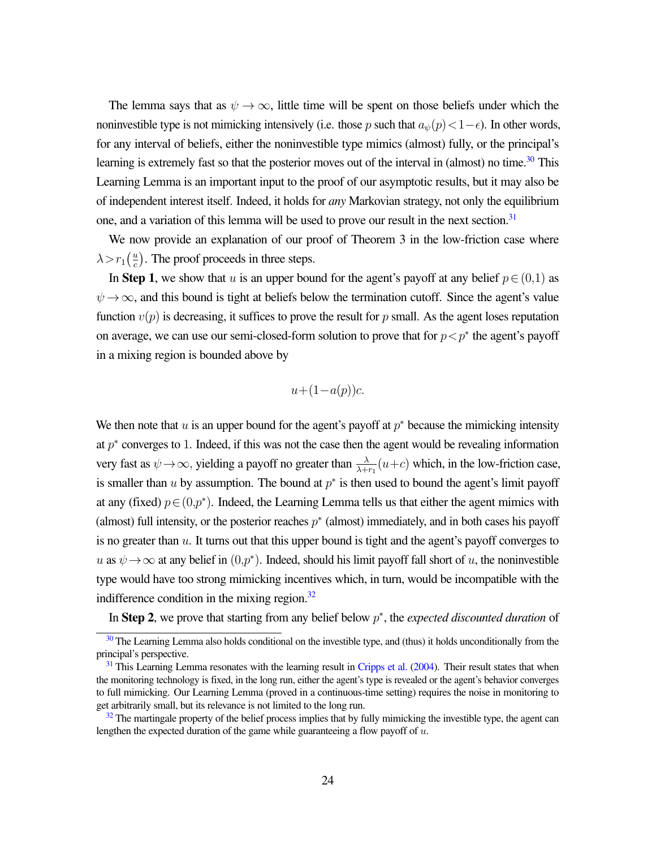The lemma says that as  $\psi \to \infty$ , little time will be spent on those beliefs under which the noninvestible type is not mimicking intensively (i.e. those p such that  $a_{\psi}(p) < 1-\epsilon$ ). In other words, for any interval of beliefs, either the noninvestible type mimics (almost) fully, or the principal's learning is extremely fast so that the posterior moves out of the interval in (almost) no time.<sup>[30](#page-24-0)</sup> This Learning Lemma is an important input to the proof of our asymptotic results, but it may also be of independent interest itself. Indeed, it holds for *any* Markovian strategy, not only the equilibrium one, and a variation of this lemma will be used to prove our result in the next section.<sup>[31](#page-24-1)</sup>

We now provide an explanation of our proof of Theorem 3 in the low-friction case where  $\lambda > r_1 \left( \frac{u}{c} \right)$  $\frac{u}{c}$ ). The proof proceeds in three steps.

In Step 1, we show that u is an upper bound for the agent's payoff at any belief  $p \in (0,1)$  as  $\psi \rightarrow \infty$ , and this bound is tight at beliefs below the termination cutoff. Since the agent's value function  $v(p)$  is decreasing, it suffices to prove the result for p small. As the agent loses reputation on average, we can use our semi-closed-form solution to prove that for  $p < p^*$  the agent's payoff in a mixing region is bounded above by

<span id="page-24-5"></span><span id="page-24-4"></span><span id="page-24-3"></span>
$$
u + (1 - a(p))c.
$$

We then note that  $u$  is an upper bound for the agent's payoff at  $p^*$  because the mimicking intensity at  $p^*$  converges to 1. Indeed, if this was not the case then the agent would be revealing information very fast as  $\psi \to \infty$ , yielding a payoff no greater than  $\frac{\lambda}{\lambda + r_1}(u+c)$  which, in the low-friction case, is smaller than  $u$  by assumption. The bound at  $p^*$  is then used to bound the agent's limit payoff at any (fixed)  $p \in (0,p^*)$ . Indeed, the Learning Lemma tells us that either the agent mimics with (almost) full intensity, or the posterior reaches  $p^*$  (almost) immediately, and in both cases his payoff is no greater than  $u$ . It turns out that this upper bound is tight and the agent's payoff converges to u as  $\psi \to \infty$  at any belief in  $(0, p^*)$ . Indeed, should his limit payoff fall short of u, the noninvestible type would have too strong mimicking incentives which, in turn, would be incompatible with the indifference condition in the mixing region.<sup>[32](#page-24-2)</sup>

In Step 2, we prove that starting from any belief below p ∗ , the *expected discounted duration* of

<span id="page-24-0"></span><sup>&</sup>lt;sup>[30](#page-24-3)</sup> The Learning Lemma also holds conditional on the investible type, and (thus) it holds unconditionally from the principal's perspective.

<span id="page-24-1"></span> $31$  This Learning Lemma resonates with the learning result in [Cripps et al.](#page-28-17) [\(2004\)](#page-28-17). Their result states that when the monitoring technology is fixed, in the long run, either the agent's type is revealed or the agent's behavior converges to full mimicking. Our Learning Lemma (proved in a continuous-time setting) requires the noise in monitoring to get arbitrarily small, but its relevance is not limited to the long run.

<span id="page-24-2"></span> $32$  The martingale property of the belief process implies that by fully mimicking the investible type, the agent can lengthen the expected duration of the game while guaranteeing a flow payoff of  $u$ .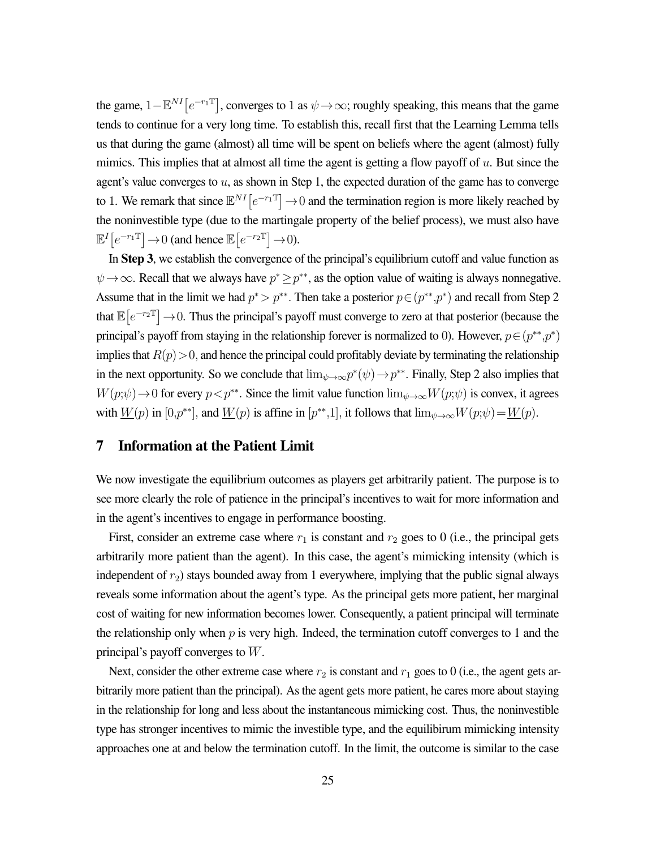the game,  $1 - \mathbb{E}^{NI}[e^{-r_1\mathbb{T}}]$ , converges to 1 as  $\psi \to \infty$ ; roughly speaking, this means that the game tends to continue for a very long time. To establish this, recall first that the Learning Lemma tells us that during the game (almost) all time will be spent on beliefs where the agent (almost) fully mimics. This implies that at almost all time the agent is getting a flow payoff of  $u$ . But since the agent's value converges to  $u$ , as shown in Step 1, the expected duration of the game has to converge to 1. We remark that since  $\mathbb{E}^{NI}[e^{-r_1\mathbb{T}}] \to 0$  and the termination region is more likely reached by the noninvestible type (due to the martingale property of the belief process), we must also have  $\mathbb{E}^{I}[e^{-r_1\mathbb{T}}] \to 0$  (and hence  $\mathbb{E}[e^{-r_2\mathbb{T}}] \to 0$ ).

In Step 3, we establish the convergence of the principal's equilibrium cutoff and value function as  $\psi \rightarrow \infty$ . Recall that we always have  $p^* \geq p^{**}$ , as the option value of waiting is always nonnegative. Assume that in the limit we had  $p^* > p^{**}$ . Then take a posterior  $p \in (p^{**}, p^*)$  and recall from Step 2 that  $\mathbb{E}[e^{-r_2 \mathbb{T}}] \to 0$ . Thus the principal's payoff must converge to zero at that posterior (because the principal's payoff from staying in the relationship forever is normalized to 0). However,  $p \in (p^{**}, p^*)$ implies that  $R(p) > 0$ , and hence the principal could profitably deviate by terminating the relationship in the next opportunity. So we conclude that  $\lim_{\psi \to \infty} p^*(\psi) \to p^{**}$ . Finally, Step 2 also implies that  $W(p;\psi) \to 0$  for every  $p < p^{**}$ . Since the limit value function  $\lim_{\psi \to \infty} W(p;\psi)$  is convex, it agrees with  $\underline{W}(p)$  in  $[0,p^{**}]$ , and  $\underline{W}(p)$  is affine in  $[p^{**},1]$ , it follows that  $\lim_{\psi \to \infty} W(p;\psi) = \underline{W}(p)$ .

### <span id="page-25-0"></span>7 Information at the Patient Limit

We now investigate the equilibrium outcomes as players get arbitrarily patient. The purpose is to see more clearly the role of patience in the principal's incentives to wait for more information and in the agent's incentives to engage in performance boosting.

First, consider an extreme case where  $r_1$  is constant and  $r_2$  goes to 0 (i.e., the principal gets arbitrarily more patient than the agent). In this case, the agent's mimicking intensity (which is independent of  $r<sub>2</sub>$ ) stays bounded away from 1 everywhere, implying that the public signal always reveals some information about the agent's type. As the principal gets more patient, her marginal cost of waiting for new information becomes lower. Consequently, a patient principal will terminate the relationship only when  $p$  is very high. Indeed, the termination cutoff converges to 1 and the principal's payoff converges to  $\overline{W}$ .

Next, consider the other extreme case where  $r_2$  is constant and  $r_1$  goes to 0 (i.e., the agent gets arbitrarily more patient than the principal). As the agent gets more patient, he cares more about staying in the relationship for long and less about the instantaneous mimicking cost. Thus, the noninvestible type has stronger incentives to mimic the investible type, and the equilibirum mimicking intensity approaches one at and below the termination cutoff. In the limit, the outcome is similar to the case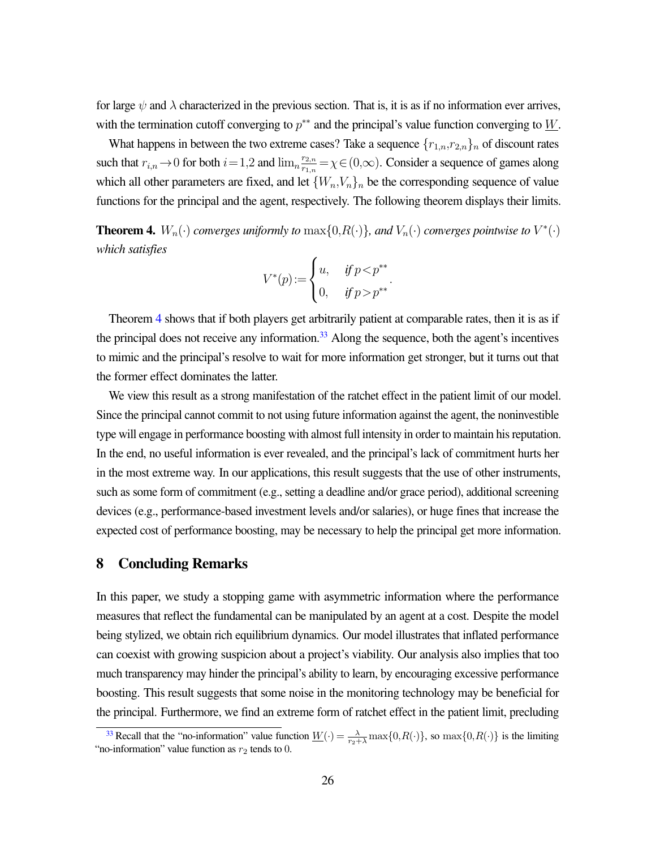for large  $\psi$  and  $\lambda$  characterized in the previous section. That is, it is as if no information ever arrives, with the termination cutoff converging to  $p^{**}$  and the principal's value function converging to  $W$ .

What happens in between the two extreme cases? Take a sequence  $\{r_{1,n}, r_{2,n}\}_n$  of discount rates such that  $r_{i,n} \to 0$  for both  $i=1,2$  and  $\lim_{n \to \infty} \frac{r_{2,n}}{r_{1,n}}$  $\frac{r_{2,n}}{r_{1,n}} = \chi \in (0,\infty)$ . Consider a sequence of games along which all other parameters are fixed, and let  $\{W_n, V_n\}_n$  be the corresponding sequence of value functions for the principal and the agent, respectively. The following theorem displays their limits.

<span id="page-26-0"></span>**Theorem 4.**  $W_n(\cdot)$  *converges uniformly to*  $\max\{0, R(\cdot)\}\$ *, and*  $V_n(\cdot)$  *converges pointwise to*  $V^*(\cdot)$ *which satisfies*

<span id="page-26-2"></span>
$$
V^*(p) := \begin{cases} u, & \text{if } p < p^{**} \\ 0, & \text{if } p > p^{**} \end{cases}.
$$

Theorem [4](#page-26-0) shows that if both players get arbitrarily patient at comparable rates, then it is as if the principal does not receive any information.<sup>[33](#page-26-1)</sup> Along the sequence, both the agent's incentives to mimic and the principal's resolve to wait for more information get stronger, but it turns out that the former effect dominates the latter.

We view this result as a strong manifestation of the ratchet effect in the patient limit of our model. Since the principal cannot commit to not using future information against the agent, the noninvestible type will engage in performance boosting with almost full intensity in order to maintain his reputation. In the end, no useful information is ever revealed, and the principal's lack of commitment hurts her in the most extreme way. In our applications, this result suggests that the use of other instruments, such as some form of commitment (e.g., setting a deadline and/or grace period), additional screening devices (e.g., performance-based investment levels and/or salaries), or huge fines that increase the expected cost of performance boosting, may be necessary to help the principal get more information.

### 8 Concluding Remarks

In this paper, we study a stopping game with asymmetric information where the performance measures that reflect the fundamental can be manipulated by an agent at a cost. Despite the model being stylized, we obtain rich equilibrium dynamics. Our model illustrates that inflated performance can coexist with growing suspicion about a project's viability. Our analysis also implies that too much transparency may hinder the principal's ability to learn, by encouraging excessive performance boosting. This result suggests that some noise in the monitoring technology may be beneficial for the principal. Furthermore, we find an extreme form of ratchet effect in the patient limit, precluding

<span id="page-26-1"></span><sup>&</sup>lt;sup>[33](#page-26-2)</sup> Recall that the "no-information" value function  $\underline{W}(\cdot) = \frac{\lambda}{r_2 + \lambda} \max\{0, R(\cdot)\}\$ , so  $\max\{0, R(\cdot)\}\$  is the limiting "no-information" value function as  $r_2$  tends to 0.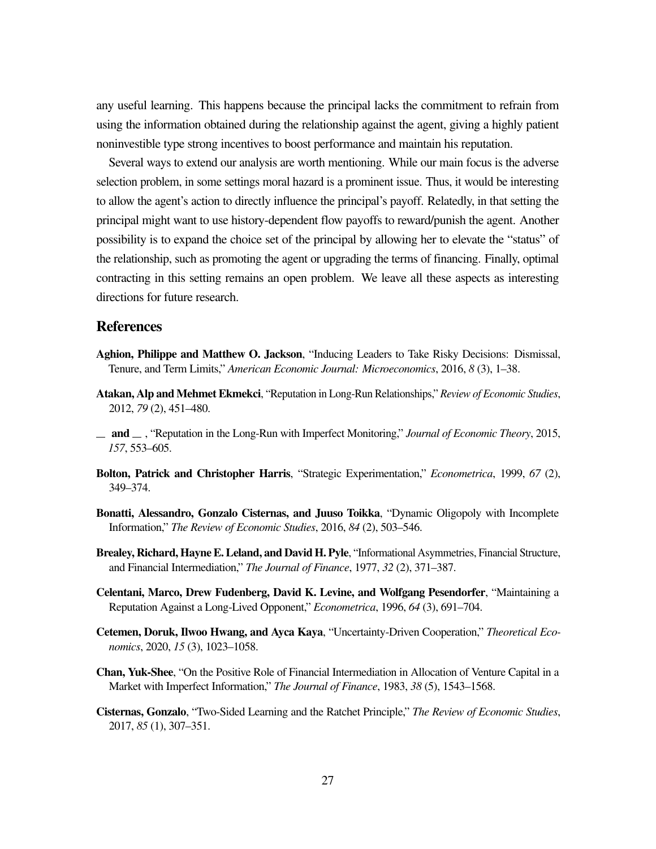any useful learning. This happens because the principal lacks the commitment to refrain from using the information obtained during the relationship against the agent, giving a highly patient noninvestible type strong incentives to boost performance and maintain his reputation.

Several ways to extend our analysis are worth mentioning. While our main focus is the adverse selection problem, in some settings moral hazard is a prominent issue. Thus, it would be interesting to allow the agent's action to directly influence the principal's payoff. Relatedly, in that setting the principal might want to use history-dependent flow payoffs to reward/punish the agent. Another possibility is to expand the choice set of the principal by allowing her to elevate the "status" of the relationship, such as promoting the agent or upgrading the terms of financing. Finally, optimal contracting in this setting remains an open problem. We leave all these aspects as interesting directions for future research.

### **References**

- <span id="page-27-7"></span>Aghion, Philippe and Matthew O. Jackson, "Inducing Leaders to Take Risky Decisions: Dismissal, Tenure, and Term Limits," *American Economic Journal: Microeconomics*, 2016, *8* (3), 1–38.
- <span id="page-27-5"></span>Atakan, Alp and Mehmet Ekmekci, "Reputation in Long-Run Relationships," *Review of Economic Studies*, 2012, *79* (2), 451–480.
- <span id="page-27-6"></span>and , "Reputation in the Long-Run with Imperfect Monitoring," *Journal of Economic Theory*, 2015, *157*, 553–605.
- <span id="page-27-8"></span>Bolton, Patrick and Christopher Harris, "Strategic Experimentation," *Econometrica*, 1999, *67* (2), 349–374.
- <span id="page-27-2"></span>Bonatti, Alessandro, Gonzalo Cisternas, and Juuso Toikka, "Dynamic Oligopoly with Incomplete Information," *The Review of Economic Studies*, 2016, *84* (2), 503–546.
- <span id="page-27-0"></span>Brealey, Richard, Hayne E. Leland, and David H. Pyle, "Informational Asymmetries, Financial Structure, and Financial Intermediation," *The Journal of Finance*, 1977, *32* (2), 371–387.
- <span id="page-27-4"></span>Celentani, Marco, Drew Fudenberg, David K. Levine, and Wolfgang Pesendorfer, "Maintaining a Reputation Against a Long-Lived Opponent," *Econometrica*, 1996, *64* (3), 691–704.
- <span id="page-27-9"></span>Cetemen, Doruk, Ilwoo Hwang, and Ayca Kaya, "Uncertainty-Driven Cooperation," *Theoretical Economics*, 2020, *15* (3), 1023–1058.
- <span id="page-27-1"></span>Chan, Yuk-Shee, "On the Positive Role of Financial Intermediation in Allocation of Venture Capital in a Market with Imperfect Information," *The Journal of Finance*, 1983, *38* (5), 1543–1568.
- <span id="page-27-3"></span>Cisternas, Gonzalo, "Two-Sided Learning and the Ratchet Principle," *The Review of Economic Studies*, 2017, *85* (1), 307–351.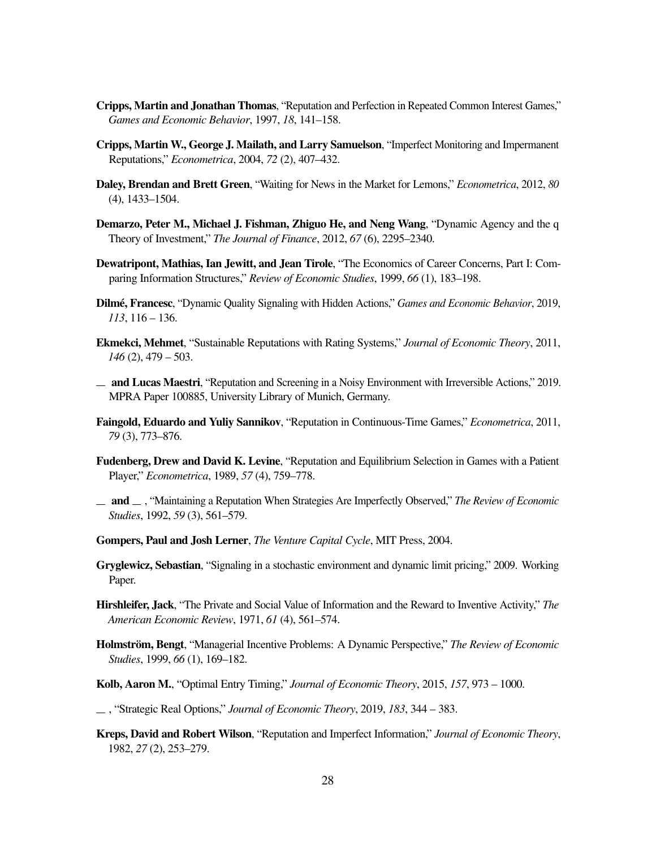- <span id="page-28-12"></span>Cripps, Martin and Jonathan Thomas, "Reputation and Perfection in Repeated Common Interest Games," *Games and Economic Behavior*, 1997, *18*, 141–158.
- <span id="page-28-17"></span>Cripps, Martin W., George J. Mailath, and Larry Samuelson, "Imperfect Monitoring and Impermanent Reputations," *Econometrica*, 2004, *72* (2), 407–432.
- <span id="page-28-7"></span>Daley, Brendan and Brett Green, "Waiting for News in the Market for Lemons," *Econometrica*, 2012, *80* (4), 1433–1504.
- <span id="page-28-1"></span>Demarzo, Peter M., Michael J. Fishman, Zhiguo He, and Neng Wang, "Dynamic Agency and the q Theory of Investment," *The Journal of Finance*, 2012, *67* (6), 2295–2340.
- <span id="page-28-15"></span>Dewatripont, Mathias, Ian Jewitt, and Jean Tirole, "The Economics of Career Concerns, Part I: Comparing Information Structures," *Review of Economic Studies*, 1999, *66* (1), 183–198.
- <span id="page-28-10"></span>Dilmé, Francesc, "Dynamic Quality Signaling with Hidden Actions," *Games and Economic Behavior*, 2019, *113*, 116 – 136.
- <span id="page-28-13"></span>Ekmekci, Mehmet, "Sustainable Reputations with Rating Systems," *Journal of Economic Theory*, 2011, *146* (2), 479 – 503.
- <span id="page-28-11"></span> $-$  and Lucas Maestri, "Reputation and Screening in a Noisy Environment with Irreversible Actions," 2019. MPRA Paper 100885, University Library of Munich, Germany.
- <span id="page-28-5"></span>Faingold, Eduardo and Yuliy Sannikov, "Reputation in Continuous-Time Games," *Econometrica*, 2011, *79* (3), 773–876.
- <span id="page-28-3"></span>Fudenberg, Drew and David K. Levine, "Reputation and Equilibrium Selection in Games with a Patient Player," *Econometrica*, 1989, *57* (4), 759–778.
- <span id="page-28-4"></span>and , "Maintaining a Reputation When Strategies Are Imperfectly Observed," *The Review of Economic Studies*, 1992, *59* (3), 561–579.
- <span id="page-28-0"></span>Gompers, Paul and Josh Lerner, *The Venture Capital Cycle*, MIT Press, 2004.
- <span id="page-28-6"></span>Gryglewicz, Sebastian, "Signaling in a stochastic environment and dynamic limit pricing," 2009. Working Paper.
- <span id="page-28-16"></span>Hirshleifer, Jack, "The Private and Social Value of Information and the Reward to Inventive Activity," *The American Economic Review*, 1971, *61* (4), 561–574.
- <span id="page-28-14"></span>**Holmström, Bengt**, "Managerial Incentive Problems: A Dynamic Perspective," *The Review of Economic Studies*, 1999, *66* (1), 169–182.
- <span id="page-28-8"></span>Kolb, Aaron M., "Optimal Entry Timing," *Journal of Economic Theory*, 2015, *157*, 973 – 1000.
- <span id="page-28-9"></span>, "Strategic Real Options," *Journal of Economic Theory*, 2019, *183*, 344 – 383.
- <span id="page-28-2"></span>Kreps, David and Robert Wilson, "Reputation and Imperfect Information," *Journal of Economic Theory*, 1982, *27* (2), 253–279.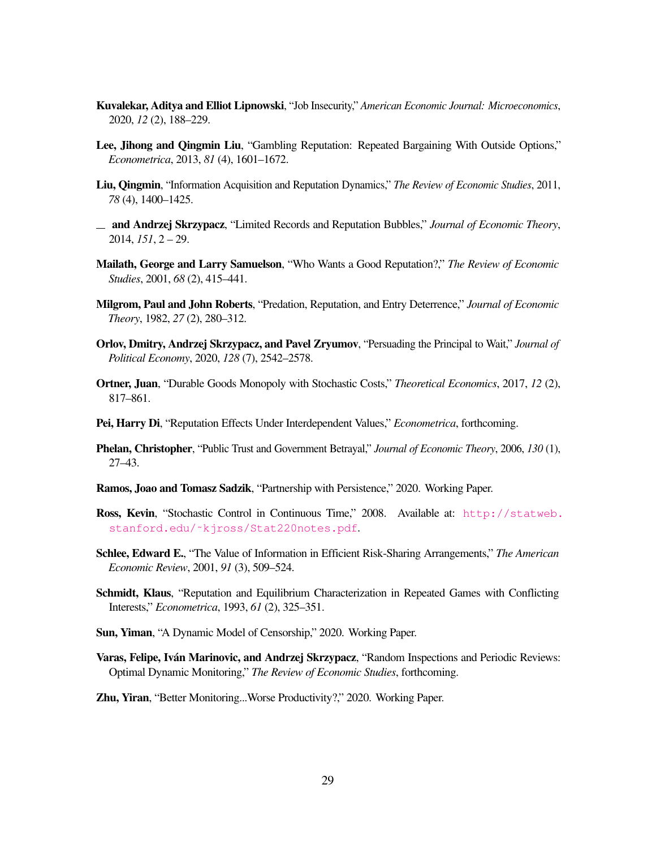- <span id="page-29-11"></span>Kuvalekar, Aditya and Elliot Lipnowski, "Job Insecurity," *American Economic Journal: Microeconomics*, 2020, *12* (2), 188–229.
- <span id="page-29-9"></span>Lee, Jihong and Qingmin Liu, "Gambling Reputation: Repeated Bargaining With Outside Options," *Econometrica*, 2013, *81* (4), 1601–1672.
- <span id="page-29-8"></span>Liu, Qingmin, "Information Acquisition and Reputation Dynamics," *The Review of Economic Studies*, 2011, *78* (4), 1400–1425.
- <span id="page-29-10"></span>and Andrzej Skrzypacz, "Limited Records and Reputation Bubbles," *Journal of Economic Theory*, 2014, *151*, 2 – 29.
- <span id="page-29-6"></span>Mailath, George and Larry Samuelson, "Who Wants a Good Reputation?," *The Review of Economic Studies*, 2001, *68* (2), 415–441.
- <span id="page-29-2"></span>Milgrom, Paul and John Roberts, "Predation, Reputation, and Entry Deterrence," *Journal of Economic Theory*, 1982, *27* (2), 280–312.
- <span id="page-29-12"></span>Orlov, Dmitry, Andrzej Skrzypacz, and Pavel Zryumov, "Persuading the Principal to Wait," *Journal of Political Economy*, 2020, *128* (7), 2542–2578.
- <span id="page-29-0"></span>Ortner, Juan, "Durable Goods Monopoly with Stochastic Costs," *Theoretical Economics*, 2017, *12* (2), 817–861.
- <span id="page-29-3"></span>Pei, Harry Di, "Reputation Effects Under Interdependent Values," *Econometrica*, forthcoming.
- <span id="page-29-7"></span>Phelan, Christopher, "Public Trust and Government Betrayal," *Journal of Economic Theory*, 2006, *130* (1), 27–43.
- <span id="page-29-15"></span>Ramos, Joao and Tomasz Sadzik, "Partnership with Persistence," 2020. Working Paper.
- <span id="page-29-16"></span>Ross, Kevin, "Stochastic Control in Continuous Time," 2008. Available at: [http://statweb.](http://statweb.stanford.edu/~kjross/Stat220notes.pdf) [stanford.edu/˜kjross/Stat220notes.pdf](http://statweb.stanford.edu/~kjross/Stat220notes.pdf).
- <span id="page-29-13"></span>Schlee, Edward E., "The Value of Information in Efficient Risk-Sharing Arrangements," *The American Economic Review*, 2001, *91* (3), 509–524.
- <span id="page-29-5"></span>Schmidt, Klaus, "Reputation and Equilibrium Characterization in Repeated Games with Conflicting Interests," *Econometrica*, 1993, *61* (2), 325–351.
- <span id="page-29-4"></span>Sun, Yiman, "A Dynamic Model of Censorship," 2020. Working Paper.
- <span id="page-29-1"></span>Varas, Felipe, Iván Marinovic, and Andrzej Skrzypacz, "Random Inspections and Periodic Reviews: Optimal Dynamic Monitoring," *The Review of Economic Studies*, forthcoming.
- <span id="page-29-14"></span>Zhu, Yiran, "Better Monitoring...Worse Productivity?," 2020. Working Paper.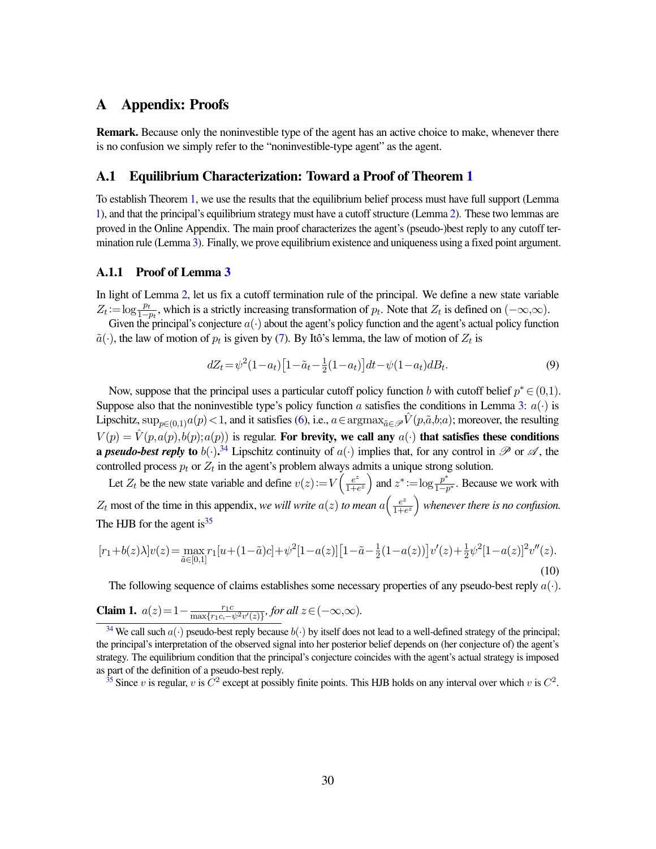### A Appendix: Proofs

Remark. Because only the noninvestible type of the agent has an active choice to make, whenever there is no confusion we simply refer to the "noninvestible-type agent" as the agent.

### A.[1](#page-11-0) Equilibrium Characterization: Toward a Proof of Theorem 1

To establish Theorem [1,](#page-11-0) we use the results that the equilibrium belief process must have full support (Lemma [1\)](#page-10-2), and that the principal's equilibrium strategy must have a cutoff structure (Lemma [2\)](#page-15-2). These two lemmas are proved in the Online Appendix. The main proof characterizes the agent's (pseudo-)best reply to any cutoff termination rule (Lemma [3\)](#page-16-1). Finally, we prove equilibrium existence and uniqueness using a fixed point argument.

#### A.1.1 Proof of Lemma [3](#page-16-1)

In light of Lemma [2,](#page-15-2) let us fix a cutoff termination rule of the principal. We define a new state variable  $Z_t := \log \frac{p_t}{1-p_t}$ , which is a strictly increasing transformation of  $p_t$ . Note that  $Z_t$  is defined on  $(-\infty,\infty)$ .

Given the principal's conjecture  $a(\cdot)$  about the agent's policy function and the agent's actual policy function  $\tilde{a}(\cdot)$ , the law of motion of  $p_t$  is given by [\(7\)](#page-15-1). By Itô's lemma, the law of motion of  $Z_t$  is

<span id="page-30-5"></span><span id="page-30-3"></span>
$$
dZ_t = \psi^2 (1 - a_t) \left[ 1 - \tilde{a}_t - \frac{1}{2} (1 - a_t) \right] dt - \psi (1 - a_t) dB_t.
$$
\n(9)

Now, suppose that the principal uses a particular cutoff policy function b with cutoff belief  $p^* \in (0,1)$ . Suppose also that the noninvestible type's policy function a satisfies the conditions in Lemma [3:](#page-16-1)  $a(\cdot)$  is Lipschitz, sup<sub>p∈(0,1)</sub>a(p) < 1, and it satisfies [\(6\)](#page-15-0), i.e.,  $a \in \text{argmax}_{\tilde{a} \in \mathcal{P}} \hat{V}(p, \tilde{a}, b; a)$ ; moreover, the resulting  $V(p) = \hat{V}(p,a(p),b(p);a(p))$  is regular. For brevity, we call any  $a(\cdot)$  that satisfies these conditions **a** *pseudo-best reply* **to**  $b(\cdot)$ .<sup>[34](#page-30-1)</sup> Lipschitz continuity of  $a(\cdot)$  implies that, for any control in  $\mathscr P$  or  $\mathscr A$ , the controlled process  $p_t$  or  $Z_t$  in the agent's problem always admits a unique strong solution.

Let  $Z_t$  be the new state variable and define  $v(z) := V\left(\frac{e^z}{1+t}\right)$  $\frac{e^z}{1+e^z}$  and  $z^* := \log \frac{p^*}{1-p}$  $\frac{p}{1-p^*}$ . Because we work with  $Z_t$  most of the time in this appendix, *we will write*  $a(z)$  *to mean*  $a\left(\frac{e^z}{1+t}\right)$  $\frac{e^z}{1+e^z}$  whenever there is no confusion. The HJB for the agent is  $35$ 

<span id="page-30-4"></span><span id="page-30-0"></span>
$$
[r_1+b(z)\lambda]v(z) = \max_{\tilde{a}\in[0,1]} r_1[u+(1-\tilde{a})c] + \psi^2[1-a(z)][1-\tilde{a}-\frac{1}{2}(1-a(z))]v'(z) + \frac{1}{2}\psi^2[1-a(z)]^2v''(z).
$$
\n(10)

The following sequence of claims establishes some necessary properties of any pseudo-best reply  $a(\cdot)$ .

<span id="page-30-6"></span>**Claim 1.** 
$$
a(z) = 1 - \frac{r_1 c}{\max\{r_1 c, -\psi^2 v'(z)\}},
$$
 for all  $z \in (-\infty, \infty)$ .

<span id="page-30-2"></span><sup>[35](#page-30-4)</sup> Since v is regular, v is  $C^2$  except at possibly finite points. This HJB holds on any interval over which v is  $C^2$ .

<span id="page-30-1"></span><sup>&</sup>lt;sup>[34](#page-30-3)</sup> We call such  $a(\cdot)$  pseudo-best reply because  $b(\cdot)$  by itself does not lead to a well-defined strategy of the principal; the principal's interpretation of the observed signal into her posterior belief depends on (her conjecture of) the agent's strategy. The equilibrium condition that the principal's conjecture coincides with the agent's actual strategy is imposed as part of the definition of a pseudo-best reply.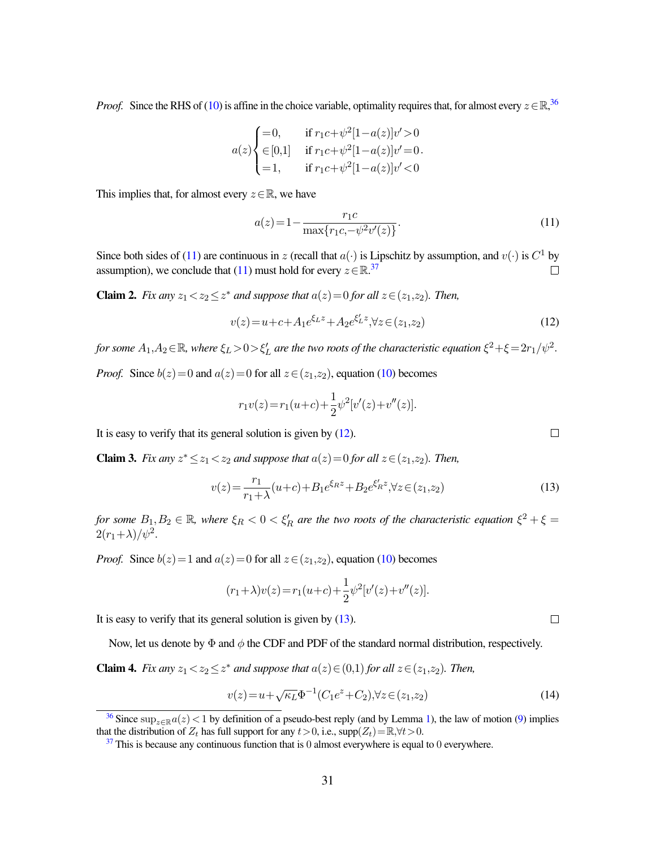*Proof.* Since the RHS of [\(10\)](#page-30-0) is affine in the choice variable, optimality requires that, for almost every  $z \in \mathbb{R}$ ,<sup>[36](#page-31-0)</sup>

$$
a(z) \begin{cases} =0, & \text{if } r_1c + \psi^2[1-a(z)]v' > 0 \\ \in [0,1] & \text{if } r_1c + \psi^2[1-a(z)]v' = 0 \\ =1, & \text{if } r_1c + \psi^2[1-a(z)]v' < 0 \end{cases}
$$

This implies that, for almost every  $z \in \mathbb{R}$ , we have

<span id="page-31-6"></span><span id="page-31-5"></span><span id="page-31-1"></span>
$$
a(z) = 1 - \frac{r_1 c}{\max\{r_1 c, -\psi^2 v'(z)\}}.
$$
\n(11)

Since both sides of [\(11\)](#page-31-1) are continuous in z (recall that  $a(\cdot)$  is Lipschitz by assumption, and  $v(\cdot)$  is  $C^1$  by assumption), we conclude that [\(11\)](#page-31-1) must hold for every  $z \in \mathbb{R}^{37}$  $z \in \mathbb{R}^{37}$  $z \in \mathbb{R}^{37}$  $\Box$ 

<span id="page-31-9"></span>**Claim 2.** *Fix any*  $z_1 < z_2 \leq z^*$  *and suppose that*  $a(z) = 0$  *for all*  $z \in (z_1, z_2)$ *. Then,* 

<span id="page-31-3"></span>
$$
v(z) = u + c + A_1 e^{\xi_L z} + A_2 e^{\xi'_L z}, \forall z \in (z_1, z_2)
$$
\n(12)

for some  $A_1, A_2$   $\in$   $\mathbb R$ *, where*  $\xi_L$   $>$   $0$   $>$   $\xi'_L$  are the two roots of the characteristic equation  $\xi^2 + \xi$   $=$   $2r_1/\psi^2$ .

*Proof.* Since  $b(z) = 0$  and  $a(z) = 0$  for all  $z \in (z_1, z_2)$ , equation [\(10\)](#page-30-0) becomes

$$
r_1v(z) = r_1(u+c) + \frac{1}{2}\psi^2[v'(z) + v''(z)].
$$

It is easy to verify that its general solution is given by [\(12\)](#page-31-3).

<span id="page-31-10"></span>**Claim 3.** *Fix any*  $z^* \leq z_1 < z_2$  *and suppose that*  $a(z) = 0$  *for all*  $z \in (z_1, z_2)$ *. Then,* 

<span id="page-31-4"></span>
$$
v(z) = \frac{r_1}{r_1 + \lambda}(u+c) + B_1 e^{\xi_R z} + B_2 e^{\xi'_R z}, \forall z \in (z_1, z_2)
$$
\n(13)

*for some*  $B_1, B_2 \in \mathbb{R}$ , where  $\xi_R < 0 < \xi_R'$  are the two roots of the characteristic equation  $\xi^2 + \xi =$  $2(r_1+\lambda)/\psi^2$ .

*Proof.* Since  $b(z) = 1$  and  $a(z) = 0$  for all  $z \in (z_1, z_2)$ , equation [\(10\)](#page-30-0) becomes

$$
(r_1 + \lambda)v(z) = r_1(u+c) + \frac{1}{2}\psi^2[v'(z) + v''(z)].
$$

It is easy to verify that its general solution is given by [\(13\)](#page-31-4).

Now, let us denote by  $\Phi$  and  $\phi$  the CDF and PDF of the standard normal distribution, respectively.

<span id="page-31-8"></span>**Claim 4.** *Fix any*  $z_1 < z_2 \leq z^*$  *and suppose that*  $a(z) \in (0,1)$  *for all*  $z \in (z_1,z_2)$ *. Then,* 

<span id="page-31-7"></span>
$$
v(z) = u + \sqrt{\kappa_L} \Phi^{-1} (C_1 e^z + C_2), \forall z \in (z_1, z_2)
$$
\n(14)

 $\Box$ 

 $\Box$ 

<span id="page-31-0"></span><sup>&</sup>lt;sup>[36](#page-31-5)</sup> Since sup<sub>z∈R</sub>a(z) < 1 by definition of a pseudo-best reply (and by Lemma [1\)](#page-10-2), the law of motion [\(9\)](#page-30-5) implies that the distribution of  $Z_t$  has full support for any  $t>0$ , i.e.,  $supp(Z_t)=\mathbb{R}, \forall t>0$ .

<span id="page-31-2"></span> $37$  This is because any continuous function that is 0 almost everywhere is equal to 0 everywhere.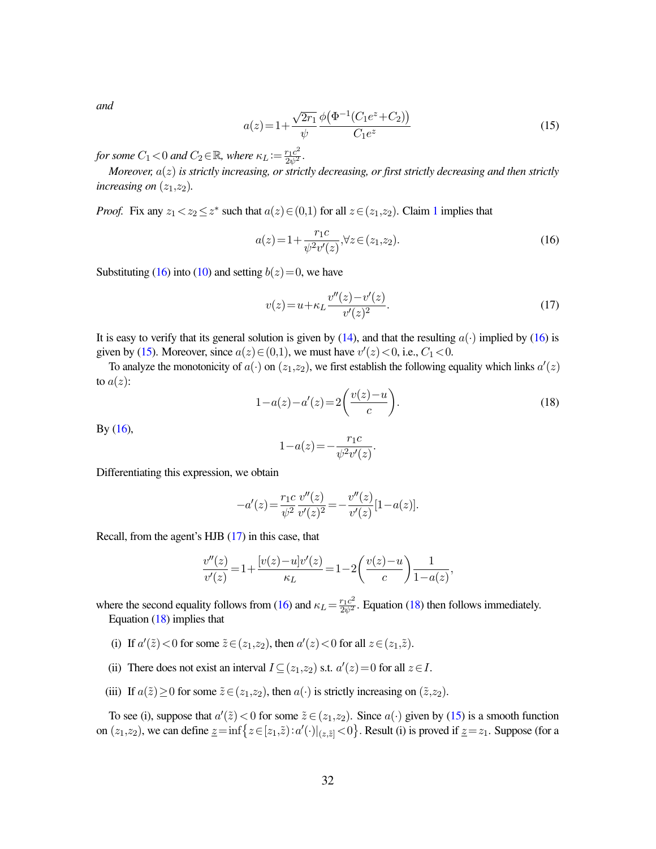*and*

<span id="page-32-1"></span>
$$
a(z) = 1 + \frac{\sqrt{2r_1}}{\psi} \frac{\phi(\Phi^{-1}(C_1 e^z + C_2))}{C_1 e^z}
$$
\n(15)

for some  $C_1 < 0$  and  $C_2 \in \mathbb{R}$ , where  $\kappa_L := \frac{r_1 c^2}{2\psi^2}$ .

*Moreover,* a(z) *is strictly increasing, or strictly decreasing, or first strictly decreasing and then strictly increasing on*  $(z_1, z_2)$ *.* 

*Proof.* Fix any  $z_1 < z_2 \leq z^*$  $z_1 < z_2 \leq z^*$  $z_1 < z_2 \leq z^*$  such that  $a(z) \in (0,1)$  for all  $z \in (z_1,z_2)$ . Claim 1 implies that

<span id="page-32-0"></span>
$$
a(z) = 1 + \frac{r_1 c}{\psi^2 v'(z)}, \forall z \in (z_1, z_2). \tag{16}
$$

Substituting [\(16\)](#page-32-0) into [\(10\)](#page-30-0) and setting  $b(z)=0$ , we have

<span id="page-32-2"></span>
$$
v(z) = u + \kappa_L \frac{v''(z) - v'(z)}{v'(z)^2}.
$$
\n(17)

It is easy to verify that its general solution is given by [\(14\)](#page-31-7), and that the resulting  $a(\cdot)$  implied by [\(16\)](#page-32-0) is given by [\(15\)](#page-32-1). Moreover, since  $a(z) \in (0,1)$ , we must have  $v'(z) < 0$ , i.e.,  $C_1 < 0$ .

To analyze the monotonicity of  $a(\cdot)$  on  $(z_1, z_2)$ , we first establish the following equality which links  $a'(z)$ to  $a(z)$ :

<span id="page-32-3"></span>
$$
1 - a(z) - a'(z) = 2\left(\frac{v(z) - u}{c}\right).
$$
\n(18)

By  $(16)$ ,

$$
1 - a(z) = -\frac{r_1 c}{\psi^2 v'(z)}.
$$

Differentiating this expression, we obtain

$$
-a'(z) = \frac{r_1 c}{\psi^2} \frac{v''(z)}{v'(z)^2} = -\frac{v''(z)}{v'(z)} [1 - a(z)].
$$

Recall, from the agent's HJB [\(17\)](#page-32-2) in this case, that

$$
\frac{v''(z)}{v'(z)} = 1 + \frac{[v(z) - u]v'(z)}{\kappa_L} = 1 - 2\left(\frac{v(z) - u}{c}\right)\frac{1}{1 - a(z)},
$$

where the second equality follows from [\(16\)](#page-32-0) and  $\kappa_L = \frac{r_1 c^2}{2\psi^2}$ . Equation [\(18\)](#page-32-3) then follows immediately. Equation [\(18\)](#page-32-3) implies that

- (i) If  $a'(\tilde{z}) < 0$  for some  $\tilde{z} \in (z_1, z_2)$ , then  $a'(z) < 0$  for all  $z \in (z_1, \tilde{z})$ .
- (ii) There does not exist an interval  $I \subseteq (z_1, z_2)$  s.t.  $a'(z) = 0$  for all  $z \in I$ .
- (iii) If  $a(\tilde{z}) \ge 0$  for some  $\tilde{z} \in (z_1,z_2)$ , then  $a(\cdot)$  is strictly increasing on  $(\tilde{z},z_2)$ .

To see (i), suppose that  $a'(\tilde{z}) < 0$  for some  $\tilde{z} \in (z_1, z_2)$ . Since  $a(\cdot)$  given by [\(15\)](#page-32-1) is a smooth function on  $(z_1, z_2)$ , we can define  $\underline{z} = \inf \{ z \in [z_1, \tilde{z}) : a'(\cdot)|_{(z, \tilde{z})} < 0 \}$ . Result (i) is proved if  $\underline{z} = z_1$ . Suppose (for a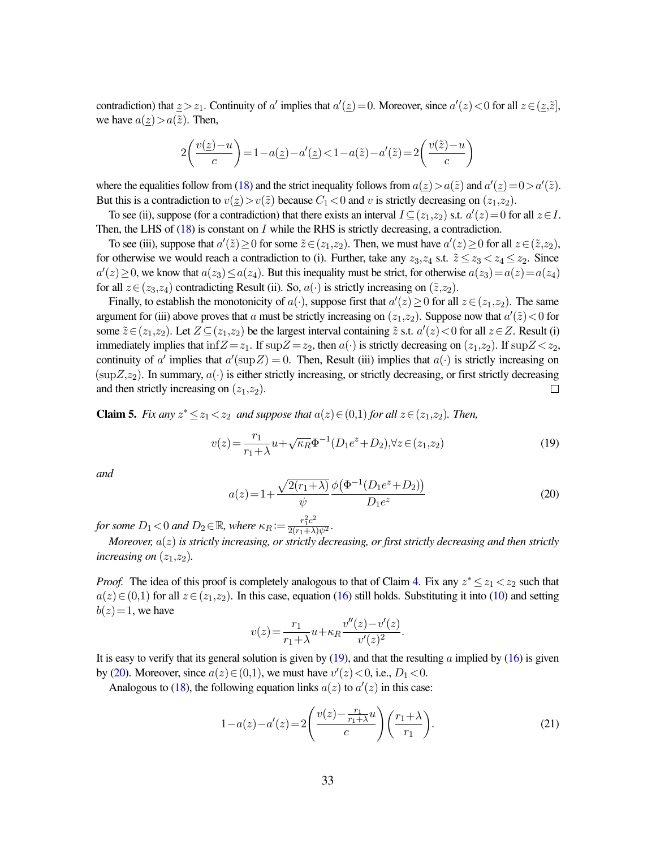contradiction) that  $z > z_1$ . Continuity of a' implies that  $a'(z) = 0$ . Moreover, since  $a'(z) < 0$  for all  $z \in (z, \tilde{z}]$ , we have  $a(\underline{z})>a(\tilde{z})$ . Then,

$$
2\left(\frac{v(\underline{z})-u}{c}\right) = 1 - a(\underline{z}) - a'(\underline{z}) < 1 - a(\widetilde{z}) - a'(\widetilde{z}) = 2\left(\frac{v(\widetilde{z})-u}{c}\right)
$$

where the equalities follow from [\(18\)](#page-32-3) and the strict inequality follows from  $a(\underline{z}) > a(\tilde{z})$  and  $a'(\underline{z}) = 0 > a'(\tilde{z})$ . But this is a contradiction to  $v(z) > v(\tilde{z})$  because  $C_1 < 0$  and v is strictly decreasing on  $(z_1, z_2)$ .

To see (ii), suppose (for a contradiction) that there exists an interval  $I \subseteq (z_1, z_2)$  s.t.  $a'(z) = 0$  for all  $z \in I$ . Then, the LHS of  $(18)$  is constant on I while the RHS is strictly decreasing, a contradiction.

To see (iii), suppose that  $a'(\tilde{z}) \ge 0$  for some  $\tilde{z} \in (z_1, z_2)$ . Then, we must have  $a'(z) \ge 0$  for all  $z \in (\tilde{z}, z_2)$ , for otherwise we would reach a contradiction to (i). Further, take any  $z_3, z_4$  s.t.  $\tilde{z} \leq z_3 < z_4 \leq z_2$ . Since  $a'(z) \ge 0$ , we know that  $a(z_3) \le a(z_4)$ . But this inequality must be strict, for otherwise  $a(z_3) = a(z) = a(z_4)$ for all  $z \in (z_3, z_4)$  contradicting Result (ii). So,  $a(\cdot)$  is strictly increasing on  $(\tilde{z}, z_2)$ .

Finally, to establish the monotonicity of  $a(\cdot)$ , suppose first that  $a'(z) \ge 0$  for all  $z \in (z_1, z_2)$ . The same argument for (iii) above proves that a must be strictly increasing on  $(z_1, z_2)$ . Suppose now that  $a'(\tilde{z}) < 0$  for some  $\tilde{z} \in (z_1, z_2)$ . Let  $Z \subseteq (z_1, z_2)$  be the largest interval containing  $\tilde{z}$  s.t.  $a'(z) < 0$  for all  $z \in Z$ . Result (i) immediately implies that inf  $Z = z_1$ . If sup $Z = z_2$ , then  $a(\cdot)$  is strictly decreasing on  $(z_1, z_2)$ . If sup $Z < z_2$ , continuity of a' implies that  $a'(sup Z) = 0$ . Then, Result (iii) implies that  $a(\cdot)$  is strictly increasing on  $(\sup Z, z_2)$ . In summary,  $a(\cdot)$  is either strictly increasing, or strictly decreasing, or first strictly decreasing and then strictly increasing on  $(z_1, z_2)$ .  $\Box$ 

<span id="page-33-3"></span>**Claim 5.** *Fix any*  $z^* \leq z_1 < z_2$  *and suppose that*  $a(z) \in (0,1)$  *for all*  $z \in (z_1,z_2)$ *. Then,* 

<span id="page-33-0"></span>
$$
v(z) = \frac{r_1}{r_1 + \lambda} u + \sqrt{\kappa_R} \Phi^{-1} (D_1 e^z + D_2), \forall z \in (z_1, z_2)
$$
\n(19)

*and*

<span id="page-33-1"></span>
$$
a(z) = 1 + \frac{\sqrt{2(r_1 + \lambda)}}{\psi} \frac{\phi(\Phi^{-1}(D_1 e^z + D_2))}{D_1 e^z}
$$
(20)

for some  $D_1 < 0$  and  $D_2 \in \mathbb{R}$ , where  $\kappa_R := \frac{r_1^2 c^2}{2(r_1 + \lambda)\psi^2}$ .

*Moreover,* a(z) *is strictly increasing, or strictly decreasing, or first strictly decreasing and then strictly increasing on*  $(z_1, z_2)$ *.* 

*Proof.* The idea of this proof is completely analogous to that of Claim [4.](#page-31-8) Fix any  $z^* \le z_1 < z_2$  such that  $a(z) \in (0,1)$  for all  $z \in (z_1,z_2)$ . In this case, equation [\(16\)](#page-32-0) still holds. Substituting it into [\(10\)](#page-30-0) and setting  $b(z)=1$ , we have

$$
v(z) = \frac{r_1}{r_1 + \lambda} u + \kappa_R \frac{v''(z) - v'(z)}{v'(z)^2}
$$

It is easy to verify that its general solution is given by  $(19)$ , and that the resulting a implied by  $(16)$  is given by [\(20\)](#page-33-1). Moreover, since  $a(z) \in (0,1)$ , we must have  $v'(z) < 0$ , i.e.,  $D_1 < 0$ .

Analogous to [\(18\)](#page-32-3), the following equation links  $a(z)$  to  $a'(z)$  in this case:

<span id="page-33-2"></span>
$$
1 - a(z) - a'(z) = 2\left(\frac{v(z) - \frac{r_1}{r_1 + \lambda}u}{c}\right)\left(\frac{r_1 + \lambda}{r_1}\right).
$$
\n(21)

.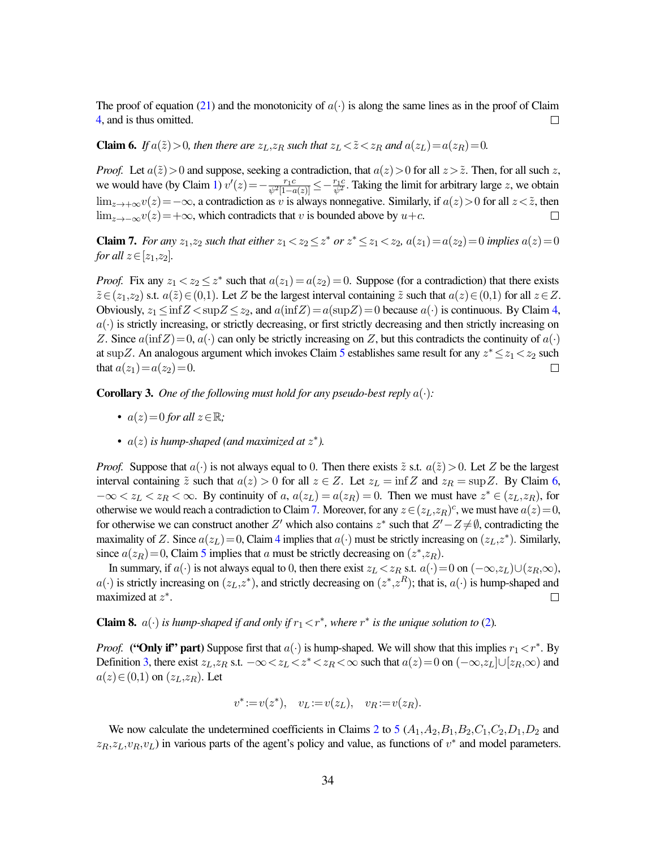The proof of equation [\(21\)](#page-33-2) and the monotonicity of  $a(\cdot)$  is along the same lines as in the proof of Claim [4,](#page-31-8) and is thus omitted.  $\Box$ 

<span id="page-34-0"></span>**Claim 6.** *If*  $a(\tilde{z}) > 0$ *, then there are*  $z_L, z_R$  *such that*  $z_L < \tilde{z} < z_R$  *and*  $a(z_L) = a(z_R) = 0$ *.* 

*Proof.* Let  $a(\tilde{z}) > 0$  and suppose, seeking a contradiction, that  $a(z) > 0$  for all  $z > \tilde{z}$ . Then, for all such z, we would have (by Claim [1\)](#page-30-6)  $v'(z) = -\frac{r_1 c}{\psi^2 |1 - a(z)|} \le -\frac{r_1 c}{\psi^2}$ . Taking the limit for arbitrary large z, we obtain  $\lim_{z\to+\infty}v(z)=-\infty$ , a contradiction as v is always nonnegative. Similarly, if  $a(z)>0$  for all  $z<\tilde{z}$ , then  $\lim_{z\to-\infty}v(z)=+\infty$ , which contradicts that v is bounded above by  $u+c$ .  $\Box$ 

<span id="page-34-1"></span>**Claim 7.** For any  $z_1, z_2$  such that either  $z_1 < z_2 \leq z^*$  or  $z^* \leq z_1 < z_2$ ,  $a(z_1) = a(z_2) = 0$  implies  $a(z) = 0$ *for all*  $z \in [z_1,z_2]$ *.* 

*Proof.* Fix any  $z_1 < z_2 \leq z^*$  such that  $a(z_1) = a(z_2) = 0$ . Suppose (for a contradiction) that there exists  $\tilde{z} \in (z_1, z_2)$  s.t.  $a(\tilde{z}) \in (0,1)$ . Let Z be the largest interval containing  $\tilde{z}$  such that  $a(z) \in (0,1)$  for all  $z \in Z$ . Obviously,  $z_1 \le \inf Z < \sup Z \le z_2$ , and  $a(\inf Z) = a(\sup Z) = 0$  because  $a(\cdot)$  is continuous. By Claim [4,](#page-31-8)  $a(\cdot)$  is strictly increasing, or strictly decreasing, or first strictly decreasing and then strictly increasing on Z. Since  $a(\inf Z)=0$ ,  $a(\cdot)$  can only be strictly increasing on Z, but this contradicts the continuity of  $a(\cdot)$ at supZ. An analogous argument which invokes Claim [5](#page-33-3) establishes same result for any  $z^* \leq z_1 < z_2$  such that  $a(z_1)=a(z_2)=0$ .  $\Box$ 

<span id="page-34-2"></span>**Corollary 3.** One of the following must hold for any pseudo-best reply  $a(\cdot)$ :

- $a(z) = 0$  *for all*  $z \in \mathbb{R}$ ;
- $a(z)$  *is hump-shaped (and maximized at*  $z^*$ ).

*Proof.* Suppose that  $a(\cdot)$  is not always equal to 0. Then there exists  $\tilde{z}$  s.t.  $a(\tilde{z}) > 0$ . Let Z be the largest interval containing  $\tilde{z}$  such that  $a(z) > 0$  for all  $z \in Z$ . Let  $z_L = \inf Z$  and  $z_R = \sup Z$ . By Claim [6,](#page-34-0)  $-\infty < z_L < z_R < \infty$ . By continuity of a,  $a(z_L) = a(z_R) = 0$ . Then we must have  $z^* \in (z_L, z_R)$ , for otherwise we would reach a contradiction to Claim [7.](#page-34-1) Moreover, for any  $z \in (z_L, z_R)^c$ , we must have  $a(z) = 0$ , for otherwise we can construct another Z' which also contains  $z^*$  such that  $Z'-Z\neq\emptyset$ , contradicting the maximality of Z. Since  $a(z_L) = 0$ , Claim [4](#page-31-8) implies that  $a(\cdot)$  must be strictly increasing on  $(z_L, z^*)$ . Similarly, since  $a(z_R) = 0$ , Claim [5](#page-33-3) implies that a must be strictly decreasing on  $(z^*, z_R)$ .

In summary, if  $a(\cdot)$  is not always equal to 0, then there exist  $z_L < z_R$  s.t.  $a(\cdot) = 0$  on  $(-\infty, z_L) \cup (z_R, \infty)$ ,  $a(\cdot)$  is strictly increasing on  $(z_L, z^*)$ , and strictly decreasing on  $(z^*, z^R)$ ; that is,  $a(\cdot)$  is hump-shaped and maximized at  $z^*$ .  $\Box$ 

<span id="page-34-3"></span>**Claim 8.**  $a(\cdot)$  *is hump-shaped if and only if*  $r_1 < r^*$ *, where*  $r^*$  *is the unique solution to* [\(2\)](#page-13-3).

*Proof.* ("Only if" part) Suppose first that  $a(\cdot)$  is hump-shaped. We will show that this implies  $r_1 < r^*$ . By Definition [3,](#page-11-5) there exist  $z_L, z_R$  s.t.  $-\infty < z_L < z^* < z_R < \infty$  such that  $a(z) = 0$  on  $(-\infty, z_L] \cup [z_R, \infty)$  and  $a(z) \in (0,1)$  on  $(z_L,z_R)$ . Let

$$
v^* := v(z^*), \quad v_L := v(z_L), \quad v_R := v(z_R).
$$

We now calculate the undetermined coefficients in Claims [2](#page-31-9) to [5](#page-33-3)  $(A_1, A_2, B_1, B_2, C_1, C_2, D_1, D_2)$  and  $z_R, z_L, v_R, v_L$ ) in various parts of the agent's policy and value, as functions of  $v^*$  and model parameters.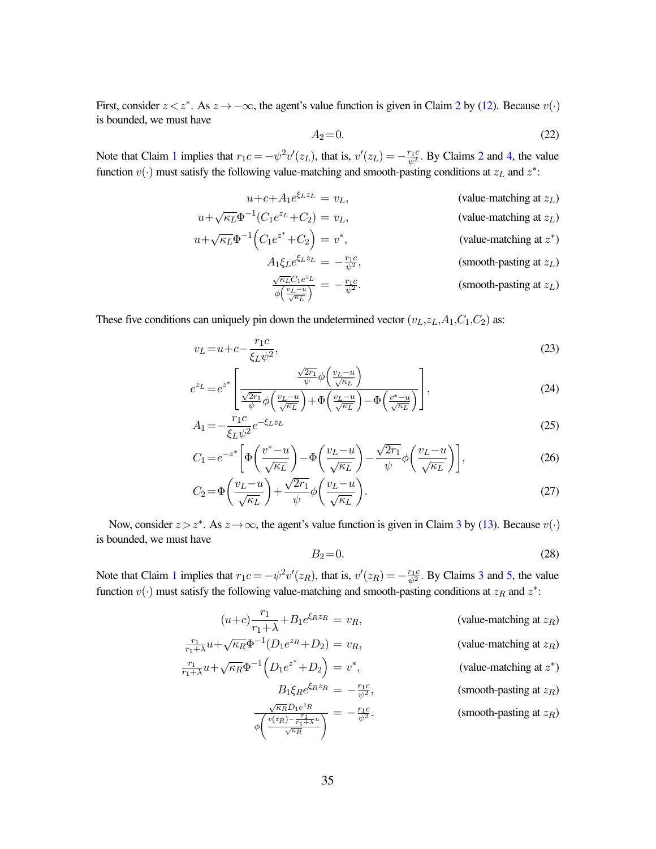First, consider  $z < z^*$ . As  $z \to -\infty$ , the agent's value function is given in Claim [2](#page-31-9) by [\(12\)](#page-31-3). Because  $v(\cdot)$ is bounded, we must have

<span id="page-35-0"></span>
$$
A_2 = 0.\t\t(22)
$$

Note that Claim [1](#page-30-6) implies that  $r_1c = -\psi^2 v'(z_L)$  $r_1c = -\psi^2 v'(z_L)$  $r_1c = -\psi^2 v'(z_L)$ , that is,  $v'(z_L) = -\frac{r_1c}{\psi^2}$ . By Claims 2 and [4,](#page-31-8) the value function  $v(\cdot)$  must satisfy the following value-matching and smooth-pasting conditions at  $z_L$  and  $z^*$ :

$$
u + c + A_1 e^{\xi_L z_L} = v_L,
$$
 (value-matching at  $z_L$ )

$$
u + \sqrt{\kappa_L} \Phi^{-1} (C_1 e^{z_L} + C_2) = v_L,
$$
 (value-matching at  $z_L$ )

$$
u + \sqrt{\kappa_L} \Phi^{-1} \Big( C_1 e^{z^*} + C_2 \Big) = v^*,
$$
 (value-matching at  $z^*$ )

<span id="page-35-1"></span>
$$
A_1 \xi_L e^{\xi_L z_L} = -\frac{r_1 c}{\psi^2},
$$
 (smooth-pasting at  $z_L$ )  

$$
\frac{\sqrt{\kappa_L} C_1 e^{z_L}}{\phi \left(\frac{v_L - u}{\sqrt{\kappa_L}}\right)} = -\frac{r_1 c}{\psi^2}.
$$
 (smooth-pasting at  $z_L$ )

These five conditions can uniquely pin down the undetermined vector  $(v_L, z_L, A_1, C_1, C_2)$  as:

$$
v_L = u + c - \frac{r_1 c}{\xi_L \psi^2},\tag{23}
$$

$$
e^{z_L} = e^{z^*} \left[ \frac{\frac{\sqrt{2r_1}}{\psi} \phi\left(\frac{v_L - u}{\sqrt{\kappa_L}}\right)}{\frac{\sqrt{2r_1}}{\psi} \phi\left(\frac{v_L - u}{\sqrt{\kappa_L}}\right) + \Phi\left(\frac{v_L - u}{\sqrt{\kappa_L}}\right) - \Phi\left(\frac{v^* - u}{\sqrt{\kappa_L}}\right)} \right],\tag{24}
$$

$$
A_1 = -\frac{r_1 c}{\xi_L \psi^2} e^{-\xi_L z_L}
$$
\n(25)

$$
C_1 = e^{-z^*} \left[ \Phi\left(\frac{v^*-u}{\sqrt{\kappa_L}}\right) - \Phi\left(\frac{v_L - u}{\sqrt{\kappa_L}}\right) - \frac{\sqrt{2r_1}}{\psi} \phi\left(\frac{v_L - u}{\sqrt{\kappa_L}}\right) \right],\tag{26}
$$

$$
C_2 = \Phi\left(\frac{v_L - u}{\sqrt{\kappa_L}}\right) + \frac{\sqrt{2r_1}}{\psi} \phi\left(\frac{v_L - u}{\sqrt{\kappa_L}}\right). \tag{27}
$$

Now, consider  $z > z^*$ . As  $z \to \infty$ , the agent's value function is given in Claim [3](#page-31-10) by [\(13\)](#page-31-4). Because  $v(\cdot)$ is bounded, we must have

<span id="page-35-5"></span><span id="page-35-4"></span><span id="page-35-3"></span><span id="page-35-2"></span>
$$
B_2 = 0.\t\t(28)
$$

Note that Claim [1](#page-30-6) implies that  $r_1c = -\psi^2 v'(z_R)$ , that is,  $v'(z_R) = -\frac{r_1c}{\psi^2}$ . By Claims [3](#page-31-10) and [5,](#page-33-3) the value function  $v(\cdot)$  must satisfy the following value-matching and smooth-pasting conditions at  $z_R$  and  $z^*$ :

$$
(u+c)\frac{r_1}{r_1+\lambda} + B_1 e^{\xi_R z_R} = v_R,
$$
 (value-matching at  $z_R$ )  
\n
$$
\frac{r_1}{r_1+\lambda}u + \sqrt{\kappa_R}\Phi^{-1}(D_1 e^{z_R} + D_2) = v_R,
$$
 (value-matching at  $z_R$ )  
\n
$$
\frac{r_1}{r_1+\lambda}u + \sqrt{\kappa_R}\Phi^{-1}(D_1 e^{z^*} + D_2) = v^*,
$$
 (value-matching at  $z^*$ )  
\n
$$
B_1 \xi_R e^{\xi_R z_R} = -\frac{r_1 c}{\psi^2},
$$
 (smooth-pasting at  $z_R$ )  
\n
$$
\frac{\sqrt{\kappa_R}D_1 e^{z_R}}{(\sqrt{\kappa_R}D_1 - \frac{r_1}{\psi^2})^2} = -\frac{r_1 c}{\psi^2}.
$$
 (smooth-pasting at  $z_R$ )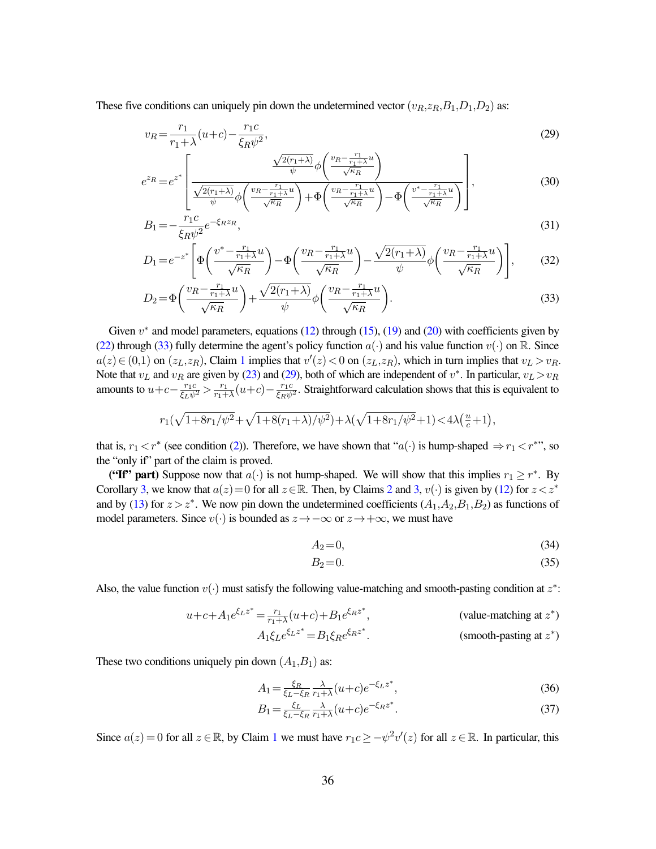These five conditions can uniquely pin down the undetermined vector  $(v_R, z_R, B_1, D_1, D_2)$  as:

<span id="page-36-1"></span>
$$
v_R = \frac{r_1}{r_1 + \lambda} (u + c) - \frac{r_1 c}{\xi_R \psi^2},
$$
\n(29)

$$
e^{z_R} = e^{z^*} \left[ \frac{\frac{\sqrt{2(r_1+\lambda)}}{\psi} \phi\left(\frac{v_R - \frac{r_1}{r_1+\lambda}u}{\sqrt{\kappa_R}}\right)}{\frac{\sqrt{2(r_1+\lambda)}}{\psi} \phi\left(\frac{v_R - \frac{r_1}{r_1+\lambda}u}{\sqrt{\kappa_R}}\right) + \Phi\left(\frac{v_R - \frac{r_1}{r_1+\lambda}u}{\sqrt{\kappa_R}}\right) - \Phi\left(\frac{v^* - \frac{r_1}{r_1+\lambda}u}{\sqrt{\kappa_R}}\right)} \right],
$$
(30)

<span id="page-36-7"></span>
$$
B_1 = -\frac{r_1 c}{\xi_R \psi^2} e^{-\xi_R z_R},\tag{31}
$$

$$
D_1 = e^{-z^*} \left[ \Phi\left(\frac{v^* - \frac{r_1}{r_1 + \lambda}u}{\sqrt{\kappa_R}}\right) - \Phi\left(\frac{v_R - \frac{r_1}{r_1 + \lambda}u}{\sqrt{\kappa_R}}\right) - \frac{\sqrt{2(r_1 + \lambda)}}{\psi} \phi\left(\frac{v_R - \frac{r_1}{r_1 + \lambda}u}{\sqrt{\kappa_R}}\right) \right],\tag{32}
$$

$$
D_2 = \Phi\left(\frac{v_R - \frac{r_1}{r_1 + \lambda}u}{\sqrt{\kappa_R}}\right) + \frac{\sqrt{2(r_1 + \lambda)}}{\psi} \phi\left(\frac{v_R - \frac{r_1}{r_1 + \lambda}u}{\sqrt{\kappa_R}}\right). \tag{33}
$$

Given  $v^*$  and model parameters, equations [\(12\)](#page-31-3) through [\(15\)](#page-32-1), [\(19\)](#page-33-0) and [\(20\)](#page-33-1) with coefficients given by [\(22\)](#page-35-0) through [\(33\)](#page-36-0) fully determine the agent's policy function  $a(\cdot)$  and his value function  $v(\cdot)$  on R. Since  $a(z) \in (0,1)$  $a(z) \in (0,1)$  $a(z) \in (0,1)$  on  $(z_L, z_R)$ , Claim 1 implies that  $v'(z) < 0$  on  $(z_L, z_R)$ , which in turn implies that  $v_L > v_R$ . Note that  $v_L$  and  $v_R$  are given by [\(23\)](#page-35-1) and [\(29\)](#page-36-1), both of which are independent of  $v^*$ . In particular,  $v_L > v_R$ amounts to  $u+c-\frac{r_1c}{\xi_L\psi^2} > \frac{r_1}{r_1+}$  $\frac{r_1}{r_1+\lambda}(u+c)-\frac{r_1c}{\xi_R\psi^2}$ . Straightforward calculation shows that this is equivalent to

$$
r_1(\sqrt{1+8r_1/\psi^2}+\sqrt{1+8(r_1+\lambda)/\psi^2})+\lambda(\sqrt{1+8r_1/\psi^2}+1)<4\lambda(\frac{u}{c}+1),
$$

that is,  $r_1 < r^*$  (see condition [\(2\)](#page-13-3)). Therefore, we have shown that " $a(\cdot)$  is hump-shaped  $\Rightarrow r_1 < r^{**}$ ", so the "only if" part of the claim is proved.

("If" part) Suppose now that  $a(\cdot)$  is not hump-shaped. We will show that this implies  $r_1 \geq r^*$ . By Corollary [3,](#page-31-10) we know that  $a(z)=0$  for all  $z\in\mathbb{R}$ . Then, by Claims [2](#page-31-9) and 3,  $v(\cdot)$  is given by [\(12\)](#page-31-3) for  $z\lt z^*$ and by [\(13\)](#page-31-4) for  $z > z^*$ . We now pin down the undetermined coefficients  $(A_1, A_2, B_1, B_2)$  as functions of model parameters. Since  $v(\cdot)$  is bounded as  $z \to -\infty$  or  $z \to +\infty$ , we must have

<span id="page-36-6"></span><span id="page-36-4"></span><span id="page-36-2"></span><span id="page-36-0"></span>
$$
A_2 = 0,\t\t(34)
$$

<span id="page-36-5"></span><span id="page-36-3"></span>
$$
B_2 = 0.\t\t(35)
$$

Also, the value function  $v(\cdot)$  must satisfy the following value-matching and smooth-pasting condition at  $z^*$ :

$$
u + c + A_1 e^{\xi_L z^*} = \frac{r_1}{r_1 + \lambda} (u + c) + B_1 e^{\xi_R z^*},
$$
 (value-matching at  $z^*$ )  

$$
A_1 \xi_L e^{\xi_L z^*} = B_1 \xi_R e^{\xi_R z^*}
$$
 (smooth-posting at  $z^*$ )

$$
A_1 \xi_L e^{\xi_L z^*} = B_1 \xi_R e^{\xi_R z^*}.
$$
 (smooth-pasting at  $z^*$ )

These two conditions uniquely pin down  $(A_1, B_1)$  as:

$$
A_1 = \frac{\xi_R}{\xi_L - \xi_R} \frac{\lambda}{r_1 + \lambda} (u + c) e^{-\xi_L z^*},\tag{36}
$$

$$
B_1 = \frac{\xi_L}{\xi_L - \xi_R} \frac{\lambda}{r_1 + \lambda} (u + c) e^{-\xi_R z^*}.
$$
\n
$$
(37)
$$

Since  $a(z) = 0$  for all  $z \in \mathbb{R}$ , by Claim [1](#page-30-6) we must have  $r_1 c \ge -\psi^2 v'(z)$  for all  $z \in \mathbb{R}$ . In particular, this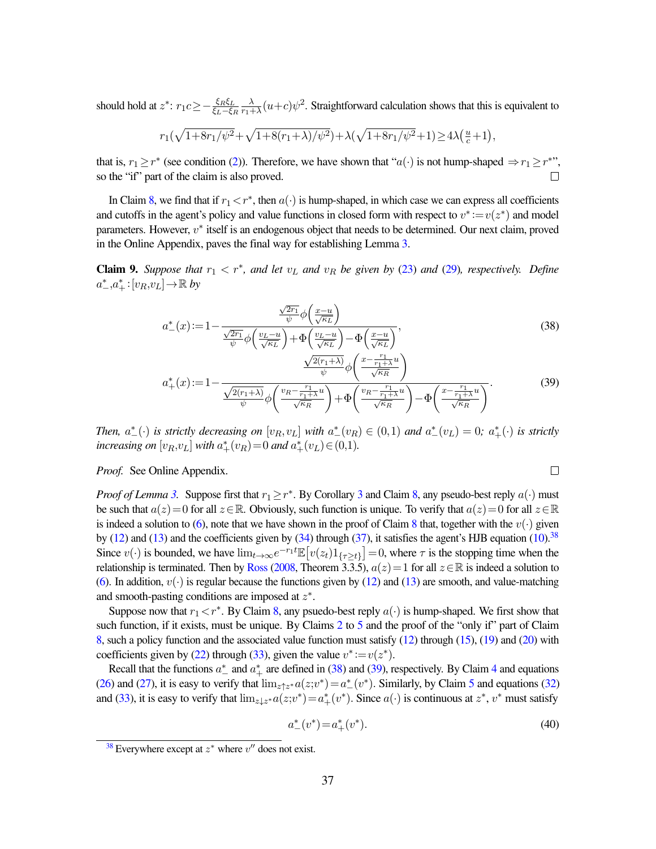should hold at  $z^*$ :  $r_1 c \ge -\frac{\xi_R \xi_L}{\xi_L - \xi_R} \frac{\lambda}{r_1 + \lambda}$  $\frac{\lambda}{r_1 + \lambda} (u+c) \psi^2$ . Straightforward calculation shows that this is equivalent to

$$
r_1(\sqrt{1+8r_1/\psi^2}+\sqrt{1+8(r_1+\lambda)/\psi^2})+\lambda(\sqrt{1+8r_1/\psi^2}+1)\geq 4\lambda(\frac{u}{c}+1),
$$

that is,  $r_1 \ge r^*$  (see condition [\(2\)](#page-13-3)). Therefore, we have shown that " $a(\cdot)$  is not hump-shaped  $\Rightarrow r_1 \ge r^*$ ", so the "if" part of the claim is also proved.  $\Box$ 

In Claim [8,](#page-34-3) we find that if  $r_1 < r^*$ , then  $a(\cdot)$  is hump-shaped, in which case we can express all coefficients and cutoffs in the agent's policy and value functions in closed form with respect to  $v^* := v(z^*)$  and model parameters. However,  $v^*$  itself is an endogenous object that needs to be determined. Our next claim, proved in the Online Appendix, paves the final way for establishing Lemma [3.](#page-16-1)

<span id="page-37-4"></span>**Claim 9.** Suppose that  $r_1 < r^*$ , and let  $v_L$  and  $v_R$  be given by [\(23\)](#page-35-1) and [\(29\)](#page-36-1), respectively. Define  $a^*_{-}, a^*_{+}: [v_R, v_L] \rightarrow \mathbb{R}$  by

$$
a_{-}^{*}(x) := 1 - \frac{\frac{\sqrt{2r_1}}{\psi} \phi\left(\frac{x-u}{\sqrt{\kappa_L}}\right)}{\frac{\sqrt{2r_1}}{\psi} \phi\left(\frac{v_L - u}{\sqrt{\kappa_L}}\right) + \Phi\left(\frac{v_L - u}{\sqrt{\kappa_L}}\right) - \Phi\left(\frac{x-u}{\sqrt{\kappa_L}}\right)},\tag{38}
$$

$$
a_{+}^{*}(x) := 1 - \frac{\frac{\sqrt{2(r_{1}+\lambda)}}{\psi} \phi\left(\frac{x - \frac{r_{1}}{r_{1}+\lambda}u}{\sqrt{\kappa_{R}}}\right)}{\frac{\sqrt{2(r_{1}+\lambda)}}{\psi} \phi\left(\frac{v_{R} - \frac{r_{1}}{r_{1}+\lambda}u}{\sqrt{\kappa_{R}}}\right) + \Phi\left(\frac{v_{R} - \frac{r_{1}}{r_{1}+\lambda}u}{\sqrt{\kappa_{R}}}\right) - \Phi\left(\frac{x - \frac{r_{1}}{r_{1}+\lambda}u}{\sqrt{\kappa_{R}}}\right)}.
$$
(39)

*Then,*  $a^*_{-}(\cdot)$  *is strictly decreasing on*  $[v_R, v_L]$  *with*  $a^*_{-}(v_R) \in (0,1)$  *and*  $a^*_{-}(v_L) = 0$ *;*  $a^*_{+}(\cdot)$  *is strictly increasing on*  $[v_R, v_L]$  *with*  $a^*_+(v_R) = 0$  *and*  $a^*_+(v_L) \in (0,1)$ *.* 

*Proof.* See Online Appendix.

*Proof of Lemma* [3.](#page-16-1) Suppose first that  $r_1 \geq r^*$ . By Corollary [3](#page-34-2) and Claim [8,](#page-34-3) any pseudo-best reply  $a(\cdot)$  must be such that  $a(z)=0$  for all  $z\in\mathbb{R}$ . Obviously, such function is unique. To verify that  $a(z)=0$  for all  $z\in\mathbb{R}$ is indeed a solution to [\(6\)](#page-15-0), note that we have shown in the proof of Claim [8](#page-34-3) that, together with the  $v(\cdot)$  given by [\(12\)](#page-31-3) and [\(13\)](#page-31-4) and the coefficients given by [\(34\)](#page-36-2) through [\(37\)](#page-36-3), it satisfies the agent's HJB equation [\(10\)](#page-30-0).<sup>[38](#page-37-0)</sup> Since  $v(\cdot)$  is bounded, we have  $\lim_{t\to\infty} e^{-r_1t}\mathbb{E}\left[v(z_t)1_{\{\tau\geq t\}}\right]=0$ , where  $\tau$  is the stopping time when the relationship is terminated. Then by [Ross](#page-29-16) [\(2008,](#page-29-16) Theorem 3.3.5),  $a(z)=1$  for all  $z\in\mathbb{R}$  is indeed a solution to [\(6\)](#page-15-0). In addition,  $v(\cdot)$  is regular because the functions given by [\(12\)](#page-31-3) and [\(13\)](#page-31-4) are smooth, and value-matching and smooth-pasting conditions are imposed at  $z^*$ .

Suppose now that  $r_1 < r^*$ . By Claim [8,](#page-34-3) any psuedo-best reply  $a(\cdot)$  is hump-shaped. We first show that such function, if it exists, must be unique. By Claims [2](#page-31-9) to [5](#page-33-3) and the proof of the "only if" part of Claim [8,](#page-34-3) such a policy function and the associated value function must satisfy [\(12\)](#page-31-3) through [\(15\)](#page-32-1), [\(19\)](#page-33-0) and [\(20\)](#page-33-1) with coefficients given by [\(22\)](#page-35-0) through [\(33\)](#page-36-0), given the value  $v^* := v(z^*)$ .

Recall that the functions  $a^*$  and  $a^*$  are defined in [\(38\)](#page-37-1) and [\(39\)](#page-37-2), respectively. By Claim [4](#page-31-8) and equations [\(26\)](#page-35-2) and [\(27\)](#page-35-3), it is easy to verify that  $\lim_{z \uparrow z^*} a(z; v^*) = a^*_{-}(v^*)$ . Similarly, by Claim [5](#page-33-3) and equations [\(32\)](#page-36-4) and [\(33\)](#page-36-0), it is easy to verify that  $\lim_{z\downarrow z^*} a(z;v^*) = a^*_+(v^*)$ . Since  $a(\cdot)$  is continuous at  $z^*, v^*$  must satisfy

<span id="page-37-5"></span>
$$
a_{-}^{*}(v^{*}) = a_{+}^{*}(v^{*}). \tag{40}
$$

<span id="page-37-3"></span><span id="page-37-2"></span><span id="page-37-1"></span> $\Box$ 

<span id="page-37-0"></span><sup>&</sup>lt;sup>[38](#page-37-3)</sup> Everywhere except at  $z^*$  where  $v''$  does not exist.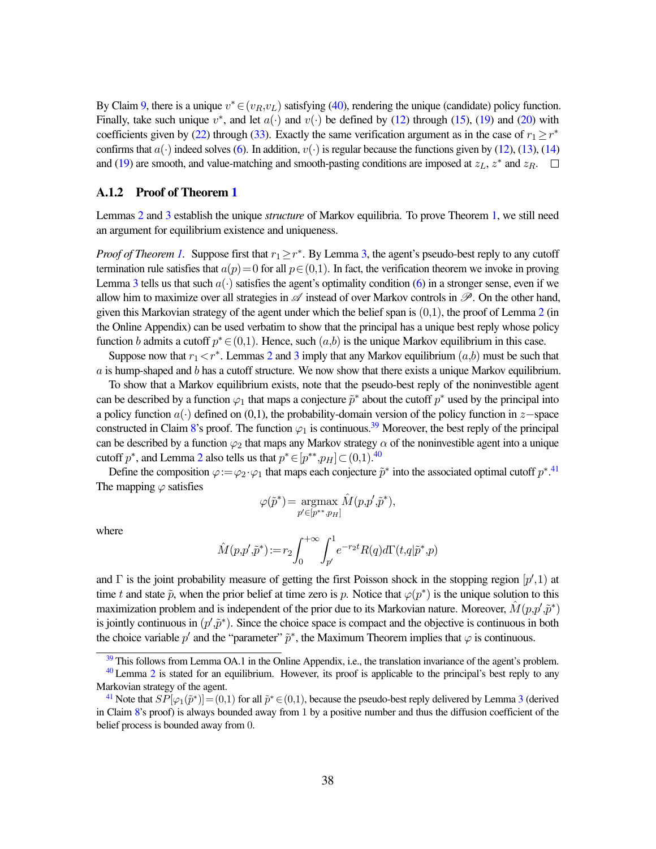By Claim [9,](#page-37-4) there is a unique  $v^* \in (v_R, v_L)$  satisfying [\(40\)](#page-37-5), rendering the unique (candidate) policy function. Finally, take such unique  $v^*$ , and let  $a(\cdot)$  and  $v(\cdot)$  be defined by [\(12\)](#page-31-3) through [\(15\)](#page-32-1), [\(19\)](#page-33-0) and [\(20\)](#page-33-1) with coefficients given by [\(22\)](#page-35-0) through [\(33\)](#page-36-0). Exactly the same verification argument as in the case of  $r_1 \ge r^*$ confirms that  $a(\cdot)$  indeed solves [\(6\)](#page-15-0). In addition,  $v(\cdot)$  is regular because the functions given by [\(12\)](#page-31-3), [\(13\)](#page-31-4), [\(14\)](#page-31-7) and [\(19\)](#page-33-0) are smooth, and value-matching and smooth-pasting conditions are imposed at  $z_L$ ,  $z^*$  and  $z_R$ .

#### A.1.2 Proof of Theorem [1](#page-11-0)

Lemmas [2](#page-15-2) and [3](#page-16-1) establish the unique *structure* of Markov equilibria. To prove Theorem [1,](#page-11-0) we still need an argument for equilibrium existence and uniqueness.

*Proof of Theorem [1.](#page-11-0)* Suppose first that  $r_1 \geq r^*$ . By Lemma [3,](#page-16-1) the agent's pseudo-best reply to any cutoff termination rule satisfies that  $a(p)=0$  for all  $p \in (0,1)$ . In fact, the verification theorem we invoke in proving Lemma [3](#page-16-1) tells us that such  $a(\cdot)$  satisfies the agent's optimality condition [\(6\)](#page-15-0) in a stronger sense, even if we allow him to maximize over all strategies in  $\mathscr A$  instead of over Markov controls in  $\mathscr P$ . On the other hand, given this Markovian strategy of the agent under which the belief span is  $(0,1)$ , the proof of Lemma [2](#page-15-2) (in the Online Appendix) can be used verbatim to show that the principal has a unique best reply whose policy function b admits a cutoff  $p^* \in (0,1)$ . Hence, such  $(a,b)$  is the unique Markov equilibrium in this case.

Suppose now that  $r_1 < r^*$ . Lemmas [2](#page-15-2) and [3](#page-16-1) imply that any Markov equilibrium  $(a,b)$  must be such that  $a$  is hump-shaped and  $b$  has a cutoff structure. We now show that there exists a unique Markov equilibrium.

To show that a Markov equilibrium exists, note that the pseudo-best reply of the noninvestible agent can be described by a function  $\varphi_1$  that maps a conjecture  $\tilde{p}^*$  about the cutoff  $p^*$  used by the principal into a policy function  $a(·)$  defined on (0,1), the probability-domain version of the policy function in z−space constructed in Claim [8'](#page-34-3)s proof. The function  $\varphi_1$  is continuous.<sup>[39](#page-38-0)</sup> Moreover, the best reply of the principal can be described by a function  $\varphi_2$  that maps any Markov strategy  $\alpha$  of the noninvestible agent into a unique cutoff  $p^*$ , and Lemma [2](#page-15-2) also tells us that  $p^* \in [p^{**},p_H] \subset (0,1).^{40}$  $p^* \in [p^{**},p_H] \subset (0,1).^{40}$  $p^* \in [p^{**},p_H] \subset (0,1).^{40}$ 

Define the composition  $\varphi := \varphi_2 \cdot \varphi_1$  that maps each conjecture  $\tilde{p}^*$  into the associated optimal cutoff  $p^{*,41}$  $p^{*,41}$  $p^{*,41}$ The mapping  $\varphi$  satisfies

<span id="page-38-5"></span><span id="page-38-4"></span><span id="page-38-3"></span>
$$
\varphi(\tilde{p}^*) = \underset{p' \in [p^{**}, p_H]}{\operatorname{argmax}} \hat{M}(p, p', \tilde{p}^*),
$$

where

$$
\hat{M}(p,p',\tilde{p}^*)\!:=\!r_2\!\int_0^{+\infty}\!\int_{p'}^1\!e^{-r_2t}R(q)d\Gamma(t,q|\tilde{p}^*,p)
$$

and  $\Gamma$  is the joint probability measure of getting the first Poisson shock in the stopping region  $[p', 1)$  at time t and state  $\tilde{p}$ , when the prior belief at time zero is p. Notice that  $\varphi(p^*)$  is the unique solution to this maximization problem and is independent of the prior due to its Markovian nature. Moreover,  $\hat{M}(p,p',\tilde{p}^*)$ is jointly continuous in  $(p', \tilde{p}^*)$ . Since the choice space is compact and the objective is continuous in both the choice variable p' and the "parameter"  $\tilde{p}^*$ , the Maximum Theorem implies that  $\varphi$  is continuous.

<span id="page-38-1"></span><span id="page-38-0"></span><sup>&</sup>lt;sup>[39](#page-38-3)</sup> This follows from Lemma OA.1 in the Online Appendix, i.e., the translation invariance of the agent's problem.

 $40$  Lemma [2](#page-15-2) is stated for an equilibrium. However, its proof is applicable to the principal's best reply to any Markovian strategy of the agent.

<span id="page-38-2"></span><sup>&</sup>lt;sup>[41](#page-38-5)</sup> Note that  $SP[\varphi_1(\tilde{p}^*)] = (0,1)$  for all  $\tilde{p}^* \in (0,1)$ , because the pseudo-best reply delivered by Lemma [3](#page-16-1) (derived in Claim  $8$ 's proof) is always bounded away from 1 by a positive number and thus the diffusion coefficient of the belief process is bounded away from 0.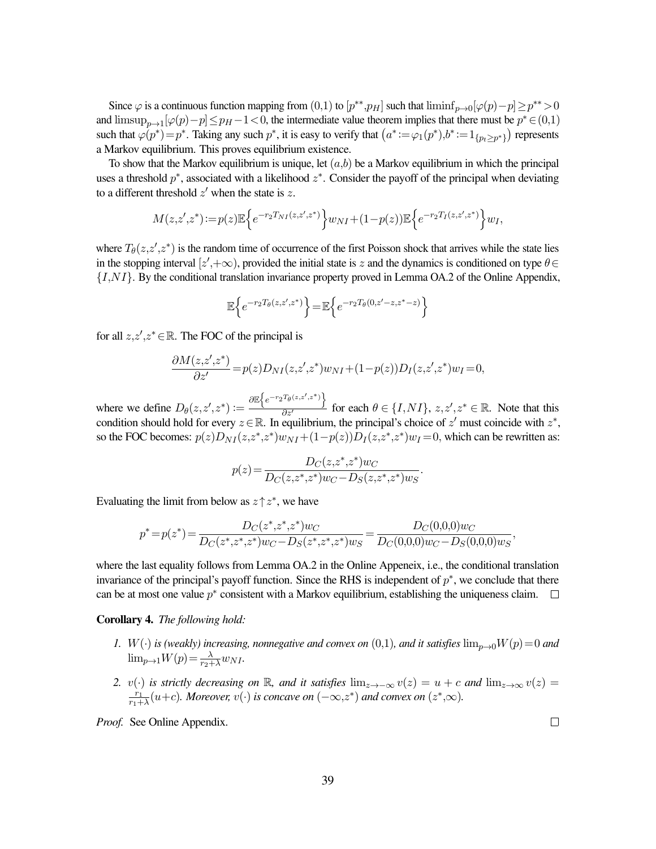Since  $\varphi$  is a continuous function mapping from  $(0,1)$  to  $[p^{**}, p_H]$  such that  $\liminf_{p\to 0} [\varphi(p)-p] \geq p^{**} > 0$ and  $\limsup_{p\to 1} [\varphi(p)-p] \leq p_H - 1 < 0$ , the intermediate value theorem implies that there must be  $p^* \in (0,1)$ such that  $\varphi(p^*) = p^*$ . Taking any such  $p^*$ , it is easy to verify that  $(a^* := \varphi_1(p^*), b^* := 1_{\{p_t \geq p^*\}})$  represents a Markov equilibrium. This proves equilibrium existence.

To show that the Markov equilibrium is unique, let  $(a,b)$  be a Markov equilibrium in which the principal uses a threshold  $p^*$ , associated with a likelihood  $z^*$ . Consider the payoff of the principal when deviating to a different threshold  $z'$  when the state is z.

$$
M(z, z', z^*) := p(z) \mathbb{E} \Big\{ e^{-r_2 T_{NI}(z, z', z^*)} \Big\} w_{NI} + (1 - p(z)) \mathbb{E} \Big\{ e^{-r_2 T_I(z, z', z^*)} \Big\} w_I,
$$

where  $T_{\theta}(z, z', z^*)$  is the random time of occurrence of the first Poisson shock that arrives while the state lies in the stopping interval [ $z'$ ,+ $\infty$ ), provided the initial state is z and the dynamics is conditioned on type  $\theta \in$  $\{I, NI\}$ . By the conditional translation invariance property proved in Lemma OA.2 of the Online Appendix,

$$
\mathbb{E}\Big\{e^{-r_2T_{\theta}(z,z',z^*)}\Big\}\!=\!\mathbb{E}\Big\{e^{-r_2T_{\theta}(0,z'-z,z^*-z)}\Big\}
$$

for all  $z, z', z^* \in \mathbb{R}$ . The FOC of the principal is

$$
\frac{\partial M(z,z',z^*)}{\partial z'} = p(z)D_{NI}(z,z',z^*)w_{NI} + (1-p(z))D_I(z,z',z^*)w_I = 0,
$$

where we define  $D_{\theta}(z, z', z^*) := \frac{\partial \mathbb{E}\left\{e^{-r_2 T_{\theta}(z, z', z^*)}\right\}}{\partial z'}$  for each  $\theta \in \{I, NI\}$ ,  $z, z', z^* \in \mathbb{R}$ . Note that this condition should hold for every  $z \in \mathbb{R}$ . In equilibrium, the principal's choice of  $z'$  must coincide with  $z^*$ , so the FOC becomes:  $p(z)D_{NI}(z, z^*, z^*)w_{NI} + (1-p(z))D_I(z, z^*, z^*)w_I = 0$ , which can be rewritten as:

$$
p(z)\!=\!\frac{D_C(z,\!z^*\!,\!z^*\!)\!w_C}{D_C(z,\!z^*\!,\!z^*\!)\!w_C\!-\!D_S(z,\!z^*\!,\!z^*\!)\!w_S}.
$$

Evaluating the limit from below as  $z \uparrow z^*$ , we have

$$
p^* = p(z^*) = \frac{D_C(z^*, z^*, z^*) w_C}{D_C(z^*, z^*, z^*) w_C - D_S(z^*, z^*, z^*) w_S} = \frac{D_C(0,0,0) w_C}{D_C(0,0,0) w_C - D_S(0,0,0) w_S}
$$

where the last equality follows from Lemma OA.2 in the Online Appeneix, i.e., the conditional translation invariance of the principal's payoff function. Since the RHS is independent of  $p^*$ , we conclude that there can be at most one value  $p^*$  consistent with a Markov equilibrium, establishing the uniqueness claim.

<span id="page-39-0"></span>Corollary 4. *The following hold:*

- *1.*  $W(\cdot)$  *is (weakly) increasing, nonnegative and convex on* (0,1)*, and it satisfies*  $\lim_{p\to 0} W(p)=0$  *and*  $\lim_{p\to 1} W(p) = \frac{\lambda}{r_2 + \lambda} w_{NI}$ .
- 2. v(·) *is strictly decreasing on* R*, and it satisfies*  $\lim_{z\to -\infty} v(z) = u + c$  *and*  $\lim_{z\to\infty} v(z) =$  $r_1$  $\frac{r_1}{r_1 + \lambda}(u+c)$ *. Moreover,*  $v(\cdot)$  *is concave on*  $(-\infty, z^*)$  *and convex on*  $(z^*, \infty)$ *.*

*Proof.* See Online Appendix.

 $\Box$ 

,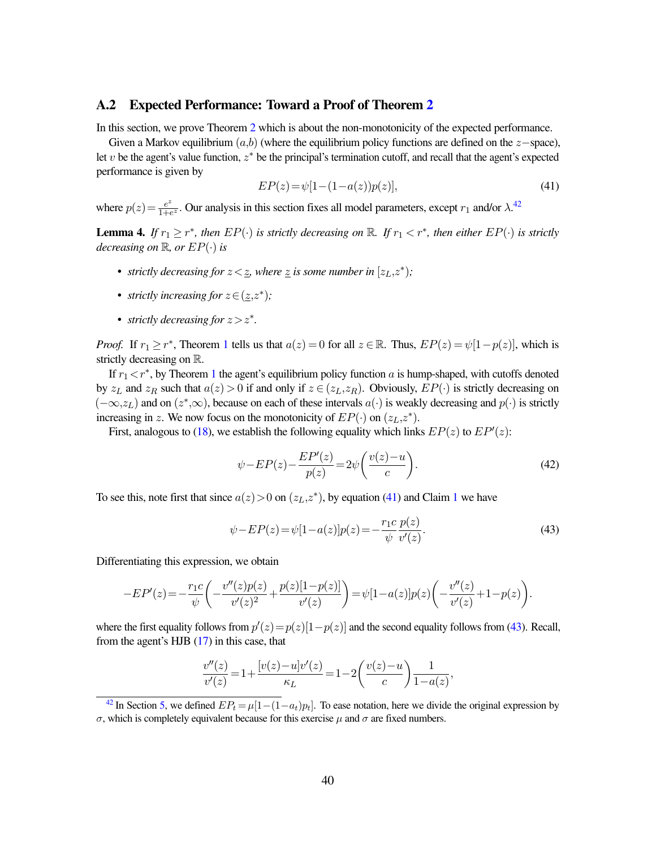#### A.2 Expected Performance: Toward a Proof of Theorem [2](#page-18-0)

In this section, we prove Theorem [2](#page-18-0) which is about the non-monotonicity of the expected performance.

Given a Markov equilibrium  $(a,b)$  (where the equilibrium policy functions are defined on the  $z$ −space), let  $v$  be the agent's value function,  $z^*$  be the principal's termination cutoff, and recall that the agent's expected performance is given by

<span id="page-40-4"></span><span id="page-40-2"></span>
$$
EP(z) = \psi[1 - (1 - a(z))p(z)],\tag{41}
$$

where  $p(z) = \frac{e^z}{1 + e^z}$  $\frac{e^z}{1+e^z}$ . Our analysis in this section fixes all model parameters, except  $r_1$  and/or  $\lambda$ .<sup>[42](#page-40-1)</sup>

<span id="page-40-0"></span>**Lemma 4.** If  $r_1 \geq r^*$ , then  $EP(\cdot)$  is strictly decreasing on  $\mathbb{R}$ . If  $r_1 < r^*$ , then either  $EP(\cdot)$  is strictly *decreasing on*  $\mathbb{R}$ *, or*  $EP(\cdot)$  *is* 

- *strictly decreasing for*  $z < \underline{z}$ *, where*  $\underline{z}$  *is some number in*  $[z_L, z^*);$
- *strictly increasing for*  $z \in (\underline{z}, z^*)$ ;
- *strictly decreasing for*  $z > z^*$ *.*

*Proof.* If  $r_1 \ge r^*$  $r_1 \ge r^*$  $r_1 \ge r^*$ , Theorem 1 tells us that  $a(z) = 0$  for all  $z \in \mathbb{R}$ . Thus,  $EP(z) = \psi[1-p(z)]$ , which is strictly decreasing on R.

If  $r_1 < r^*$  $r_1 < r^*$  $r_1 < r^*$ , by Theorem 1 the agent's equilibrium policy function a is hump-shaped, with cutoffs denoted by  $z_L$  and  $z_R$  such that  $a(z) > 0$  if and only if  $z \in (z_L, z_R)$ . Obviously,  $EP(\cdot)$  is strictly decreasing on  $(-\infty, z_L)$  and on  $(z^*, \infty)$ , because on each of these intervals  $a(\cdot)$  is weakly decreasing and  $p(\cdot)$  is strictly increasing in z. We now focus on the monotonicity of  $EP(\cdot)$  on  $(z_L, z^*)$ .

First, analogous to [\(18\)](#page-32-3), we establish the following equality which links  $EP(z)$  to  $EP'(z)$ :

<span id="page-40-5"></span>
$$
\psi - EP(z) - \frac{EP'(z)}{p(z)} = 2\psi \left(\frac{v(z) - u}{c}\right). \tag{42}
$$

To see this, note first that since  $a(z) > 0$  on  $(z_L, z^*)$ , by equation [\(41\)](#page-40-2) and Claim [1](#page-30-6) we have

<span id="page-40-3"></span>
$$
\psi - EP(z) = \psi[1 - a(z)]p(z) = -\frac{r_1 c}{\psi} \frac{p(z)}{v'(z)}.
$$
\n(43)

Differentiating this expression, we obtain

$$
-EP'(z) = -\frac{r_1c}{\psi}\bigg(-\frac{v''(z)p(z)}{v'(z)^2} + \frac{p(z)[1-p(z)]}{v'(z)}\bigg) = \psi[1-a(z)]p(z)\bigg(-\frac{v''(z)}{v'(z)} + 1 - p(z)\bigg).
$$

where the first equality follows from  $p'(z) = p(z)[1-p(z)]$  and the second equality follows from [\(43\)](#page-40-3). Recall, from the agent's HJB [\(17\)](#page-32-2) in this case, that

$$
\frac{v''(z)}{v'(z)}\!=\!1\!+\!\frac{[v(z)\!-\!u]v'(z)}{\kappa_L}\!=\!1\!-\!2\!\left(\frac{v(z)\!-\!u}{c}\right)\!\frac{1}{1\!-\!a(z)},
$$

<span id="page-40-1"></span><sup>&</sup>lt;sup>[42](#page-40-4)</sup> In Section [5,](#page-17-0) we defined  $EP_t = \mu[1-(1-a_t)p_t]$ . To ease notation, here we divide the original expression by σ, which is completely equivalent because for this exercise µ and σ are fixed numbers.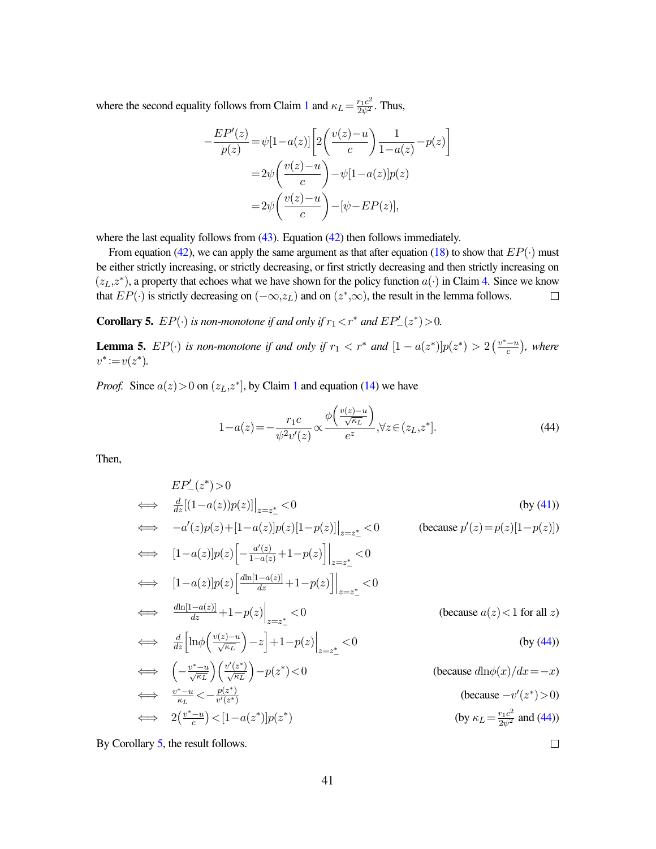where the second equality follows from Claim [1](#page-30-6) and  $\kappa_L = \frac{r_1 c^2}{2\psi^2}$ . Thus,

$$
-\frac{EP'(z)}{p(z)} = \psi[1-a(z)] \left[ 2\left(\frac{v(z)-u}{c}\right) \frac{1}{1-a(z)} - p(z) \right]
$$

$$
= 2\psi \left(\frac{v(z)-u}{c}\right) - \psi[1-a(z)]p(z)
$$

$$
= 2\psi \left(\frac{v(z)-u}{c}\right) - [\psi - EP(z)],
$$

where the last equality follows from  $(43)$ . Equation  $(42)$  then follows immediately.

From equation [\(42\)](#page-40-5), we can apply the same argument as that after equation [\(18\)](#page-32-3) to show that  $EP(\cdot)$  must be either strictly increasing, or strictly decreasing, or first strictly decreasing and then strictly increasing on  $(z_L, z^*)$ , a property that echoes what we have shown for the policy function  $a(\cdot)$  in Claim [4.](#page-31-8) Since we know that  $EP(\cdot)$  is strictly decreasing on  $(-\infty, z_L)$  and on  $(z^*, \infty)$ , the result in the lemma follows.  $\Box$ 

<span id="page-41-1"></span>**Corollary 5.**  $EP(\cdot)$  *is non-monotone if and only if*  $r_1 < r^*$  *and*  $EP'_{-}(z^*) > 0$ *.* 

**Lemma 5.**  $EP(\cdot)$  is non-monotone if and only if  $r_1 < r^*$  and  $[1 - a(z^*)]p(z^*) > 2\left(\frac{v^* - u}{c}\right)$  $\frac{-u}{c}$ ), where  $v^* := v(z^*).$ 

*Proof.* Since  $a(z) > 0$  on  $(z_L, z^*]$ , by Claim [1](#page-30-6) and equation [\(14\)](#page-31-7) we have

<span id="page-41-0"></span>
$$
1 - a(z) = -\frac{r_1 c}{\psi^2 v'(z)} \propto \frac{\phi\left(\frac{v(z) - u}{\sqrt{\kappa_L}}\right)}{e^z}, \forall z \in (z_L, z^*].
$$
\n(44)

 $\Box$ 

Then,

$$
EP'_{-}(z^{*}) > 0
$$
\n
$$
\iff \frac{d}{dz}[(1-a(z))p(z)]|_{z=z^{*}} < 0
$$
\n
$$
-a'(z)p(z)+[1-a(z)]p(z)[1-p(z)]|_{z=z^{*}} < 0
$$
\n
$$
\iff [1-a(z)]p(z)\left[-\frac{a'(z)}{1-a(z)}+1-p(z)\right]|_{z=z^{*}} < 0
$$
\n
$$
\iff [1-a(z)]p(z)\left[\frac{d\ln[1-a(z)]}{dz}+1-p(z)\right]|_{z=z^{*}} < 0
$$
\n
$$
\iff \frac{d\ln[1-a(z)]}{dz}+1-p(z)|_{z=z^{*}} < 0
$$
\n
$$
\iff \frac{d}{dz}\left[\ln\phi\left(\frac{v(z)-u}{\sqrt{\kappa_{L}}}\right)-z\right]+1-p(z)\right|_{z=z^{*}_{-}} < 0
$$
\n
$$
\iff \left(-\frac{v^{*}-u}{\sqrt{\kappa_{L}}}\right)\left(\frac{v'(z^{*})}{\sqrt{\kappa_{L}}}\right)-p(z^{*}) < 0
$$
\n
$$
\iff \left(-\frac{v^{*}-u}{\kappa_{L}}\right)\left(\frac{v'(z^{*})}{\sqrt{\kappa_{L}}}\right)-p(z^{*}) < 0
$$
\n
$$
\iff \frac{v^{*}-u}{\kappa_{L}} < -\frac{p(z^{*})}{v'(z^{*})}
$$
\n
$$
\iff 2\left(\frac{v^{*}-u}{c}\right) < [1-a(z^{*})]p(z^{*})
$$
\n
$$
\iff \text{ (because } -v'(z^{*}) > 0)
$$
\n
$$
\iff 2\left(\frac{v^{*}-u}{c}\right) < [1-a(z^{*})]p(z^{*})
$$
\n
$$
\iff \text{ (by } \kappa_{L} = \frac{r_{L}c^{2}}{2\psi^{2}} \text{ and (44))
$$

<span id="page-41-2"></span>By Corollary [5,](#page-41-1) the result follows.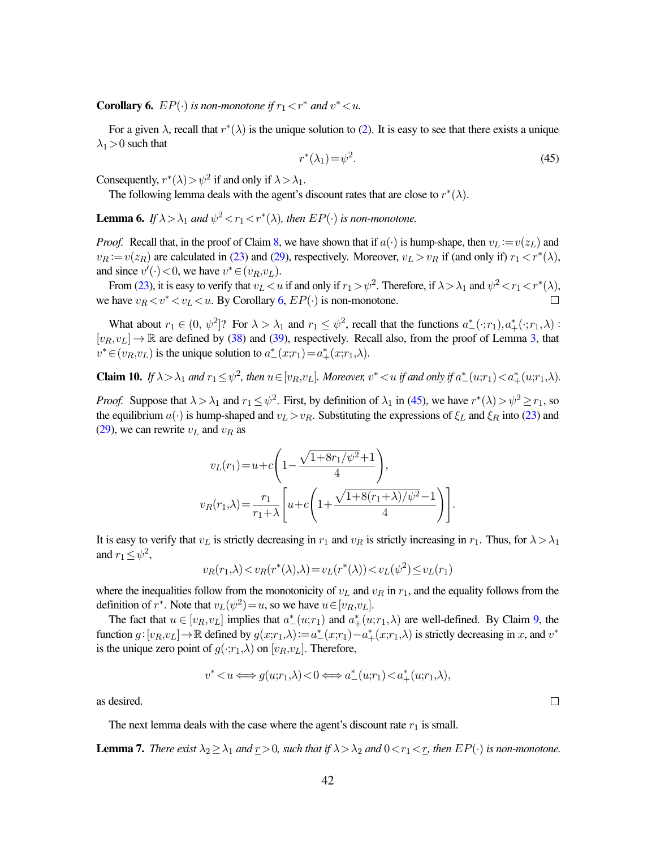**Corollary 6.**  $EP(\cdot)$  *is non-monotone if*  $r_1 < r^*$  *and*  $v^* < u$ *.* 

For a given  $\lambda$ , recall that  $r^*(\lambda)$  is the unique solution to [\(2\)](#page-13-3). It is easy to see that there exists a unique  $\lambda_1$  > 0 such that

<span id="page-42-0"></span>
$$
r^*(\lambda_1) = \psi^2. \tag{45}
$$

Consequently,  $r^*(\lambda) > \psi^2$  if and only if  $\lambda > \lambda_1$ .

The following lemma deals with the agent's discount rates that are close to  $r^*(\lambda)$ .

<span id="page-42-3"></span>**Lemma 6.** If  $\lambda > \lambda_1$  and  $\psi^2 < r_1 < r^*(\lambda)$ , then  $EP(\cdot)$  is non-monotone.

*Proof.* Recall that, in the proof of Claim [8,](#page-34-3) we have shown that if  $a(\cdot)$  is hump-shape, then  $v_L := v(z_L)$  and  $v_R := v(z_R)$  are calculated in [\(23\)](#page-35-1) and [\(29\)](#page-36-1), respectively. Moreover,  $v_L > v_R$  if (and only if)  $r_1 < r^*(\lambda)$ , and since  $v'(\cdot) < 0$ , we have  $v^* \in (v_R, v_L)$ .

From [\(23\)](#page-35-1), it is easy to verify that  $v_L < u$  if and only if  $r_1 > \psi^2$ . Therefore, if  $\lambda > \lambda_1$  and  $\psi^2 < r_1 < r^*(\lambda)$ , we have  $v_R < v^* < v_L < u$ . By Corollary [6,](#page-41-2)  $EP(\cdot)$  is non-monotone.  $\Box$ 

What about  $r_1 \in (0, \psi^2]$ ? For  $\lambda > \lambda_1$  and  $r_1 \leq \psi^2$ , recall that the functions  $a^*_{-}(\cdot; r_1), a^*_{+}(\cdot; r_1, \lambda)$ :  $[v_R, v_L] \to \mathbb{R}$  are defined by [\(38\)](#page-37-1) and [\(39\)](#page-37-2), respectively. Recall also, from the proof of Lemma [3,](#page-16-1) that  $v^* \in (v_R, v_L)$  is the unique solution to  $a^*_{-}(x;r_1) = a^*_{+}(x;r_1,\lambda)$ .

<span id="page-42-2"></span>**Claim 10.** If  $\lambda > \lambda_1$  and  $r_1 \leq \psi^2$ , then  $u \in [v_R, v_L]$ . Moreover,  $v^* < u$  if and only if  $a^*_{-}(u; r_1) < a^*_{+}(u; r_1, \lambda)$ .

*Proof.* Suppose that  $\lambda > \lambda_1$  and  $r_1 \leq \psi^2$ . First, by definition of  $\lambda_1$  in [\(45\)](#page-42-0), we have  $r^*(\lambda) > \psi^2 \geq r_1$ , so the equilibrium  $a(\cdot)$  is hump-shaped and  $v_L>v_R$ . Substituting the expressions of  $\xi_L$  and  $\xi_R$  into [\(23\)](#page-35-1) and [\(29\)](#page-36-1), we can rewrite  $v<sub>L</sub>$  and  $v<sub>R</sub>$  as

$$
v_L(r_1) = u + c \left( 1 - \frac{\sqrt{1 + 8r_1/\psi^2} + 1}{4} \right),
$$
  

$$
v_R(r_1, \lambda) = \frac{r_1}{r_1 + \lambda} \left[ u + c \left( 1 + \frac{\sqrt{1 + 8(r_1 + \lambda)/\psi^2} - 1}{4} \right) \right].
$$

It is easy to verify that  $v_L$  is strictly decreasing in  $r_1$  and  $v_R$  is strictly increasing in  $r_1$ . Thus, for  $\lambda > \lambda_1$ and  $r_1 \leq \psi^2$ ,

$$
v_R(r_1,\lambda) < v_R(r^*(\lambda),\lambda) = v_L(r^*(\lambda)) < v_L(\psi^2) \le v_L(r_1)
$$

where the inequalities follow from the monotonicity of  $v<sub>L</sub>$  and  $v<sub>R</sub>$  in  $r<sub>1</sub>$ , and the equality follows from the definition of  $r^*$ . Note that  $v_L(\psi^2) = u$ , so we have  $u \in [v_R, v_L]$ .

The fact that  $u \in [v_R, v_L]$  implies that  $a^*_{-}(u; r_1)$  and  $a^*_{+}(u; r_1, \lambda)$  are well-defined. By Claim [9,](#page-37-4) the function  $g: [v_R, v_L] \to \mathbb{R}$  defined by  $g(x; r_1, \lambda) := a^*_{-}(x; r_1) - a^*_{+}(x; r_1, \lambda)$  is strictly decreasing in x, and  $v^*$ is the unique zero point of  $g(\cdot;r_1,\lambda)$  on  $[v_R,v_L]$ . Therefore,

$$
v^* \! < \! u \Longleftrightarrow g(u\!\!; \!r_1,\! \lambda) \! < \! 0 \Longleftrightarrow a_-^*(u\!\!; \!r_1) \! < \! a_+^*(u\!\!; \!r_1,\! \lambda),
$$

as desired.

The next lemma deals with the case where the agent's discount rate  $r_1$  is small.

<span id="page-42-1"></span>**Lemma 7.** *There exist*  $\lambda_2 \geq \lambda_1$  *and*  $\underline{r} > 0$ *, such that if*  $\lambda > \lambda_2$  *and*  $0 < r_1 < r$ *, then*  $EP(\cdot)$  *is non-monotone.* 

 $\Box$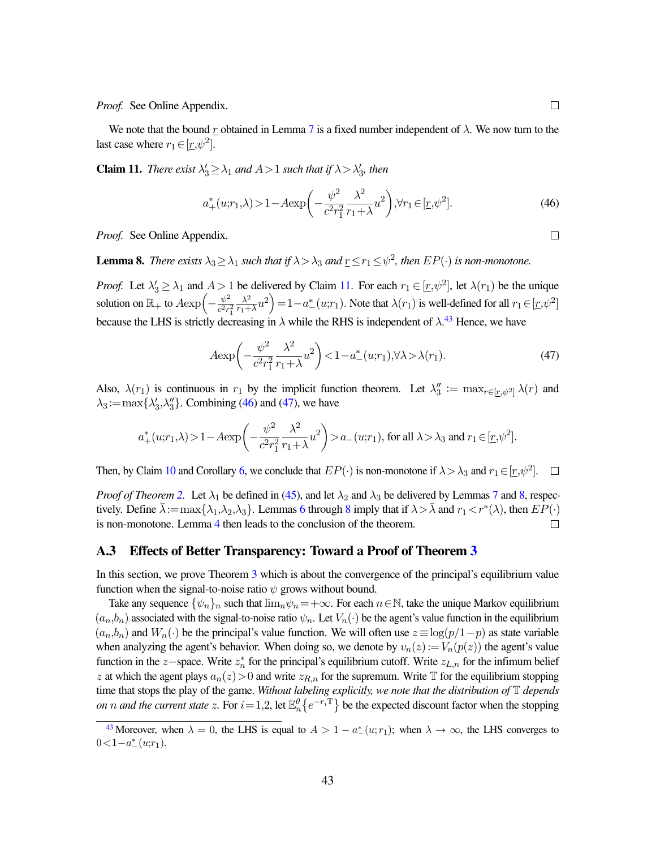*Proof.* See Online Appendix.

We note that the bound r obtained in Lemma [7](#page-42-1) is a fixed number independent of  $\lambda$ . We now turn to the last case where  $r_1 \in [\underline{r}, \psi^2]$ .

<span id="page-43-0"></span>**Claim 11.** *There exist*  $\lambda'_3 \geq \lambda_1$  *and*  $A > 1$  *such that if*  $\lambda > \lambda'_3$ *, then* 

<span id="page-43-2"></span>
$$
a_{+}^{*}(u;r_{1},\lambda) > 1 - A \exp\left(-\frac{\psi^{2}}{c^{2}r_{1}^{2}}\frac{\lambda^{2}}{r_{1} + \lambda}u^{2}\right), \forall r_{1} \in [\underline{r},\psi^{2}].
$$
\n(46)

*Proof.* See Online Appendix.

<span id="page-43-4"></span>**Lemma 8.** There exists  $\lambda_3 \geq \lambda_1$  such that if  $\lambda > \lambda_3$  and  $\underline{r} \leq r_1 \leq \psi^2$ , then  $EP(\cdot)$  is non-monotone.

*Proof.* Let  $\lambda'_3 \ge \lambda_1$  and  $A > 1$  be delivered by Claim [11.](#page-43-0) For each  $r_1 \in [r, \psi^2]$ , let  $\lambda(r_1)$  be the unique solution on  $\mathbb{R}_+$  to  $A \exp \left(-\frac{\psi^2}{c^2 r}\right)$  $\overline{c^2r_1^2}$  $\lambda^2$  $\left(\frac{\lambda^2}{r_1+\lambda}u^2\right) = 1 - a^*_{-}(u;r_1)$ . Note that  $\lambda(r_1)$  is well-defined for all  $r_1 \in [r, \psi^2]$ because the LHS is strictly decreasing in  $\lambda$  while the RHS is independent of  $\lambda$ .<sup>[43](#page-43-1)</sup> Hence, we have

<span id="page-43-3"></span>
$$
A \exp\left(-\frac{\psi^2}{c^2 r_1^2} \frac{\lambda^2}{r_1 + \lambda} u^2\right) < 1 - a^*_{-}(u; r_1), \forall \lambda > \lambda(r_1). \tag{47}
$$

Also,  $\lambda(r_1)$  is continuous in  $r_1$  by the implicit function theorem. Let  $\lambda''_3 := \max_{r \in [r, \psi^2]} \lambda(r)$  and  $\lambda_3 := \max\{\lambda'_3, \lambda''_3\}$ . Combining [\(46\)](#page-43-2) and [\(47\)](#page-43-3), we have

$$
a_+^*(u;r_1,\lambda)>1-A\mathrm{exp}\bigg(-\frac{\psi^2}{c^2r_1^2}\frac{\lambda^2}{r_1+\lambda}u^2\bigg)>a_-(u;r_1)\text{, for all }\lambda>\lambda_3\text{ and }r_1\in[\underline{r},\psi^2].
$$

Then, by Claim [10](#page-42-2) and Corollary [6,](#page-41-2) we conclude that  $EP(\cdot)$  is non-monotone if  $\lambda > \lambda_3$  and  $r_1 \in [\underline{r}, \psi^2]$ .

*Proof of Theorem [2.](#page-18-0)* Let  $\lambda_1$  be defined in [\(45\)](#page-42-0), and let  $\lambda_2$  and  $\lambda_3$  be delivered by Lemmas [7](#page-42-1) and [8,](#page-43-4) respectively. Define  $\bar{\lambda}$  := $\max\{\lambda_1,\lambda_2,\lambda_3\}$ . Lemmas [6](#page-42-3) through [8](#page-43-4) imply that if  $\lambda > \bar{\lambda}$  and  $r_1 < r^*(\lambda)$ , then  $EP(\cdot)$ is non-monotone. Lemma [4](#page-40-0) then leads to the conclusion of the theorem.  $\Box$ 

#### A.[3](#page-20-0) Effects of Better Transparency: Toward a Proof of Theorem 3

In this section, we prove Theorem [3](#page-20-0) which is about the convergence of the principal's equilibrium value function when the signal-to-noise ratio  $\psi$  grows without bound.

Take any sequence  $\{\psi_n\}_n$  such that  $\lim_n \psi_n = +\infty$ . For each  $n \in \mathbb{N}$ , take the unique Markov equilibrium  $(a_n,b_n)$  associated with the signal-to-noise ratio  $\psi_n$ . Let  $V_n(\cdot)$  be the agent's value function in the equilibrium  $(a_n, b_n)$  and  $W_n(\cdot)$  be the principal's value function. We will often use  $z \equiv \log(p/1-p)$  as state variable when analyzing the agent's behavior. When doing so, we denote by  $v_n(z) := V_n(p(z))$  the agent's value function in the z-space. Write  $z_n^*$  for the principal's equilibrium cutoff. Write  $z_{L,n}$  for the infimum belief z at which the agent plays  $a_n(z) > 0$  and write  $z_{R,n}$  for the supremum. Write T for the equilibrium stopping time that stops the play of the game. *Without labeling explicitly, we note that the distribution of* T *depends on n* and the current state z. For  $i = 1,2$ , let  $\mathbb{E}_n^{\theta} \{ e^{-r_i \mathbb{T}} \}$  be the expected discount factor when the stopping

<span id="page-43-5"></span> $\Box$ 

<span id="page-43-1"></span><sup>&</sup>lt;sup>[43](#page-43-5)</sup> Moreover, when  $\lambda = 0$ , the LHS is equal to  $A > 1 - a^*_{-}(u; r_1)$ ; when  $\lambda \to \infty$ , the LHS converges to  $0 < 1 - a^*_{-}(u; r_1).$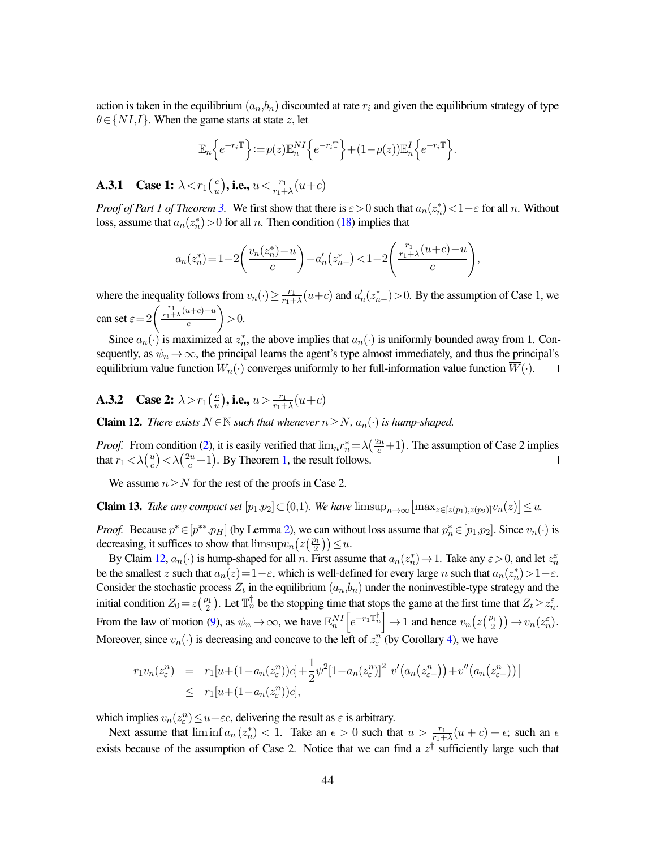action is taken in the equilibrium  $(a_n, b_n)$  discounted at rate  $r_i$  and given the equilibrium strategy of type  $\theta \in \{NI,I\}$ . When the game starts at state z, let

$$
\mathbb{E}_n\Big\{e^{-r_i\mathbb{T}}\Big\} \!:=\! p(z)\mathbb{E}_n^{NI}\Big\{e^{-r_i\mathbb{T}}\Big\}\!+\!(1\!-\!p(z))\mathbb{E}_n^I\Big\{e^{-r_i\mathbb{T}}\Big\}.
$$

**A.3.1** Case 1:  $\lambda < r_1 \left(\frac{c}{u}\right)$  $\left(\frac{c}{u}\right)$ , i.e.,  $u < \frac{r_1}{r_1+\lambda}(u+c)$ 

*Proof of Part 1 of Theorem [3.](#page-20-0)* We first show that there is  $\varepsilon > 0$  such that  $a_n(z_n^*) < 1 - \varepsilon$  for all n. Without loss, assume that  $a_n(z_n^*) > 0$  for all n. Then condition [\(18\)](#page-32-3) implies that

$$
a_n(z_n^*) = 1 - 2\left(\frac{v_n(z_n^*) - u}{c}\right) - a'_n(z_{n-}^*) < 1 - 2\left(\frac{\frac{r_1}{r_1 + \lambda}(u+c) - u}{c}\right),
$$

where the inequality follows from  $v_n(\cdot) \geq \frac{r_1}{r_1+1}$  $\frac{r_1}{r_1 + \lambda}(u+c)$  and  $a'_n(z^*_{n-}) > 0$ . By the assumption of Case 1, we can set  $\varepsilon = 2 \left( \frac{\frac{r_1}{r_1 + \lambda} (u+c) - u}{c} \right)$ c  $\Big) > 0.$ 

Since  $a_n(\cdot)$  is maximized at  $z_n^*$ , the above implies that  $a_n(\cdot)$  is uniformly bounded away from 1. Consequently, as  $\psi_n \to \infty$ , the principal learns the agent's type almost immediately, and thus the principal's equilibrium value function  $W_n(\cdot)$  converges uniformly to her full-information value function  $\overline{W}(\cdot)$ .  $\Box$ 

**A.3.2** Case 2:  $\lambda > r_1 \left(\frac{c}{v}\right)$  $\left(\frac{c}{u}\right)$ , i.e.,  $u > \frac{r_1}{r_1 + \lambda}(u+c)$ 

<span id="page-44-0"></span>**Claim 12.** *There exists*  $N \in \mathbb{N}$  *such that whenever*  $n \geq N$ *,*  $a_n(·)$  *is hump-shaped.* 

*Proof.* From condition [\(2\)](#page-13-3), it is easily verified that  $\lim_{n} r_n^* = \lambda \left( \frac{2u}{c} + 1 \right)$ . The assumption of Case 2 implies that  $r_1 < \lambda \left(\frac{u}{c}\right)$  $\frac{u}{c}$ ) <  $\lambda(\frac{2u}{c}+1)$ . By Theorem [1,](#page-11-0) the result follows.  $\Box$ 

We assume  $n \geq N$  for the rest of the proofs in Case 2.

<span id="page-44-1"></span>**Claim 13.** *Take any compact set*  $[p_1, p_2] \subset (0, 1)$ *. We have*  $\limsup_{n \to \infty} [\max_{z \in [z(p_1), z(p_2)]} v_n(z)] \le u$ *.* 

*Proof.* Because  $p^* \in [p^{**}, p_H]$  (by Lemma [2\)](#page-15-2), we can without loss assume that  $p_n^* \in [p_1, p_2]$ . Since  $v_n(\cdot)$  is decreasing, it suffices to show that  $\limsup v_n(z(\frac{p_1}{2}))$  $\left(\frac{21}{2}\right)\leq u.$ 

By Claim [12,](#page-44-0)  $a_n(\cdot)$  is hump-shaped for all n. First assume that  $a_n(z_n^*) \to 1$ . Take any  $\varepsilon > 0$ , and let  $z_n^{\varepsilon}$ be the smallest z such that  $a_n(z)=1-\varepsilon$ , which is well-defined for every large n such that  $a_n(z_n^*)>1-\varepsilon$ . Consider the stochastic process  $Z_t$  in the equilibrium  $(a_n, b_n)$  under the noninvestible-type strategy and the initial condition  $Z_0 = z \left( \frac{p_1}{2} \right)$  $\frac{20}{2}$ ). Let  $\mathbb{T}_n^{\dagger}$  be the stopping time that stops the game at the first time that  $Z_t \geq z_n^{\varepsilon}$ . From the law of motion [\(9\)](#page-30-5), as  $\psi_n \to \infty$ , we have  $\mathbb{E}_n^{NI}\left[e^{-r_1\mathbb{T}_n^{\dagger}}\right] \to 1$  and hence  $v_n(z(\frac{p_1}{2}))$  $\left(\frac{\partial}{2}^{\frac{1}{2}}\right)\right)\rightarrow v_n(z_n^{\varepsilon}).$ Moreover, since  $v_n(\cdot)$  is decreasing and concave to the left of  $z_\varepsilon^n$  (by Corollary [4\)](#page-39-0), we have

$$
r_1v_n(z_\varepsilon^n) = r_1[u + (1 - a_n(z_\varepsilon^n))c] + \frac{1}{2}\psi^2[1 - a_n(z_\varepsilon^n)]^2[v'(a_n(z_\varepsilon^n)) + v''(a_n(z_\varepsilon^n))]
$$
  
 
$$
\leq r_1[u + (1 - a_n(z_\varepsilon^n))c],
$$

which implies  $v_n(z_\varepsilon^n) \le u + \varepsilon c$ , delivering the result as  $\varepsilon$  is arbitrary.

Next assume that  $\liminf a_n(z_n^*) < 1$ . Take an  $\epsilon > 0$  such that  $u > \frac{r_1}{r_1 + \lambda}(u + c) + \epsilon$ ; such an  $\epsilon$ exists because of the assumption of Case 2. Notice that we can find a  $z^{\dagger}$  sufficiently large such that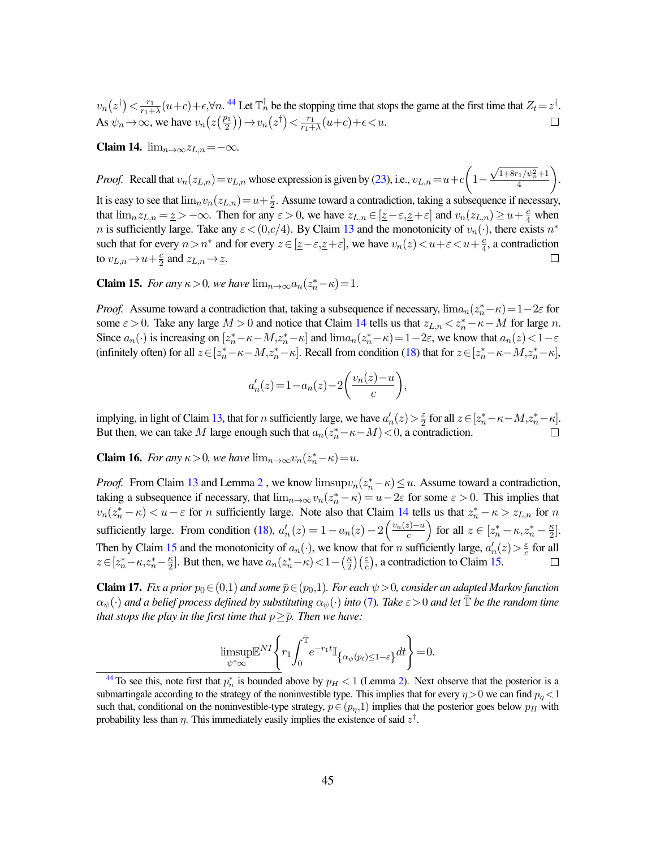<span id="page-45-4"></span> $\frac{r_1}{r_1+\lambda}(u+c)+\epsilon, \forall n$ . <sup>[44](#page-45-1)</sup> Let  $\mathbb{T}_n^{\dagger}$  be the stopping time that stops the game at the first time that  $Z_t=z^{\dagger}$ .  $v_n(z^\dagger) < \frac{r_1}{r_1+1}$ As  $\psi_n \to \infty$ , we have  $v_n(z(\frac{p_1}{2}))$  $\left(\frac{v_1}{2}\right)\right) \rightarrow v_n(z^{\dagger}) < \frac{r_1}{r_1 + r_2}$  $\frac{r_1}{r_1+\lambda}(u+c)+\epsilon.$  $\Box$ 

<span id="page-45-2"></span>Claim 14.  $\lim_{n\to\infty}z_{L,n}=-\infty$ .

 $\sqrt{1+8r_1/\psi_n^2}+1$ *Proof.* Recall that  $v_n(z_{L,n}) = v_{L,n}$  whose expression is given by [\(23\)](#page-35-1), i.e.,  $v_{L,n} = u+c \left(1-\frac{1}{2}\right)$  . 4 It is easy to see that  $\lim_n v_n(z_{L,n})=u+\frac{c}{2}$  $\frac{c}{2}$ . Assume toward a contradiction, taking a subsequence if necessary, that  $\lim_{n \to \infty} z_{L,n} = \underline{z} > -\infty$ . Then for any  $\varepsilon > 0$ , we have  $z_{L,n} \in [\underline{z} - \varepsilon, \underline{z} + \varepsilon]$  and  $v_n(z_{L,n}) \ge u + \frac{c}{4}$  when *n* is sufficiently large. Take any  $\varepsilon < (0, c/4)$ . By Claim [13](#page-44-1) and the monotonicity of  $v_n(\cdot)$ , there exists  $n^*$ such that for every  $n > n^*$  and for every  $z \in [\underline{z} - \varepsilon, \underline{z} + \varepsilon]$ , we have  $v_n(z) < u + \varepsilon < u + \frac{c}{4}$  $\frac{c}{4}$ , a contradiction to  $v_{L,n}$   $\rightarrow$   $u + \frac{c}{2}$  $\frac{c}{2}$  and  $z_{L,n} \rightarrow \underline{z}$ .  $\Box$ 

<span id="page-45-3"></span>**Claim 15.** *For any*  $\kappa > 0$ *, we have*  $\lim_{n \to \infty} a_n(z_n^* - \kappa) = 1$ *.* 

*Proof.* Assume toward a contradiction that, taking a subsequence if necessary,  $\lim_{n \to \infty} a_n(z_n^* - \kappa) = 1 - 2\varepsilon$  for some  $\varepsilon > 0$ . Take any large  $M > 0$  and notice that Claim [14](#page-45-2) tells us that  $z_{L,n} < z_n^* - \kappa - M$  for large n. Since  $a_n(\cdot)$  is increasing on  $[z_n^*-\kappa-M,z_n^*-\kappa]$  and  $\lim_{n\to\infty}a_n(z_n^*-\kappa)=1-2\varepsilon$ , we know that  $a_n(z)<1-\varepsilon$ (infinitely often) for all  $z \in [z_n^*-\kappa-M, z_n^*-\kappa]$ . Recall from condition [\(18\)](#page-32-3) that for  $z \in [z_n^*-\kappa-M, z_n^*-\kappa]$ ,

$$
a'_n(z) = 1 - a_n(z) - 2\left(\frac{v_n(z) - u}{c}\right),
$$

implying, in light of Claim [13,](#page-44-1) that for *n* sufficiently large, we have  $a'_n(z) > \frac{\varepsilon}{2}$  $\frac{\varepsilon}{2}$  for all  $z \in [z_n^* - \kappa - M, z_n^* - \kappa]$ . But then, we can take M large enough such that  $a_n(z_n^*-\kappa-M) < 0$ , a contradiction.

<span id="page-45-5"></span>**Claim 16.** *For any*  $\kappa > 0$ *, we have*  $\lim_{n \to \infty} v_n(z_n^* - \kappa) = u$ *.* 

*Proof.* From Claim [13](#page-44-1) and Lemma [2](#page-15-2), we know  $\limsup v_n(z_n^*-\kappa) \leq u$ . Assume toward a contradiction, taking a subsequence if necessary, that  $\lim_{n\to\infty} v_n(z_n^* - \kappa) = u - 2\varepsilon$  for some  $\varepsilon > 0$ . This implies that  $v_n(z_n^* - \kappa) < u - \varepsilon$  for *n* sufficiently large. Note also that Claim [14](#page-45-2) tells us that  $z_n^* - \kappa > z_{L,n}$  for *n* sufficiently large. From condition [\(18\)](#page-32-3),  $a'_n(z) = 1 - a_n(z) - 2\left(\frac{v_n(z) - u}{c}\right)$  $\left(\frac{z}{c}\right)^{-u}$  for all  $z \in [z_n^* - \kappa, z_n^* - \frac{\kappa}{2}]$  $\frac{\kappa}{2}$ . Then by Claim [15](#page-45-3) and the monotonicity of  $a_n(\cdot)$ , we know that for n sufficiently large,  $a'_n(z) > \frac{\varepsilon}{c}$  $\frac{\varepsilon}{c}$  for all  $z \in [z_n^* - \kappa, z_n^* - \frac{\kappa}{2}]$  $\frac{\kappa}{2}$ . But then, we have  $a_n(z_n^*-\kappa) < 1-(\frac{\kappa}{2})$  $\left(\frac{\varepsilon}{c}\right)$ , a contradiction to Claim [15.](#page-45-3)  $\Box$ 

<span id="page-45-0"></span>**Claim 17.** *Fix a prior*  $p_0 \in (0,1)$  *and some*  $\bar{p} \in (p_0,1)$ *. For each*  $\psi > 0$ *, consider an adapted Markov function*  $\alpha_{\psi}(\cdot)$  and a belief process defined by substituting  $\alpha_{\psi}(\cdot)$  into [\(7\)](#page-15-1). Take  $\varepsilon > 0$  and let  $\bar{\mathbb{T}}$  be the random time *that stops the play in the first time that*  $p \geq \overline{p}$ *. Then we have:* 

$$
\underset{\psi\uparrow\infty}{\text{limsup}}\mathbb{E}^{NI}\left\{r_1\!\int_0^{\bar{\mathbb{T}}} \!\!e^{-r_1t}\mathbb{I}_{\left\{\alpha_\psi\left(p_t\right)\leq 1-\varepsilon\right\}}dt\right\}\!=\!0.
$$

<span id="page-45-1"></span><sup>&</sup>lt;sup>[44](#page-45-4)</sup> To see this, note first that  $p_n^*$  is bounded above by  $p_H < 1$  (Lemma [2\)](#page-15-2). Next observe that the posterior is a submartingale according to the strategy of the noninvestible type. This implies that for every  $\eta > 0$  we can find  $p_n < 1$ such that, conditional on the noninvestible-type strategy,  $p \in (p_n,1)$  implies that the posterior goes below  $p_H$  with probability less than  $\eta$ . This immediately easily implies the existence of said  $z^{\dagger}$ .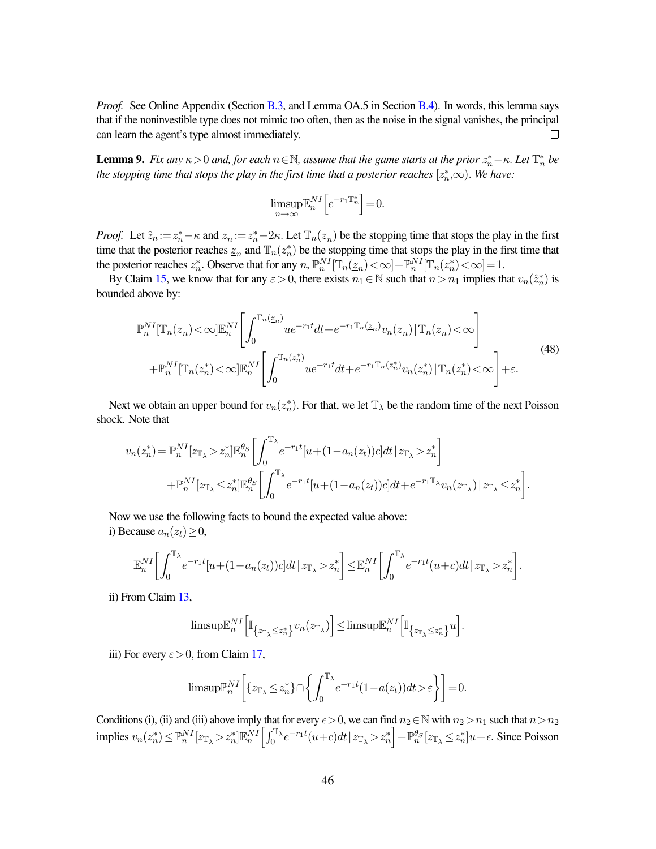*Proof.* See Online Appendix (Section [B.3,](#page-57-0) and Lemma OA.5 in Section [B.4\)](#page-57-1). In words, this lemma says that if the noninvestible type does not mimic too often, then as the noise in the signal vanishes, the principal can learn the agent's type almost immediately.  $\Box$ 

<span id="page-46-1"></span>**Lemma 9.** Fix any  $\kappa > 0$  and, for each  $n \in \mathbb{N}$ , assume that the game starts at the prior  $z_n^* - \kappa$ . Let  $\mathbb{T}_n^*$  be the stopping time that stops the play in the first time that a posterior reaches  $[z_n^*,\infty)$ . We have:

$$
\limsup_{n \to \infty} \mathbb{E}_n^{NI} \Big[ e^{-r_1 \mathbb{T}_n^*} \Big] = 0.
$$

*Proof.* Let  $\hat{z}_n := z_n^* - \kappa$  and  $z_n := z_n^* - 2\kappa$ . Let  $\mathbb{T}_n(\underline{z}_n)$  be the stopping time that stops the play in the first time that the posterior reaches  $\underline{z}_n$  and  $\mathbb{T}_n(z_n^*)$  be the stopping time that stops the play in the first time that the posterior reaches  $z_n^*$ . Observe that for any  $n$ ,  $\mathbb{P}_n^{NI}[\mathbb{T}_n(\underline{z}_n) < \infty] + \mathbb{P}_n^{NI}[\mathbb{T}_n(z_n^*) < \infty] = 1$ .

By Claim [15,](#page-45-3) we know that for any  $\varepsilon > 0$ , there exists  $n_1 \in \mathbb{N}$  such that  $n > n_1$  implies that  $v_n(\hat{z}_n^*)$  is bounded above by:

<span id="page-46-0"></span>
$$
\mathbb{P}_{n}^{NI}[\mathbb{T}_{n}(\underline{z}_{n})<\infty]\mathbb{E}_{n}^{NI}\left[\int_{0}^{\mathbb{T}_{n}(\underline{z}_{n})}u e^{-r_{1}t}dt + e^{-r_{1}\mathbb{T}_{n}(\underline{z}_{n})}v_{n}(\underline{z}_{n})|\mathbb{T}_{n}(\underline{z}_{n})<\infty\right] + \mathbb{P}_{n}^{NI}[\mathbb{T}_{n}(z_{n}^{*})<\infty]\mathbb{E}_{n}^{NI}\left[\int_{0}^{\mathbb{T}_{n}(z_{n}^{*})}u e^{-r_{1}t}dt + e^{-r_{1}\mathbb{T}_{n}(z_{n}^{*})}v_{n}(z_{n}^{*})|\mathbb{T}_{n}(z_{n}^{*})<\infty\right] + \varepsilon.
$$
\n(48)

Next we obtain an upper bound for  $v_n(z_n^*)$ . For that, we let  $\mathbb{T}_{\lambda}$  be the random time of the next Poisson shock. Note that

$$
v_n(z_n^*) = \mathbb{P}_n^{NI}[z_{\mathbb{T}_\lambda} > z_n^*] \mathbb{E}_n^{\theta_S} \left[ \int_0^{\mathbb{T}_\lambda} e^{-r_1 t} [u + (1 - a_n(z_t))c] dt \, | \, z_{\mathbb{T}_\lambda} > z_n^* \right]
$$
  
+ 
$$
\mathbb{P}_n^{NI}[z_{\mathbb{T}_\lambda} \leq z_n^*] \mathbb{E}_n^{\theta_S} \left[ \int_0^{\mathbb{T}_\lambda} e^{-r_1 t} [u + (1 - a_n(z_t))c] dt + e^{-r_1 \mathbb{T}_\lambda} v_n(z_{\mathbb{T}_\lambda}) \, | \, z_{\mathbb{T}_\lambda} \leq z_n^* \right].
$$

Now we use the following facts to bound the expected value above: i) Because  $a_n(z_t) \geq 0$ ,

$$
\mathbb{E}_n^{NI}\bigg[\int_0^{\mathbb{T}_\lambda} e^{-r_1t}[u+(1-a_n(z_t))c]dt\,|\,z_{\mathbb{T}_\lambda}>z_n^*\bigg]\leq \mathbb{E}_n^{NI}\bigg[\int_0^{\mathbb{T}_\lambda} e^{-r_1t}(u+c)dt\,|\,z_{\mathbb{T}_\lambda}>z_n^*\bigg].
$$

ii) From Claim [13,](#page-44-1)

$$
\text{limsup}\mathbb{E}_{n}^{NI}\Big[\mathbb{I}_{\big\{z_{\mathbb{T}_{\lambda}}\leq z_{n}^{*}\big\}}v_{n}(z_{\mathbb{T}_{\lambda}})\Big]\!\leq\!\text{limsup}\mathbb{E}_{n}^{NI}\Big[\mathbb{I}_{\big\{z_{\mathbb{T}_{\lambda}}\leq z_{n}^{*}\big\}}u\Big]
$$

.

iii) For every  $\varepsilon > 0$ , from Claim [17,](#page-45-0)

$$
\text{limsup}\mathbb{P}_n^{NI}\bigg[\{z_{\mathbb{T}_\lambda}\leq z_n^*\}\cap\bigg\{\int_0^{\mathbb{T}_\lambda}e^{-r_1t}(1-a(z_t))dt>\varepsilon\bigg\}\bigg]=0.
$$

Conditions (i), (ii) and (iii) above imply that for every  $\epsilon > 0$ , we can find  $n_2 \in \mathbb{N}$  with  $n_2 > n_1$  such that  $n > n_2$ implies  $v_n(z_n^*) \leq \mathbb{P}_n^{NI}[z_{\mathbb{T}_{\lambda}} > z_n^*] \mathbb{E}_n^{NI} \left[ \int_0^{\mathbb{T}_{\lambda}} e^{-r_1 t} (u+c) dt \, | \, z_{\mathbb{T}_{\lambda}} > z_n^* \right] + \mathbb{P}_n^{\theta_S}[z_{\mathbb{T}_{\lambda}} \leq z_n^*] u + \epsilon$ . Since Poisson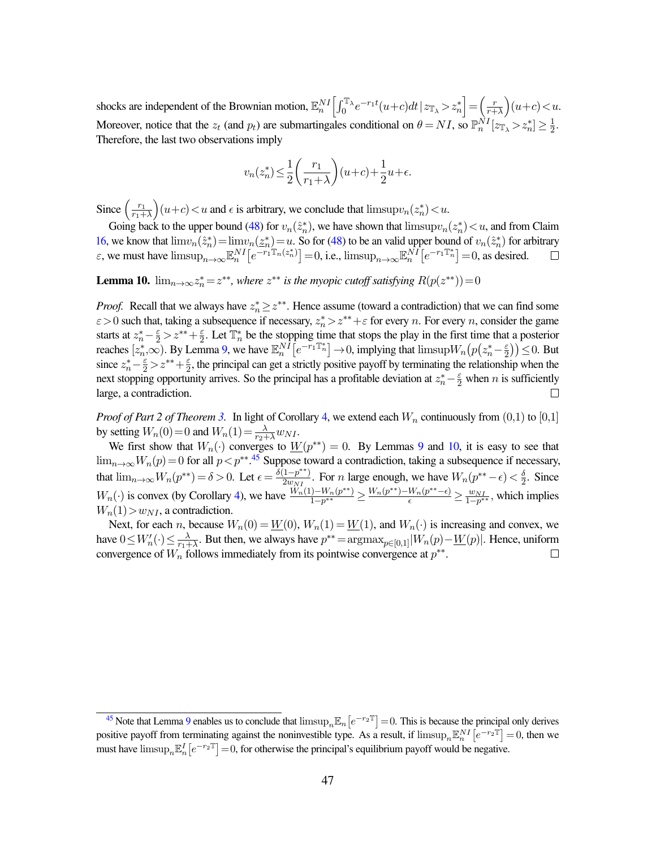shocks are independent of the Brownian motion,  $\mathbb{E}_n^{NI} \left[ \int_0^{\mathbb{T}_\lambda} e^{-r_1 t} (u+c) dt \, | \, z_{\mathbb{T}_\lambda} > z_n^* \right] = \left( \frac{r}{r+1} \right)$  $\frac{r}{r+\lambda}(u+c) < u.$ Moreover, notice that the  $z_t$  (and  $p_t$ ) are submartingales conditional on  $\theta = NI$ , so  $\mathbb{P}_n^{NI}[z_{\mathbb{I}_{\lambda}} > z_n^*] \geq \frac{1}{2}$  $\frac{1}{2}$ . Therefore, the last two observations imply

$$
v_n(z_n^*)\!\leq\! \frac{1}{2}\!\left(\frac{r_1}{r_1\!+\!\lambda}\right)\!(u\!+\!c)\!+\!\frac{1}{2}u\!+\!\epsilon.
$$

Since  $\left(\frac{r_1}{r_1+1}\right)$  $r_1+\lambda$  $\int (u+c) < u$  and  $\epsilon$  is arbitrary, we conclude that  $\limsup v_n(z_n^*) < u$ .

Going back to the upper bound [\(48\)](#page-46-0) for  $v_n(\hat{z}_n^*)$ , we have shown that  $\limsup v_n(z_n^*) < u$ , and from Claim [16,](#page-45-5) we know that  $\lim_{n} i(x_n^*) = \lim_{n} i(x_n^*) = u$ . So for [\(48\)](#page-46-0) to be an valid upper bound of  $v_n(\hat{z}_n^*)$  for arbitrary  $\varepsilon$ , we must have  $\limsup_{n\to\infty} \mathbb{E}_n^{NI} \left[ e^{-r_1 \mathbb{T}_n(z_n^*)} \right] = 0$ , i.e.,  $\limsup_{n\to\infty} \mathbb{E}_n^{NI} \left[ e^{-r_1 \mathbb{T}_n^*} \right] = 0$ , as desired.

<span id="page-47-0"></span>**Lemma 10.**  $\lim_{n\to\infty} z_n^* = z^{**}$ , where  $z^{**}$  is the myopic cutoff satisfying  $R(p(z^{**}))=0$ 

*Proof.* Recall that we always have  $z_n^* \geq z^{**}$ . Hence assume (toward a contradiction) that we can find some  $\varepsilon > 0$  such that, taking a subsequence if necessary,  $z_n^* > z^{**} + \varepsilon$  for every n. For every n, consider the game starts at  $z_n^* - \frac{\varepsilon}{2} > z^{**} + \frac{\varepsilon}{2}$  $\frac{\varepsilon}{2}$ . Let  $\mathbb{T}_n^*$  be the stopping time that stops the play in the first time that a posterior reaches  $[z_n^*,\infty)$ . By Lemma [9,](#page-46-1) we have  $\mathbb{E}_n^{N \tilde{I}} \left[ e^{-r_1 \mathbb{T}_n^*} \right] \to 0$ , implying that  $\limsup W_n (p(z_n^* - \frac{\varepsilon}{2}))$  $(\frac{\varepsilon}{2})$   $\leq$  0. But since  $z_n^* - \frac{\varepsilon}{2} > z^{**} + \frac{\varepsilon}{2}$  $\frac{\varepsilon}{2}$ , the principal can get a strictly positive payoff by terminating the relationship when the next stopping opportunity arrives. So the principal has a profitable deviation at  $z_n^* - \frac{\varepsilon}{2}$  when n is sufficiently large, a contradiction.

*Proof of Part 2 of Theorem [3.](#page-20-0)* In light of Corollary [4,](#page-39-0) we extend each  $W_n$  continuously from  $(0,1)$  to  $[0,1]$ by setting  $W_n(0) = 0$  and  $W_n(1) = \frac{\lambda}{r_2 + \lambda} w_{NI}$ .

<span id="page-47-2"></span>We first show that  $W_n(\cdot)$  converges to  $\underline{W}(p^{**}) = 0$ . By Lemmas [9](#page-46-1) and [10,](#page-47-0) it is easy to see that  $\lim_{n\to\infty}W_n(p)=0$  for all  $p < p^{**}.$ <sup>[45](#page-47-1)</sup> Suppose toward a contradiction, taking a subsequence if necessary, that  $\lim_{n\to\infty} W_n(p^{**}) = \delta > 0$ . Let  $\epsilon = \frac{\delta(1-p^{**})}{2w_{NT}}$  $\frac{(1-p^{**})}{2w_{NI}}$ . For *n* large enough, we have  $W_n(p^{**}-\epsilon) < \frac{\delta}{2}$  $\frac{0}{2}$ . Since  $W_n(\cdot)$  is convex (by Corollary [4\)](#page-39-0), we have  $\frac{\hat{W}_n(1)-W_n(p^{**})}{1-p^{**}}$  $\frac{1-W_n(p^{**})}{1-p^{**}}$  ≥  $\frac{W_n(p^{**})-W_n(p^{**}-\epsilon)}{\epsilon}$  ≥  $\frac{w_{NL}}{1-p^{**}}$ , which implies  $W_n(1) > w_{NI}$ , a contradiction.

Next, for each n, because  $W_n(0) = \underline{W}(0)$ ,  $W_n(1) = \underline{W}(1)$ , and  $W_n(\cdot)$  is increasing and convex, we have  $0 \leq W'_n(\cdot) \leq \frac{\lambda}{r_1 + \lambda}$  $\frac{\lambda}{r_1 + \lambda}$ . But then, we always have  $p^{**} = \text{argmax}_{p \in [0,1]} |W_n(p) - \underline{W}(p)|$ . Hence, uniform convergence of  $W_n^{\dagger}$  follows immediately from its pointwise convergence at  $p^{**}$ .

<span id="page-47-1"></span><sup>&</sup>lt;sup>[45](#page-47-2)</sup> Note that Lemma [9](#page-46-1) enables us to conclude that  $\limsup_n \mathbb{E}_n[e^{-r_2\mathbb{T}}]=0$ . This is because the principal only derives positive payoff from terminating against the noninvestible type. As a result, if  $\limsup_n \mathbb{E}_n^{NI} [e^{-r_2 \mathbb{T}}] = 0$ , then we must have  $\limsup_n \mathbb{E}_n^I \left[ e^{-r_2 \mathbb{T}} \right] = 0$ , for otherwise the principal's equilibrium payoff would be negative.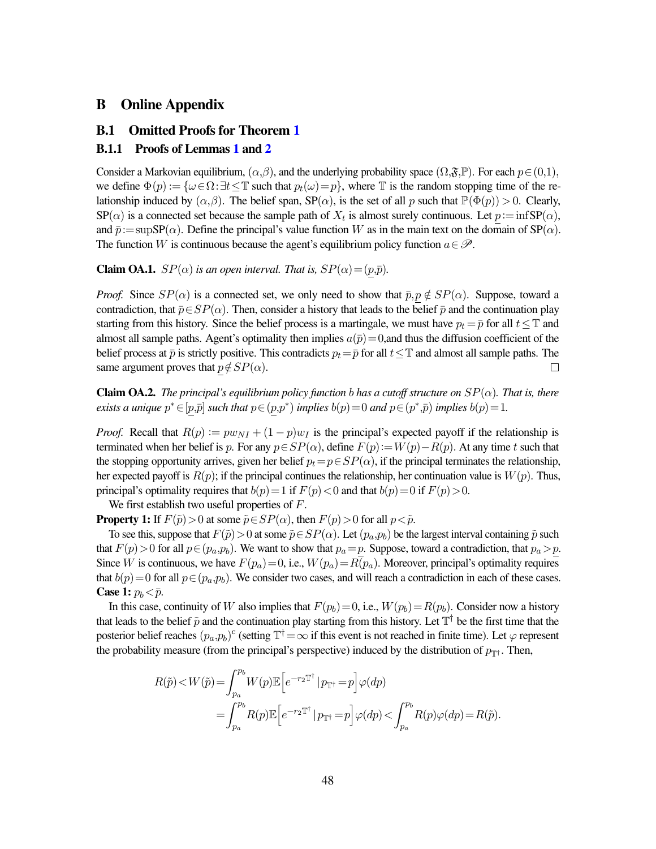### B Online Appendix

#### B.1 Omitted Proofs for Theorem [1](#page-11-0)

#### B.1.1 Proofs of Lemmas [1](#page-10-2) and [2](#page-15-2)

Consider a Markovian equilibrium,  $(\alpha, \beta)$ , and the underlying probability space  $(\Omega, \mathfrak{F}, \mathbb{P})$ . For each  $p \in (0,1)$ , we define  $\Phi(p) := {\omega \in \Omega : \exists t \leq \mathbb{T} \text{ such that } p_t(\omega) = p}$ , where  $\mathbb{T}$  is the random stopping time of the relationship induced by  $(\alpha, \beta)$ . The belief span,  $SP(\alpha)$ , is the set of all p such that  $\mathbb{P}(\Phi(p)) > 0$ . Clearly,  $SP(\alpha)$  is a connected set because the sample path of  $X_t$  is almost surely continuous. Let  $p := \inf SP(\alpha)$ , and  $\bar{p}:=\sup \text{SP}(\alpha)$ . Define the principal's value function W as in the main text on the domain of  $\text{SP}(\alpha)$ . The function W is continuous because the agent's equilibrium policy function  $a \in \mathcal{P}$ .

**Claim OA.1.**  $SP(\alpha)$  *is an open interval. That is,*  $SP(\alpha) = (p,\bar{p})$ *.* 

*Proof.* Since  $SP(\alpha)$  is a connected set, we only need to show that  $\bar{p}, p \notin SP(\alpha)$ . Suppose, toward a contradiction, that  $\bar{p}$ ∈SP( $\alpha$ ). Then, consider a history that leads to the belief  $\bar{p}$  and the continuation play starting from this history. Since the belief process is a martingale, we must have  $p_t = \bar{p}$  for all  $t \leq T$  and almost all sample paths. Agent's optimality then implies  $a(\bar{p})=0$ , and thus the diffusion coefficient of the belief process at  $\bar{p}$  is strictly positive. This contradicts  $p_t = \bar{p}$  for all  $t \leq T$  and almost all sample paths. The same argument proves that  $p \notin SP(\alpha)$ . □

**Claim OA.2.** *The principal's equilibrium policy function b has a cutoff structure on*  $SP(\alpha)$ *. That is, there exists a unique*  $p^* \in [p,\bar{p}]$  *such that*  $p \in (p,p^*)$  *implies*  $b(p) = 0$  *and*  $p \in (p^*,\bar{p})$  *implies*  $b(p) = 1$ *.* 

*Proof.* Recall that  $R(p) := pw_{NI} + (1 - p)w_I$  is the principal's expected payoff if the relationship is terminated when her belief is p. For any  $p \in SP(\alpha)$ , define  $F(p) := W(p) - R(p)$ . At any time t such that the stopping opportunity arrives, given her belief  $p_t=p\in SP(\alpha)$ , if the principal terminates the relationship, her expected payoff is  $R(p)$ ; if the principal continues the relationship, her continuation value is  $W(p)$ . Thus, principal's optimality requires that  $b(p)=1$  if  $F(p)<0$  and that  $b(p)=0$  if  $F(p)>0$ .

We first establish two useful properties of F.

**Property 1:** If  $F(\tilde{p})>0$  at some  $\tilde{p} \in SP(\alpha)$ , then  $F(p)>0$  for all  $p < \tilde{p}$ .

To see this, suppose that  $F(\tilde{p})>0$  at some  $\tilde{p} \in SP(\alpha)$ . Let  $(p_a, p_b)$  be the largest interval containing  $\tilde{p}$  such that  $F(p) > 0$  for all  $p \in (p_a, p_b)$ . We want to show that  $p_a = p$ . Suppose, toward a contradiction, that  $p_a > p$ . Since W is continuous, we have  $F(p_a)=0$ , i.e.,  $W(p_a)=R(p_a)$ . Moreover, principal's optimality requires that  $b(p)=0$  for all  $p \in (p_a, p_b)$ . We consider two cases, and will reach a contradiction in each of these cases. **Case 1:**  $p_b < \bar{p}$ .

In this case, continuity of W also implies that  $F(p_b)=0$ , i.e.,  $W(p_b)=R(p_b)$ . Consider now a history that leads to the belief  $\tilde{p}$  and the continuation play starting from this history. Let  $\mathbb{T}^{\dagger}$  be the first time that the posterior belief reaches  $(p_a, p_b)^c$  (setting  $\mathbb{T}^\dagger = \infty$  if this event is not reached in finite time). Let  $\varphi$  represent the probability measure (from the principal's perspective) induced by the distribution of  $p_{\uparrow\uparrow}$ . Then,

$$
\begin{split} R(\tilde{p})\!<\!W(\tilde{p})\!=\!\int_{p_a}^{p_b}\!\!W(p)\mathbb{E}\!\left[e^{-r_2\mathbb{T}^\dagger}\left|p_{\mathbb{T}^\dagger}\!=\!p\right]\!\varphi(dp)\\ =\!\int_{p_a}^{p_b}\!\!R(p)\mathbb{E}\!\left[e^{-r_2\mathbb{T}^\dagger}\left|p_{\mathbb{T}^\dagger}\!=\!p\right]\!\varphi(dp)\!<\!\int_{p_a}^{p_b}\!\!R(p)\varphi(dp)\!=\!R(\tilde{p}). \end{split}
$$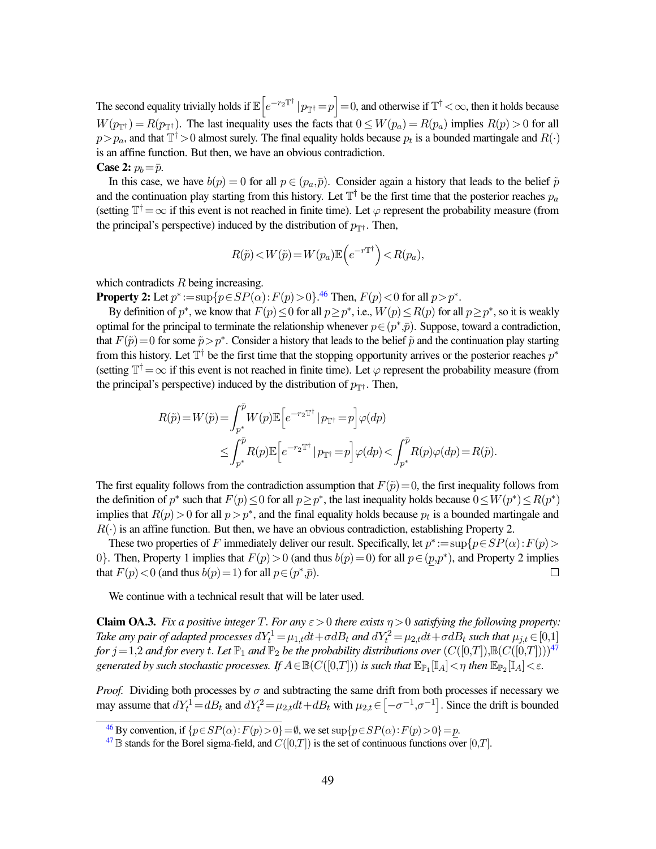The second equality trivially holds if  $\mathbb{E}\big[e^{-r_2\mathbb{T}^\dagger}\,|p_{\mathbb{T}^\dagger}=p\big]=0,$  and otherwise if  $\mathbb{T}^\dagger<\infty,$  then it holds because  $W(p_{\text{int}}) = R(p_{\text{int}})$ . The last inequality uses the facts that  $0 \le W(p_a) = R(p_a)$  implies  $R(p) > 0$  for all  $p > p_a$ , and that  $\mathbb{T}^{\dagger} > 0$  almost surely. The final equality holds because  $p_t$  is a bounded martingale and  $R(\cdot)$ is an affine function. But then, we have an obvious contradiction. **Case 2:**  $p_b = \bar{p}$ .

In this case, we have  $b(p) = 0$  for all  $p \in (p_a, \bar{p})$ . Consider again a history that leads to the belief  $\tilde{p}$ and the continuation play starting from this history. Let  $\mathbb{T}^{\dagger}$  be the first time that the posterior reaches  $p_a$ (setting  $\mathbb{T}^{\dagger}=\infty$  if this event is not reached in finite time). Let  $\varphi$  represent the probability measure (from the principal's perspective) induced by the distribution of  $p_{\text{T}^{\dagger}}$ . Then,

<span id="page-49-2"></span>
$$
R(\tilde{p}) < W(\tilde{p}) = W(p_a) \mathbb{E}\left(e^{-r\mathbb{T}^\dagger}\right) < R(p_a),
$$

which contradicts  $R$  being increasing.

**Property 2:** Let  $p^* := \sup\{p \in SP(\alpha) : F(p) > 0\}$ .<sup>[46](#page-49-0)</sup> Then,  $F(p) < 0$  for all  $p > p^*$ .

By definition of  $p^*$ , we know that  $F(p) \le 0$  for all  $p \ge p^*$ , i.e.,  $W(p) \le R(p)$  for all  $p \ge p^*$ , so it is weakly optimal for the principal to terminate the relationship whenever  $p \in (p^*, \bar{p})$ . Suppose, toward a contradiction, that  $F(\tilde{p}) = 0$  for some  $\tilde{p} > p^*$ . Consider a history that leads to the belief  $\tilde{p}$  and the continuation play starting from this history. Let  $\mathbb{T}^{\dagger}$  be the first time that the stopping opportunity arrives or the posterior reaches  $p^*$ (setting  $\mathbb{T}^{\dagger}=\infty$  if this event is not reached in finite time). Let  $\varphi$  represent the probability measure (from the principal's perspective) induced by the distribution of  $p_{\text{TH}}$ . Then,

$$
R(\tilde{p}) = W(\tilde{p}) = \int_{p^*}^{\bar{p}} W(p) \mathbb{E}\left[e^{-r_2 \mathbb{T}^\dagger} \, | \, p_{\mathbb{T}^\dagger} = p\right] \varphi(dp)
$$
  
\n
$$
\leq \int_{p^*}^{\bar{p}} R(p) \mathbb{E}\left[e^{-r_2 \mathbb{T}^\dagger} \, | \, p_{\mathbb{T}^\dagger} = p\right] \varphi(dp) < \int_{p^*}^{\bar{p}} R(p) \varphi(dp) = R(\tilde{p}).
$$

The first equality follows from the contradiction assumption that  $F(\tilde{p})=0$ , the first inequality follows from the definition of  $p^*$  such that  $F(p) \le 0$  for all  $p \ge p^*$ , the last inequality holds because  $0 \le W(p^*) \le R(p^*)$ implies that  $R(p) > 0$  for all  $p > p^*$ , and the final equality holds because  $p_t$  is a bounded martingale and  $R(\cdot)$  is an affine function. But then, we have an obvious contradiction, establishing Property 2.

These two properties of F immediately deliver our result. Specifically, let  $p^* := \sup\{p \in SP(\alpha) : F(p) >$ 0. Then, Property 1 implies that  $F(p) > 0$  (and thus  $b(p) = 0$ ) for all  $p \in (p, p^*)$ , and Property 2 implies that  $F(p) < 0$  (and thus  $b(p) = 1$ ) for all  $p \in (p^*, \bar{p})$ .  $\Box$ 

<span id="page-49-3"></span>We continue with a technical result that will be later used.

**Claim OA.3.** *Fix a positive integer* T. *For any*  $\varepsilon > 0$  *there exists*  $\eta > 0$  *satisfying the following property:* Take any pair of adapted processes  $dY_t^1 = \mu_{1,t}dt + \sigma dB_t$  and  $dY_t^2 = \mu_{2,t}dt + \sigma dB_t$  such that  $\mu_{j,t} \in [0,1]$ *for*  $j = 1,2$  *and for every t. Let*  $\mathbb{P}_1$  *and*  $\mathbb{P}_2$  *be the probability distributions over*  $(C([0,T]),B(C([0,T]))^{47}$  $(C([0,T]),B(C([0,T]))^{47}$  $(C([0,T]),B(C([0,T]))^{47}$ generated by such stochastic processes. If  $A\!\in\!\mathbb{B}(C([0,T]))$  is such that  $\mathbb{E}_{\mathbb{P}_1}[\mathbb{I}_A]\!<\!\eta$  then  $\mathbb{E}_{\mathbb{P}_2}[\mathbb{I}_A]\!<\!\widehat{\varepsilon}.$ 

*Proof.* Dividing both processes by  $\sigma$  and subtracting the same drift from both processes if necessary we may assume that  $dY_t^1 = dB_t$  and  $dY_t^2 = \mu_{2,t}dt + dB_t$  with  $\mu_{2,t} \in [-\sigma^{-1}, \sigma^{-1}]$ . Since the drift is bounded

<span id="page-49-0"></span><sup>&</sup>lt;sup>[46](#page-49-2)</sup> By convention, if  $\{p \in SP(\alpha) : F(p) > 0\} = \emptyset$ , we set  $\sup\{p \in SP(\alpha) : F(p) > 0\} = p$ .

<span id="page-49-1"></span> $^{47}$  $^{47}$  $^{47}$  B stands for the Borel sigma-field, and  $C([0,T])$  is the set of continuous functions over  $[0,T]$ .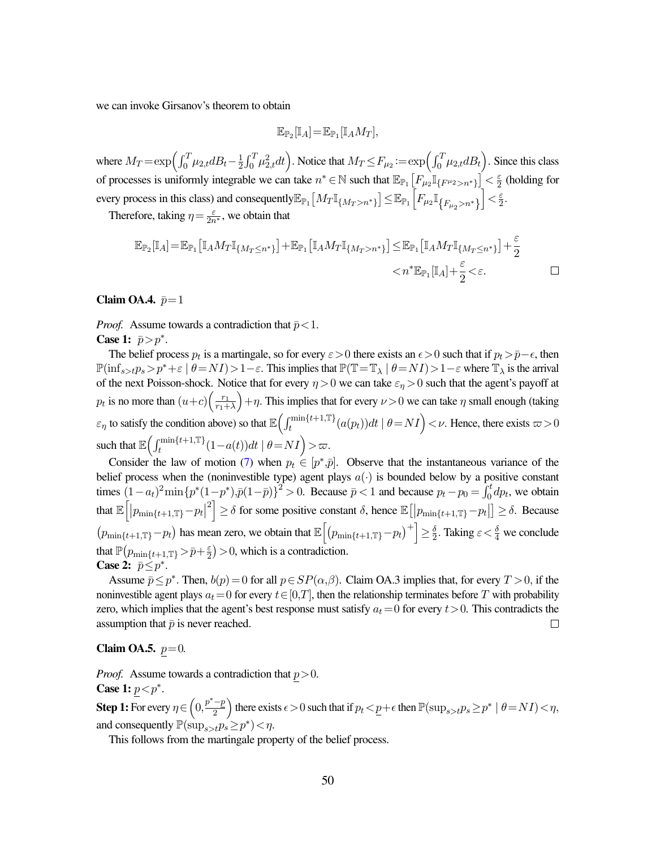we can invoke Girsanov's theorem to obtain

$$
\mathbb{E}_{\mathbb{P}_2}[\mathbb{I}_A] = \mathbb{E}_{\mathbb{P}_1}[\mathbb{I}_A M_T],
$$

where  $M_T = \exp\left(\int_0^T \mu_{2,t} dB_t - \frac{1}{2}\right)$  $\frac{1}{2} \int_0^T \mu_{2,t}^2 dt$ . Notice that  $M_T \le F_{\mu_2} := \exp\left(\int_0^T \mu_{2,t} dB_t\right)$ . Since this class of processes is uniformly integrable we can take  $n^* \in \mathbb{N}$  such that  $\mathbb{E}_{\mathbb{P}_1} \left[ F_{\mu_2} \mathbb{I}_{\{F^{\mu_2} > n^*\}} \right] < \frac{\varepsilon}{2}$  $\frac{\varepsilon}{2}$  (holding for every process in this class) and consequently $\mathbb{E}_{\mathbb{P}_1}\big[M_T \mathbb{I}_{\{M_T>n^*\}}\big] \leq \mathbb{E}_{\mathbb{P}_1}\Big[F_{\mu_2}\mathbb{I}_{\{F_{\mu_2}>n^*\}}\Big]$  $\Big\vert < \frac{\varepsilon}{2}$  $\frac{\varepsilon}{2}$ .

Therefore, taking  $\eta = \frac{\varepsilon}{2n^*}$ , we obtain that

$$
\mathbb{E}_{\mathbb{P}_2}[\mathbb{I}_A] = \mathbb{E}_{\mathbb{P}_1} \left[ \mathbb{I}_A M_T \mathbb{I}_{\{M_T \le n^* \}} \right] + \mathbb{E}_{\mathbb{P}_1} \left[ \mathbb{I}_A M_T \mathbb{I}_{\{M_T > n^* \}} \right] \le \mathbb{E}_{\mathbb{P}_1} \left[ \mathbb{I}_A M_T \mathbb{I}_{\{M_T \le n^* \}} \right] + \frac{\varepsilon}{2} < \varepsilon.
$$

#### Claim OA.4.  $\bar{p}=1$

*Proof.* Assume towards a contradiction that  $\bar{p}$  < 1.

Case 1:  $\bar{p} > p^*$ .

The belief process  $p_t$  is a martingale, so for every  $\varepsilon > 0$  there exists an  $\epsilon > 0$  such that if  $p_t > \bar{p}-\epsilon$ , then  $\mathbb{P}(\inf_{s>t} p_s > p^* + \varepsilon \mid \theta = NI) > 1-\varepsilon$ . This implies that  $\mathbb{P}(\mathbb{T}=\mathbb{T}_\lambda \mid \theta = NI) > 1-\varepsilon$  where  $\mathbb{T}_\lambda$  is the arrival of the next Poisson-shock. Notice that for every  $\eta > 0$  we can take  $\varepsilon_{\eta} > 0$  such that the agent's payoff at  $p_t$  is no more than  $(u+c)\left(\frac{r_1}{r_1+c}\right)$  $r_1+\lambda$  $(+\eta)$ . This implies that for every  $\nu > 0$  we can take  $\eta$  small enough (taking  $\varepsilon_{\eta}$  to satisfy the condition above) so that  $\mathbb{E}\left(\int_{t}^{\min\{t+1,\mathbb{T}\}}(a(p_t))dt \mid \theta = NI\right) < \nu$ . Hence, there exists  $\varpi > 0$ such that  $\mathbb{E}\left(\int_t^{\min\{t+1,\mathbb{T}\}}(1-a(t))dt \mid \theta = NI\right) > \varpi$ .

Consider the law of motion [\(7\)](#page-15-1) when  $p_t \in [p^*, \bar{p}]$ . Observe that the instantaneous variance of the belief process when the (noninvestible type) agent plays  $a(\cdot)$  is bounded below by a positive constant times  $(1-a_t)^2 \min \{p^*(1-p^*), \bar{p}(1-\bar{p})\}^2 > 0$ . Because  $\bar{p} < 1$  and because  $p_t - p_0 = \int_0^t dp_t$ , we obtain that  $\mathbb{E}\Big[|p_{\min\{t+1,\mathbb{T}\}}\!-\!p_t|$  $\mathbb{E}^2$  ≥  $\delta$  for some positive constant  $\delta$ , hence  $\mathbb{E} [ |p_{\min\{t+1,\mathbb{T}\}} - p_t| ] \geq \delta$ . Because  $(p_{\min\{t+1,\mathbb{T}\}}-p_t)$  has mean zero, we obtain that  $\mathbb{E}\left[\left(p_{\min\{t+1,\mathbb{T}\}}-p_t\right)^+\right] \geq \frac{\delta}{2}$  $\frac{\delta}{2}$ . Taking  $\varepsilon < \frac{\delta}{4}$  we conclude that  $\mathbb{P}(p_{\min\{t+1,\mathbb{T}\}}\!>\!\bar{p}\!+\!\frac{\varepsilon}{2})$  $\left(\frac{\varepsilon}{2}\right)$  > 0, which is a contradiction. Case 2:  $\bar{p} \leq p^*$ .

Assume  $\bar{p} \le p^*$ . Then,  $b(p) = 0$  for all  $p \in SP(\alpha, \beta)$ . Claim OA.3 implies that, for every  $T > 0$ , if the noninvestible agent plays  $a_t=0$  for every  $t\in[0,T]$ , then the relationship terminates before T with probability zero, which implies that the agent's best response must satisfy  $a_t=0$  for every  $t>0$ . This contradicts the assumption that  $\bar{p}$  is never reached.  $\Box$ 

#### **Claim OA.5.**  $p=0$ .

*Proof.* Assume towards a contradiction that  $p > 0$ .

Case 1:  $p < p^*$ .

**Step 1:** For every  $\eta \in \left(0, \frac{p^* - p}{2}\right)$  $\frac{-p}{2}$  there exists  $\epsilon > 0$  such that if  $p_t < \underline{p} + \epsilon$  then  $\mathbb{P}(\sup_{s>t} p_s \ge p^* \mid \theta = NI) < \eta$ , and consequently  $\mathbb{P}(\sup_{s>t} p_s \geq p^*) < \eta$ .

This follows from the martingale property of the belief process.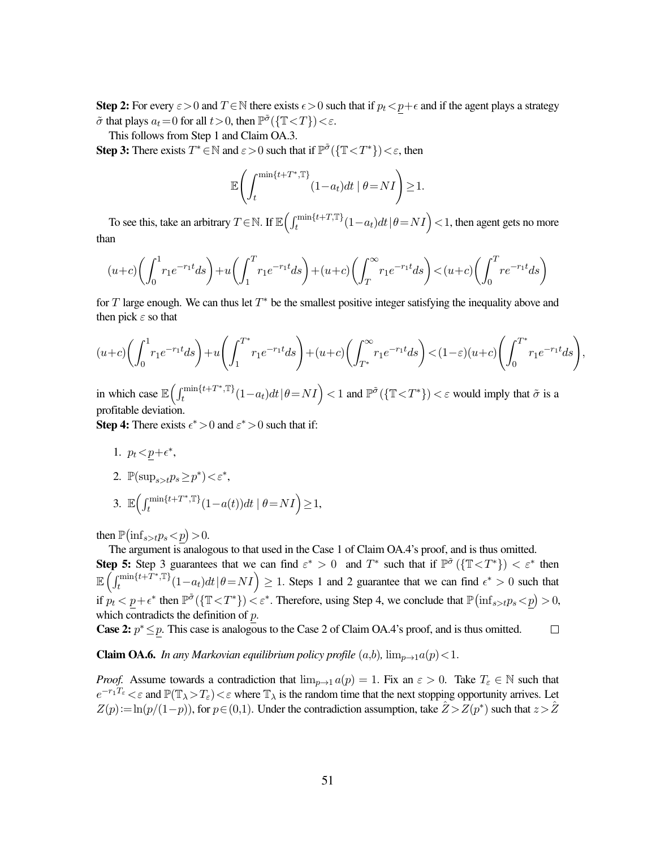Step 2: For every  $\varepsilon > 0$  and  $T \in \mathbb{N}$  there exists  $\epsilon > 0$  such that if  $p_t < p + \epsilon$  and if the agent plays a strategy  $\tilde{\sigma}$  that plays  $a_t = 0$  for all  $t > 0$ , then  $\mathbb{P}^{\tilde{\sigma}}(\{\mathbb{T} < T\}) < \varepsilon$ .

This follows from Step 1 and Claim OA.3.

**Step 3:** There exists  $T^* \in \mathbb{N}$  and  $\varepsilon > 0$  such that if  $\mathbb{P}^{\tilde{\sigma}}(\{\mathbb{T} < T^*\}) < \varepsilon$ , then

$$
\mathbb{E}\Biggl(\int_{t}^{\min\{t+T^*,\mathbb{T}\}} (1-a_t)dt\mid \theta = NI\Biggr) \geq 1.
$$

To see this, take an arbitrary  $T \in \mathbb{N}$ . If  $\mathbb{E}\Big(\int_t^{\min\{t+T,\mathbb{T}\}}(1-a_t)dt\,|\,\theta=NI\Big)<1,$  then agent gets no more than

$$
(u+c)\left(\int_0^1 r_1e^{-r_1t}ds\right)+u\left(\int_1^T r_1e^{-r_1t}ds\right)+(u+c)\left(\int_T^\infty r_1e^{-r_1t}ds\right) < (u+c)\left(\int_0^T r e^{-r_1t}ds\right)
$$

for T large enough. We can thus let  $T^*$  be the smallest positive integer satisfying the inequality above and then pick  $\varepsilon$  so that

$$
(u+c)\left(\int_0^1 r_1 e^{-r_1 t} ds\right) + u\left(\int_1^{T^*} r_1 e^{-r_1 t} ds\right) + (u+c)\left(\int_{T^*}^{\infty} r_1 e^{-r_1 t} ds\right) < (1-\varepsilon)(u+c)\left(\int_0^{T^*} r_1 e^{-r_1 t} ds\right),
$$

in which case  $\mathbb{E} \left( \int_t^{\min\{t+T^*,\mathbb{T}\}}$  $\sum_{t}^{\min\{t+T^*,\mathbb{T}\}}(1-a_t)dt\,|\,\theta\!=\!NI\Bigr)<1$  and  $\mathbb{P}^{\tilde{\sigma}}(\{\mathbb{T}<\!T^*\})<\varepsilon$  would imply that  $\tilde{\sigma}$  is a profitable deviation.

**Step 4:** There exists  $\epsilon^* > 0$  and  $\epsilon^* > 0$  such that if:

- 1.  $p_t < p + \epsilon^*$ ,
- 2.  $\mathbb{P}(\sup_{s>t} p_s \geq p^*) < \varepsilon^*$ ,
- 3.  $\mathbb{E} \left( \int_t \min\{t+T^*, \mathbb{T}\}\right)$  $t^{\min\{t+T^*,\mathbb{T}\}}(1-a(t))dt \mid \theta = NI$   $\geq$  1,

then  $\mathbb{P}(\inf_{s>t} p_s < p) > 0$ .

The argument is analogous to that used in the Case 1 of Claim OA.4's proof, and is thus omitted.

**Step 5:** Step 3 guarantees that we can find  $\varepsilon^* > 0$  and  $T^*$  such that if  $\mathbb{P}^{\tilde{\sigma}}(\{\mathbb{T} < T^*\}) < \varepsilon^*$  then  $\mathbb{E}\left(\int_t^{\min\{t+T^*,\mathbb{T}\}}$  $\sum_{t}^{\min\{t+T^*,\mathbb{T}\}}(1-a_t)dt\,|\,\theta=NI\Big)\geq 1.$  Steps 1 and 2 guarantee that we can find  $\epsilon^*>0$  such that if  $p_t < p + \epsilon^*$  then  $\mathbb{P}^{\tilde{\sigma}}(\{\mathbb{T} < T^*\}) < \varepsilon^*$ . Therefore, using Step 4, we conclude that  $\mathbb{P}(\inf_{s>t} p_s < p) > 0$ , which contradicts the definition of p.

**Case 2:**  $p^* \leq p$ . This case is analogous to the Case 2 of Claim OA.4's proof, and is thus omitted.  $\Box$ 

**Claim OA.6.** *In any Markovian equilibrium policy profile*  $(a,b)$ ,  $\lim_{p\to 1} a(p) < 1$ .

*Proof.* Assume towards a contradiction that  $\lim_{p\to 1} a(p) = 1$ . Fix an  $\varepsilon > 0$ . Take  $T_{\varepsilon} \in \mathbb{N}$  such that  $e^{-r_1T_\varepsilon} < \varepsilon$  and  $\mathbb{P}(\mathbb{T}_\lambda > T_\varepsilon) < \varepsilon$  where  $\mathbb{T}_\lambda$  is the random time that the next stopping opportunity arrives. Let  $Z(p) := \ln(p/(1-p))$ , for  $p \in (0,1)$ . Under the contradiction assumption, take  $\mathcal{Z} > Z(p^*)$  such that  $z > \mathcal{Z}$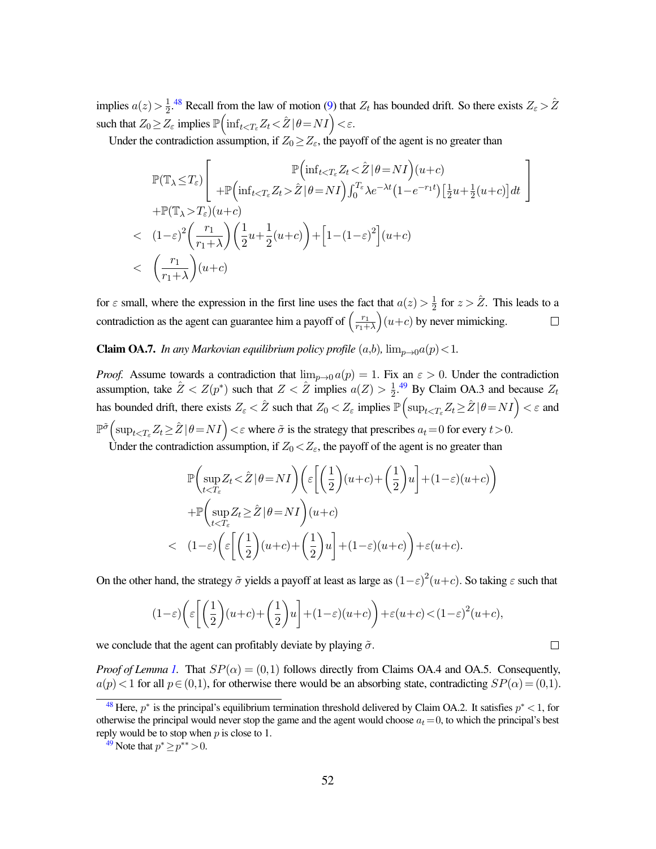implies  $a(z) > \frac{1}{2}$  $\frac{1}{2}$ .<sup>[48](#page-52-0)</sup> Recall from the law of motion [\(9\)](#page-30-5) that  $Z_t$  has bounded drift. So there exists  $Z_{\varepsilon} > \hat{Z}$ such that  $Z_0 \geq Z_\varepsilon$  implies  $\mathbb{P}\left(\inf_{t < T_\varepsilon} Z_t \! < \! \hat{Z} \,|\, \theta\!=\! N I\right) \! < \! \varepsilon.$ 

<span id="page-52-2"></span>Under the contradiction assumption, if  $Z_0 \geq Z_{\varepsilon}$ , the payoff of the agent is no greater than

$$
\mathbb{P}(\mathbb{T}_{\lambda} \leq T_{\varepsilon}) \Bigg[ + \mathbb{P}\Big(\inf_{t < T_{\varepsilon}} Z_t < \hat{Z} \mid \theta = NI\Big)(u+c) \n+ \mathbb{P}(\mathbb{T}_{\lambda} \leq T_{\varepsilon}) \Big( u+c) \n+ \mathbb{P}(\mathbb{T}_{\lambda} > T_{\varepsilon})(u+c) \n< (1-\varepsilon)^2 \Big( \frac{r_1}{r_1+\lambda} \Big) \Big( \frac{1}{2}u + \frac{1}{2}(u+c) \Big) + \Big[ 1 - (1-\varepsilon)^2 \Big](u+c) \n< \Big( \frac{r_1}{r_1+\lambda} \Big)(u+c)
$$

for  $\varepsilon$  small, where the expression in the first line uses the fact that  $a(z) > \frac{1}{2}$  $\frac{1}{2}$  for  $z > \hat{Z}$ . This leads to a contradiction as the agent can guarantee him a payoff of  $\left(\frac{r_1}{r_1+1}\right)$  $(u+c)$  by never mimicking.  $\Box$  $\overline{r_1+\lambda}$ 

**Claim OA.7.** *In any Markovian equilibrium policy profile*  $(a,b)$ ,  $\lim_{p\to 0} a(p) < 1$ .

*Proof.* Assume towards a contradiction that  $\lim_{p\to 0} a(p) = 1$ . Fix an  $\varepsilon > 0$ . Under the contradiction assumption, take  $\hat{Z} < Z(p^*)$  such that  $Z < \hat{Z}$  implies  $a(Z) > \frac{1}{2}$  $\frac{1}{2}$ .<sup>[49](#page-52-1)</sup> By Claim OA.3 and because  $Z_t$ has bounded drift, there exists  $Z_\varepsilon < \hat{Z}$  such that  $Z_0 < Z_\varepsilon$  implies  $\mathbb{P}\Bigl(\sup_{t < T_\varepsilon} Z_t \geq \hat{Z} \,|\, \theta\!=\!NI\Bigr) < \varepsilon$  and  $\mathbb{P}^{\tilde{\sigma}}\Big(\sup_{t\leq T_{\varepsilon}}Z_t\geq \hat{Z}\,\vert\,\theta=NI\Big)<\varepsilon$  where  $\tilde{\sigma}$  is the strategy that prescribes  $a_t=0$  for every  $t>0$ .

Under the contradiction assumption, if  $Z_0 < Z_{\varepsilon}$ , the payoff of the agent is no greater than

<span id="page-52-3"></span>
$$
\mathbb{P}\left(\sup_{t< (1-\varepsilon)\left(\varepsilon \left[ \left(\frac{1}{2}\right)(u+c) + \left(\frac{1}{2}\right)u\right] + (1-\varepsilon)(u+c)\right) + \varepsilon(u+c).
$$

On the other hand, the strategy  $\tilde{\sigma}$  yields a payoff at least as large as  $(1-\varepsilon)^2(u+c)$ . So taking  $\varepsilon$  such that

$$
(1-\varepsilon)\left(\varepsilon\left[\left(\frac{1}{2}\right)(u+c) + \left(\frac{1}{2}\right)u\right] + (1-\varepsilon)(u+c)\right) + \varepsilon(u+c) < (1-\varepsilon)^2(u+c),
$$

we conclude that the agent can profitably deviate by playing  $\tilde{\sigma}$ .

*Proof of Lemma [1.](#page-10-2)* That  $SP(\alpha) = (0,1)$  follows directly from Claims OA.4 and OA.5. Consequently,  $a(p)$  < 1 for all  $p \in (0,1)$ , for otherwise there would be an absorbing state, contradicting  $SP(\alpha) = (0,1)$ .

 $\Box$ 

<span id="page-52-0"></span><sup>&</sup>lt;sup>[48](#page-52-2)</sup> Here,  $p^*$  is the principal's equilibrium termination threshold delivered by Claim OA.2. It satisfies  $p^*$  < 1, for otherwise the principal would never stop the game and the agent would choose  $a_t = 0$ , to which the principal's best reply would be to stop when  $p$  is close to 1.

<span id="page-52-1"></span><sup>&</sup>lt;sup>[49](#page-52-3)</sup> Note that  $p^* \ge p^{**} > 0$ .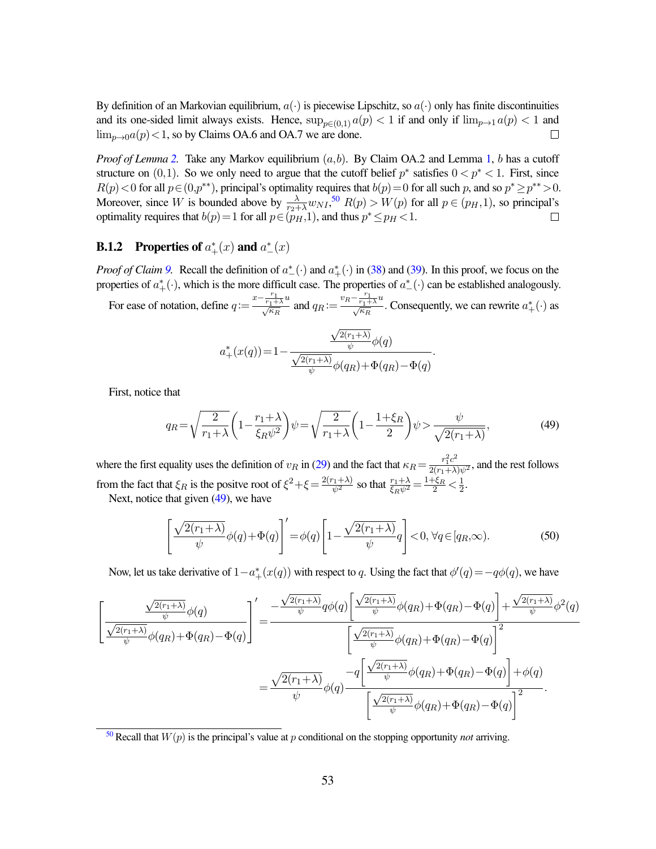By definition of an Markovian equilibrium,  $a(\cdot)$  is piecewise Lipschitz, so  $a(\cdot)$  only has finite discontinuities and its one-sided limit always exists. Hence,  $\sup_{p\in(0,1)} a(p) < 1$  if and only if  $\lim_{p\to 1} a(p) < 1$  and  $\lim_{p\to 0}a(p)<1$ , so by Claims OA.6 and OA.7 we are done.  $\Box$ 

*Proof of Lemma* [2.](#page-15-2) Take any Markov equilibrium  $(a,b)$ . By Claim OA.2 and Lemma [1,](#page-10-2) b has a cutoff structure on  $(0,1)$ . So we only need to argue that the cutoff belief  $p^*$  satisfies  $0 < p^* < 1$ . First, since  $R(p) < 0$  for all  $p \in (0, p^{**})$ , principal's optimality requires that  $b(p) = 0$  for all such p, and so  $p^* \ge p^{**} > 0$ . Moreover, since W is bounded above by  $\frac{\lambda}{r_2 + \lambda} w_{NI}$ ,<sup>[50](#page-53-0)</sup>  $R(p) > W(p)$  for all  $p \in (p_H, 1)$ , so principal's optimality requires that  $b(p) = 1$  for all  $p \in (p_H, 1)$ , and thus  $p^* \leq p_H < 1$ .

# **B.1.2** Properties of  $a^*_+(x)$  and  $a^*_-(x)$

*Proof of Claim [9.](#page-37-4)* Recall the definition of  $a^*_{-}(\cdot)$  and  $a^*_{+}(\cdot)$  in [\(38\)](#page-37-1) and [\(39\)](#page-37-2). In this proof, we focus on the properties of  $a^*_+(\cdot)$ , which is the more difficult case. The properties of  $a^*_{-}(\cdot)$  can be established analogously.

For ease of notation, define  $q := \frac{x - \frac{r_1}{r_1 + \lambda}u}{\sqrt{\kappa_R}}$  and  $q_R := \frac{v_R - \frac{r_1}{r_1 + \lambda}u}{\sqrt{\kappa_R}}$ . Consequently, we can rewrite  $a^*_+(\cdot)$  as

<span id="page-53-2"></span>
$$
a_{+}^{*}(x(q)) = 1 - \frac{\frac{\sqrt{2(r_{1}+\lambda)}}{\psi}\phi(q)}{\frac{\sqrt{2(r_{1}+\lambda)}}{\psi}\phi(q_{R}) + \Phi(q_{R}) - \Phi(q)}
$$

First, notice that

<span id="page-53-1"></span>
$$
q_R = \sqrt{\frac{2}{r_1 + \lambda}} \left( 1 - \frac{r_1 + \lambda}{\xi_R \psi^2} \right) \psi = \sqrt{\frac{2}{r_1 + \lambda}} \left( 1 - \frac{1 + \xi_R}{2} \right) \psi > \frac{\psi}{\sqrt{2(r_1 + \lambda)}},\tag{49}
$$

.

where the first equality uses the definition of  $v_R$  in [\(29\)](#page-36-1) and the fact that  $\kappa_R = \frac{r_1^2 c^2}{2(r_1 + \lambda)\psi^2}$ , and the rest follows from the fact that  $\xi_R$  is the positve root of  $\xi^2 + \xi = \frac{2(r_1 + \lambda)}{\psi^2}$  so that  $\frac{r_1 + \lambda}{\xi_R \psi^2} = \frac{1 + \xi_R}{2} < \frac{1}{2}$  $\frac{1}{2}$ .

Next, notice that given [\(49\)](#page-53-1), we have

<span id="page-53-3"></span>
$$
\left[\frac{\sqrt{2(r_1+\lambda)}}{\psi}\phi(q)+\Phi(q)\right]' = \phi(q)\left[1-\frac{\sqrt{2(r_1+\lambda)}}{\psi}q\right] < 0, \forall q \in [q_R,\infty).
$$
 (50)

Now, let us take derivative of  $1-a^*_+(x(q))$  with respect to q. Using the fact that  $\phi'(q) = -q\phi(q)$ , we have

$$
\left[\frac{\frac{\sqrt{2(r_1+\lambda)}}{\psi}\phi(q)}{\frac{\sqrt{2(r_1+\lambda)}}{\psi}\phi(q_R)+\Phi(q_R)-\Phi(q)}\right] = \frac{-\frac{\sqrt{2(r_1+\lambda)}}{\psi}q\phi(q)\left[\frac{\sqrt{2(r_1+\lambda)}}{\psi}\phi(q_R)+\Phi(q_R)-\Phi(q)\right]+\frac{\sqrt{2(r_1+\lambda)}}{\psi}\phi^2(q)}{\left[\frac{\sqrt{2(r_1+\lambda)}}{\psi}\phi(q_R)+\Phi(q_R)-\Phi(q)\right]^2}
$$

$$
=\frac{\sqrt{2(r_1+\lambda)}}{\psi}\phi(q)\frac{-q\left[\frac{\sqrt{2(r_1+\lambda)}}{\psi}\phi(q_R)+\Phi(q_R)-\Phi(q)\right]+\phi(q)}{\left[\frac{\sqrt{2(r_1+\lambda)}}{\psi}\phi(q_R)+\Phi(q_R)-\Phi(q)\right]^2}.
$$

<span id="page-53-0"></span> $50$  Recall that  $W(p)$  is the principal's value at p conditional on the stopping opportunity *not* arriving.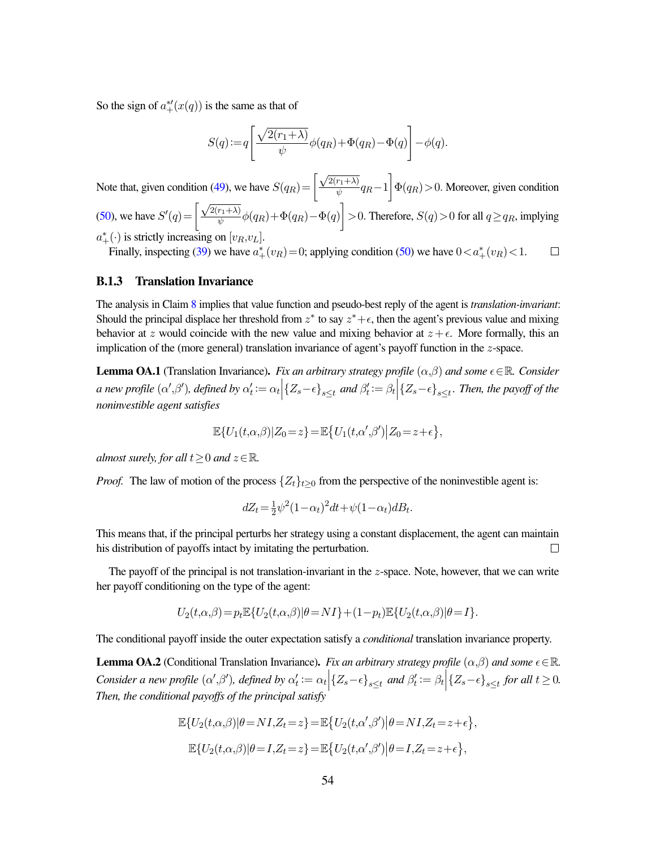So the sign of  $a^*_{+}(x(q))$  is the same as that of

$$
S(q) := q \left[ \frac{\sqrt{2(r_1 + \lambda)}}{\psi} \phi(q_R) + \Phi(q_R) - \Phi(q) \right] - \phi(q).
$$

Note that, given condition [\(49\)](#page-53-1), we have  $S(q_R) = \left[\frac{\sqrt{2(r_1+\lambda)}}{\sqrt{2(r_1+\lambda)}}\right]$  $\sqrt{\frac{r_1+\lambda}{\psi}}q_R-1\bigg]\Phi(q_R)$  > 0. Moreover, given condition [\(50\)](#page-53-3), we have  $S'(q) = \left[\frac{\sqrt{2(r_1+\lambda)}}{r} \right]$  $\frac{\overline{r_1+\lambda}}{\psi}\phi(q_R)+\Phi(q_R)-\Phi(q)\Big] > 0.$  Therefore,  $S(q) > 0$  for all  $q \ge q_R$ , implying  $a^*_+(\cdot)$  is strictly increasing on  $[v_R, v_L]$ .

Finally, inspecting [\(39\)](#page-37-2) we have  $a^*_{+}(v_R) = 0$ ; applying condition [\(50\)](#page-53-3) we have  $0 < a^*_{+}(v_R) < 1$ .  $\Box$ 

#### B.1.3 Translation Invariance

The analysis in Claim [8](#page-34-3) implies that value function and pseudo-best reply of the agent is *translation-invariant*: Should the principal displace her threshold from  $z^*$  to say  $z^* + \epsilon$ , then the agent's previous value and mixing behavior at z would coincide with the new value and mixing behavior at  $z + \epsilon$ . More formally, this an implication of the (more general) translation invariance of agent's payoff function in the z-space.

**Lemma OA.1** (Translation Invariance). *Fix an arbitrary strategy profile*  $(\alpha, \beta)$  *and some*  $\epsilon \in \mathbb{R}$ *. Consider a* new profile  $(\alpha', \beta')$ , defined by  $\alpha'_t := \alpha_t \Big| \{Z_s - \epsilon\}_{s \leq t}$  and  $\beta'_t := \beta_t \Big| \{Z_s - \epsilon\}_{s \leq t}$ . Then, the payoff of the *noninvestible agent satisfies*

$$
\mathbb{E}\{U_1(t,\alpha,\beta)|Z_0=z\}=\mathbb{E}\big\{U_1(t,\alpha',\beta')\big|Z_0=z+\epsilon\big\},\
$$

*almost surely, for all*  $t > 0$  *and*  $z \in \mathbb{R}$ *.* 

*Proof.* The law of motion of the process  $\{Z_t\}_{t\geq 0}$  from the perspective of the noninvestible agent is:

$$
dZ_t = \frac{1}{2}\psi^2(1-\alpha_t)^2dt + \psi(1-\alpha_t)dB_t.
$$

This means that, if the principal perturbs her strategy using a constant displacement, the agent can maintain his distribution of payoffs intact by imitating the perturbation.  $\Box$ 

The payoff of the principal is not translation-invariant in the  $z$ -space. Note, however, that we can write her payoff conditioning on the type of the agent:

$$
U_2(t,\alpha,\beta) = p_t \mathbb{E}\{U_2(t,\alpha,\beta)|\theta = NI\} + (1-p_t)\mathbb{E}\{U_2(t,\alpha,\beta)|\theta = I\}.
$$

The conditional payoff inside the outer expectation satisfy a *conditional* translation invariance property.

**Lemma OA.2** (Conditional Translation Invariance). *Fix an arbitrary strategy profile*  $(\alpha, \beta)$  *and some*  $\epsilon \in \mathbb{R}$ . *Consider a new profile*  $(\alpha', \beta')$ *, defined by*  $\alpha'_t := \alpha_t | \{Z_s - \epsilon\}_{s \leq t}$  and  $\beta'_t := \beta_t | \{Z_s - \epsilon\}_{s \leq t}$  for all  $t \geq 0$ . *Then, the conditional payoffs of the principal satisfy*

$$
\mathbb{E}\{U_2(t,\alpha,\beta)|\theta = NI, Z_t = z\} = \mathbb{E}\{U_2(t,\alpha',\beta')|\theta = NI, Z_t = z + \epsilon\},
$$
  

$$
\mathbb{E}\{U_2(t,\alpha,\beta)|\theta = I, Z_t = z\} = \mathbb{E}\{U_2(t,\alpha',\beta')|\theta = I, Z_t = z + \epsilon\},
$$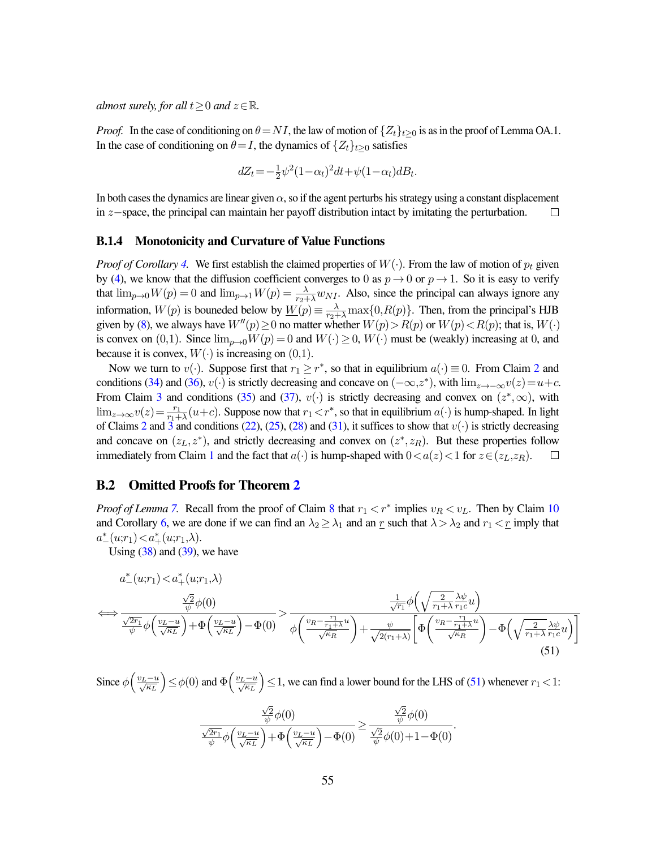*almost surely, for all*  $t \geq 0$  *and*  $z \in \mathbb{R}$ *.* 

*Proof.* In the case of conditioning on  $\theta = NI$ , the law of motion of  $\{Z_t\}_{t>0}$  is as in the proof of Lemma OA.1. In the case of conditioning on  $\theta = I$ , the dynamics of  $\{Z_t\}_{t\geq 0}$  satisfies

$$
dZ_t = -\frac{1}{2}\psi^2(1-\alpha_t)^2dt + \psi(1-\alpha_t)dB_t.
$$

In both cases the dynamics are linear given  $\alpha$ , so if the agent perturbs his strategy using a constant displacement in z−space, the principal can maintain her payoff distribution intact by imitating the perturbation.  $\Box$ 

#### B.1.4 Monotonicity and Curvature of Value Functions

*Proof of Corollary* [4.](#page-39-0) We first establish the claimed properties of  $W(\cdot)$ . From the law of motion of  $p_t$  given by [\(4\)](#page-14-2), we know that the diffusion coefficient converges to 0 as  $p \to 0$  or  $p \to 1$ . So it is easy to verify that  $\lim_{p\to 0} W(p) = 0$  and  $\lim_{p\to 1} W(p) = \frac{\lambda}{r_2 + \lambda} w_{NI}$ . Also, since the principal can always ignore any information,  $W(p)$  is bouneded below by  $\underline{W}(p) \equiv \frac{\lambda}{r_2 + \lambda} \max\{0, R(p)\}\.$  Then, from the principal's HJB given by [\(8\)](#page-16-2), we always have  $W''(p) \ge 0$  no matter whether  $W(p) > R(p)$  or  $W(p) < R(p)$ ; that is,  $W(\cdot)$ is convex on (0,1). Since  $\lim_{p\to 0} W(p) = 0$  and  $W(\cdot) \ge 0$ ,  $W(\cdot)$  must be (weakly) increasing at 0, and because it is convex,  $W(\cdot)$  is increasing on  $(0,1)$ .

Now we turn to  $v(\cdot)$ . Suppose first that  $r_1 \geq r^*$ , so that in equilibrium  $a(\cdot) \equiv 0$ . From Claim [2](#page-31-9) and conditions [\(34\)](#page-36-2) and [\(36\)](#page-36-5),  $v(\cdot)$  is strictly decreasing and concave on  $(-\infty, z^*)$ , with  $\lim_{z\to -\infty} v(z) = u+c$ . From Claim [3](#page-31-10) and conditions [\(35\)](#page-36-6) and [\(37\)](#page-36-3),  $v(\cdot)$  is strictly decreasing and convex on  $(z^*, \infty)$ , with  $\lim_{z\to\infty} v(z) = \frac{r_1}{r_1 + \lambda} (u+c)$ . Suppose now that  $r_1 < r^*$ , so that in equilibrium  $a(\cdot)$  is hump-shaped. In light of Claims [2](#page-31-9) and [3](#page-31-10) and conditions [\(22\)](#page-35-0), [\(25\)](#page-35-4), [\(28\)](#page-35-5) and [\(31\)](#page-36-7), it suffices to show that  $v(\cdot)$  is strictly decreasing and concave on  $(z_L, z^*)$ , and strictly decreasing and convex on  $(z^*, z_R)$ . But these properties follow immediately from Claim [1](#page-30-6) and the fact that  $a(\cdot)$  is hump-shaped with  $0 < a(z) < 1$  for  $z \in (z_L, z_R)$ .  $\Box$ 

#### B.2 Omitted Proofs for Theorem [2](#page-18-0)

*Proof of Lemma* [7.](#page-42-1) Recall from the proof of Claim [8](#page-34-3) that  $r_1 < r^*$  implies  $v_R < v_L$ . Then by Claim [10](#page-42-2) and Corollary [6,](#page-41-2) we are done if we can find an  $\lambda_2 \geq \lambda_1$  and an r such that  $\lambda > \lambda_2$  and  $r_1 < r$  imply that  $a_{-}^{*}(u;r_{1}) < a_{+}^{*}(u;r_{1},\lambda).$ 

Using  $(38)$  and  $(39)$ , we have

$$
a_{-}^{*}(u;r_{1}) < a_{+}^{*}(u;r_{1},\lambda)
$$
\n
$$
\iff \frac{\frac{\sqrt{2}}{\psi}\phi(0)}{\frac{\sqrt{2r_{1}}}{\psi}\phi\left(\frac{v_{L}-u}{\sqrt{\kappa_{L}}}\right)+\Phi\left(\frac{v_{L}-u}{\sqrt{\kappa_{L}}}\right)-\Phi(0)} > \frac{\frac{1}{\sqrt{r_{1}}}\phi\left(\sqrt{\frac{2}{r_{1}+\lambda}}\frac{\lambda\psi}{r_{1}c}u\right)}{\phi\left(\frac{v_{R}-\frac{r_{1}}{r_{1}+\lambda}u}{\sqrt{\kappa_{R}}}\right)+\frac{\psi}{\sqrt{2(r_{1}+\lambda)}}\left[\Phi\left(\frac{v_{R}-\frac{r_{1}}{r_{1}+\lambda}u}{\sqrt{\kappa_{R}}}\right)-\Phi\left(\sqrt{\frac{2}{r_{1}+\lambda}}\frac{\lambda\psi}{r_{1}c}u\right)\right]} (51)
$$

Since  $\phi\left(\frac{v_L-u}{\sqrt{\kappa_L}}\right)$  $\sum \phi(0)$  and  $\Phi\left(\frac{v_L - u}{\sqrt{\kappa_L}}\right)$  $\log(51)$  $\log(51)$  we can find a lower bound for the LHS of (51) whenever  $r_1 < 1$ :

<span id="page-55-0"></span>
$$
\frac{\frac{\sqrt{2}}{\psi}\phi(0)}{\frac{\sqrt{2}r_1}{\psi}\phi\left(\frac{v_L-u}{\sqrt{\kappa_L}}\right)+\Phi\left(\frac{v_L-u}{\sqrt{\kappa_L}}\right)-\Phi(0)} \ge \frac{\frac{\sqrt{2}}{\psi}\phi(0)}{\frac{\sqrt{2}}{\psi}\phi(0)+1-\Phi(0)}.
$$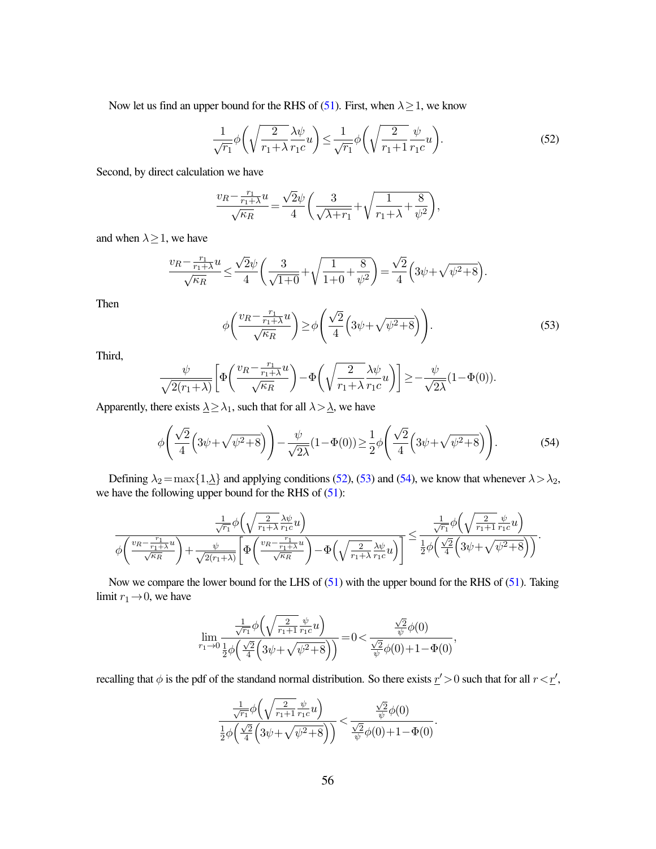Now let us find an upper bound for the RHS of [\(51\)](#page-55-0). First, when  $\lambda \geq 1$ , we know

<span id="page-56-0"></span>
$$
\frac{1}{\sqrt{r_1}}\phi\left(\sqrt{\frac{2}{r_1+\lambda}}\frac{\lambda\psi}{r_1c}u\right) \le \frac{1}{\sqrt{r_1}}\phi\left(\sqrt{\frac{2}{r_1+1}}\frac{\psi}{r_1c}u\right). \tag{52}
$$

Second, by direct calculation we have

$$
\frac{v_R-\frac{r_1}{r_1+\lambda}u}{\sqrt{\kappa_R}}=\frac{\sqrt{2}\psi}{4}\bigg(\frac{3}{\sqrt{\lambda+r_1}}+\sqrt{\frac{1}{r_1+\lambda}+\frac{8}{\psi^2}}\bigg),
$$

and when  $\lambda \geq 1$ , we have

$$
\frac{v_R - \frac{r_1}{r_1 + \lambda}u}{\sqrt{\kappa_R}} \le \frac{\sqrt{2}\psi}{4}\bigg(\frac{3}{\sqrt{1 + 0}} + \sqrt{\frac{1}{1 + 0} + \frac{8}{\psi^2}}\bigg) = \frac{\sqrt{2}}{4}\bigg(3\psi + \sqrt{\psi^2 + 8}\bigg).
$$

Then

<span id="page-56-1"></span>
$$
\phi\left(\frac{v_R - \frac{r_1}{r_1 + \lambda}u}{\sqrt{\kappa_R}}\right) \ge \phi\left(\frac{\sqrt{2}}{4}\left(3\psi + \sqrt{\psi^2 + 8}\right)\right). \tag{53}
$$

Third,

$$
\frac{\psi}{\sqrt{2(r_1+\lambda)}}\bigg[\Phi\bigg(\frac{v_R-\frac{r_1}{r_1+\lambda}u}{\sqrt{\kappa_R}}\bigg)-\Phi\bigg(\sqrt{\frac{2}{r_1+\lambda}}\frac{\lambda\psi}{r_1c}u\bigg)\bigg]\geq-\frac{\psi}{\sqrt{2\lambda}}(1-\Phi(0)).
$$

Apparently, there exists  $\lambda \geq \lambda_1$ , such that for all  $\lambda > \lambda$ , we have

<span id="page-56-2"></span>
$$
\phi\left(\frac{\sqrt{2}}{4}\left(3\psi+\sqrt{\psi^2+8}\right)\right)-\frac{\psi}{\sqrt{2\lambda}}(1-\Phi(0))\geq\frac{1}{2}\phi\left(\frac{\sqrt{2}}{4}\left(3\psi+\sqrt{\psi^2+8}\right)\right). \tag{54}
$$

Defining  $\lambda_2 = \max\{1,\lambda\}$  and applying conditions [\(52\)](#page-56-0), [\(53\)](#page-56-1) and [\(54\)](#page-56-2), we know that whenever  $\lambda > \lambda_2$ , we have the following upper bound for the RHS of [\(51\)](#page-55-0):

$$
\frac{\frac{1}{\sqrt{r_1}}\phi\left(\sqrt{\frac{2}{r_1+\lambda}}\frac{\lambda\psi}{r_1c}u\right)}{\phi\left(\frac{v_R-\frac{r_1}{r_1+\lambda}u}{\sqrt{\kappa_R}}\right)+\frac{\psi}{\sqrt{2(r_1+\lambda)}}\left[\Phi\left(\frac{v_R-\frac{r_1}{r_1+\lambda}u}{\sqrt{\kappa_R}}\right)-\Phi\left(\sqrt{\frac{2}{r_1+\lambda}}\frac{\lambda\psi}{r_1c}u\right)\right]}\leq \frac{\frac{1}{\sqrt{r_1}}\phi\left(\sqrt{\frac{2}{r_1+\lambda}}\frac{\psi}{r_1c}u\right)}{\frac{1}{2}\phi\left(\frac{\sqrt{2}}{4}\left(3\psi+\sqrt{\psi^2+8}\right)\right)}.
$$

Now we compare the lower bound for the LHS of  $(51)$  with the upper bound for the RHS of  $(51)$ . Taking limit  $r_1 \rightarrow 0$ , we have

$$
\lim_{r_1\to 0} \frac{\frac{1}{\sqrt{r_1}}\phi\Bigl(\sqrt{\frac{2}{r_1+1}}\frac{\psi }{r_1c}u\Bigr)}{\frac{1}{2}\phi\Bigl(\frac{\sqrt{2}}{4}\Bigl(3\psi +\sqrt{\psi^2+8}\Bigr)\Bigr)}\!=\!0\!<\!\frac{\frac{\sqrt{2}}{\psi}\phi(0)}{\frac{\sqrt{2}}{\psi}\phi(0)+1-\Phi(0)},
$$

recalling that  $\phi$  is the pdf of the standand normal distribution. So there exists  $r' > 0$  such that for all  $r < r'$ ,

$$
\frac{\frac{1}{\sqrt{r_1}}\phi\left(\sqrt{\frac{2}{r_1+1}}\frac{\psi}{r_1c}u\right)}{\frac{1}{2}\phi\left(\frac{\sqrt{2}}{4}\left(3\psi+\sqrt{\psi^2+8}\right)\right)}<\frac{\frac{\sqrt{2}}{\psi}\phi(0)}{\frac{\sqrt{2}}{\psi}\phi(0)+1-\Phi(0)}.
$$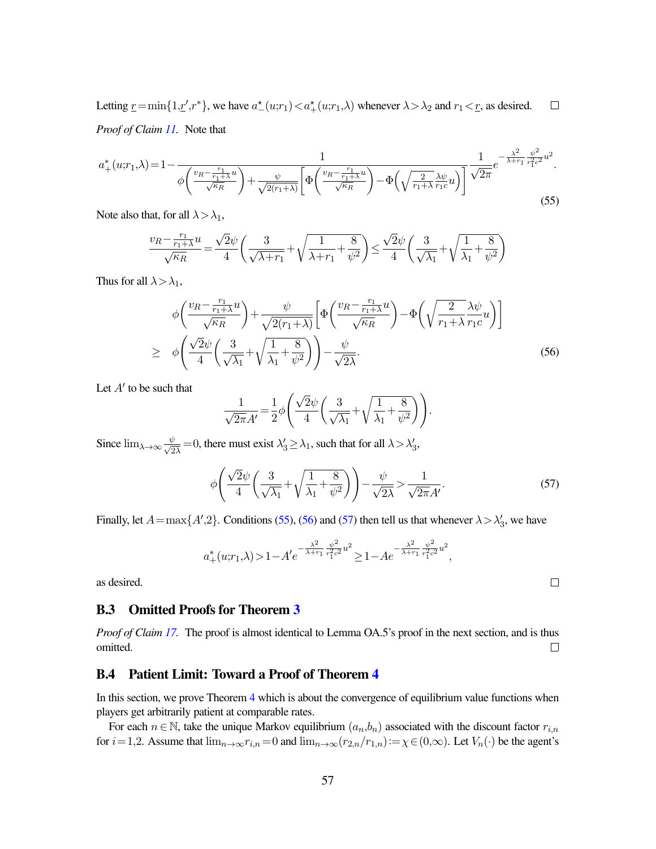Letting  $\underline{r} = \min\{1,\underline{r}',r^*\}$ , we have  $a^*(u;r_1) < a^*(u;r_1,\lambda)$  whenever  $\lambda > \lambda_2$  and  $r_1 < \underline{r}$ , as desired.  $\Box$ *Proof of Claim [11.](#page-43-0)* Note that

<span id="page-57-2"></span>
$$
a_{+}^{*}(u;r_{1},\lambda) = 1 - \frac{1}{\phi\left(\frac{v_{R} - \frac{r_{1}}{r_{1} + \lambda}u}{\sqrt{\kappa_{R}}}\right) + \frac{\psi}{\sqrt{2(r_{1} + \lambda)}} \left[\Phi\left(\frac{v_{R} - \frac{r_{1}}{r_{1} + \lambda}u}{\sqrt{\kappa_{R}}}\right) - \Phi\left(\sqrt{\frac{2}{r_{1} + \lambda}}\frac{\lambda\psi}{r_{1}c}u\right)\right]} \frac{1}{\sqrt{2\pi}}e^{-\frac{\lambda^{2}}{\lambda + r_{1}}\frac{\psi^{2}}{r_{1}^{2}c^{2}}u^{2}}.
$$
\n(55)

Note also that, for all  $\lambda > \lambda_1$ ,

$$
\frac{v_R-\frac{r_1}{r_1+\lambda}u}{\sqrt{\kappa_R}}=\frac{\sqrt{2}\psi}{4}\bigg(\frac{3}{\sqrt{\lambda+r_1}}+\sqrt{\frac{1}{\lambda+r_1}+\frac{8}{\psi^2}}\bigg)\leq \frac{\sqrt{2}\psi}{4}\bigg(\frac{3}{\sqrt{\lambda_1}}+\sqrt{\frac{1}{\lambda_1}+\frac{8}{\psi^2}}\bigg)
$$

Thus for all  $\lambda > \lambda_1$ ,

$$
\phi\left(\frac{v_R - \frac{r_1}{r_1 + \lambda}u}{\sqrt{\kappa_R}}\right) + \frac{\psi}{\sqrt{2(r_1 + \lambda)}} \left[\Phi\left(\frac{v_R - \frac{r_1}{r_1 + \lambda}u}{\sqrt{\kappa_R}}\right) - \Phi\left(\sqrt{\frac{2}{r_1 + \lambda}}\frac{\lambda\psi}{r_1 c}u\right)\right]
$$
\n
$$
\geq \phi\left(\frac{\sqrt{2}\psi}{4}\left(\frac{3}{\sqrt{\lambda_1}} + \sqrt{\frac{1}{\lambda_1} + \frac{8}{\psi^2}}\right)\right) - \frac{\psi}{\sqrt{2\lambda}}.\tag{56}
$$

Let  $A'$  to be such that

$$
\frac{1}{\sqrt{2\pi}A'} = \frac{1}{2}\phi \left( \frac{\sqrt{2}\psi}{4} \left( \frac{3}{\sqrt{\lambda_1}} + \sqrt{\frac{1}{\lambda_1} + \frac{8}{\psi^2}} \right) \right).
$$

Since  $\lim_{\lambda \to \infty} \frac{\psi}{\sqrt{2\lambda}} = 0$ , there must exist  $\lambda'_3 \ge \lambda_1$ , such that for all  $\lambda > \lambda'_3$ ,

<span id="page-57-4"></span>
$$
\phi\left(\frac{\sqrt{2}\psi}{4}\left(\frac{3}{\sqrt{\lambda_1}}+\sqrt{\frac{1}{\lambda_1}+\frac{8}{\psi^2}}\right)\right)-\frac{\psi}{\sqrt{2\lambda}}>\frac{1}{\sqrt{2\pi}A'}.\tag{57}
$$

Finally, let  $A = \max\{A', 2\}$ . Conditions [\(55\)](#page-57-2), [\(56\)](#page-57-3) and [\(57\)](#page-57-4) then tell us that whenever  $\lambda > \lambda'_3$ , we have

$$
a_{+}^{*}(u;r_{1},\lambda) > 1 - A' e^{-\frac{\lambda^{2}}{\lambda + r_{1}}\frac{\psi^{2}}{r_{1}^{2}c^{2}}u^{2}} \geq 1 - A e^{-\frac{\lambda^{2}}{\lambda + r_{1}}\frac{\psi^{2}}{r_{1}^{2}c^{2}}u^{2}},
$$

as desired.

### <span id="page-57-0"></span>B.3 Omitted Proofs for Theorem [3](#page-20-0)

*Proof of Claim [17.](#page-45-0)* The proof is almost identical to Lemma OA.5's proof in the next section, and is thus omitted.  $\Box$ 

### <span id="page-57-1"></span>B.4 Patient Limit: Toward a Proof of Theorem [4](#page-26-0)

In this section, we prove Theorem [4](#page-26-0) which is about the convergence of equilibrium value functions when players get arbitrarily patient at comparable rates.

For each  $n \in \mathbb{N}$ , take the unique Markov equilibrium  $(a_n, b_n)$  associated with the discount factor  $r_{i,n}$ for  $i=1,2$ . Assume that  $\lim_{n\to\infty}r_{i,n}=0$  and  $\lim_{n\to\infty}(r_{2,n}/r_{1,n}):=\chi\in(0,\infty)$ . Let  $V_n(\cdot)$  be the agent's

<span id="page-57-3"></span> $\Box$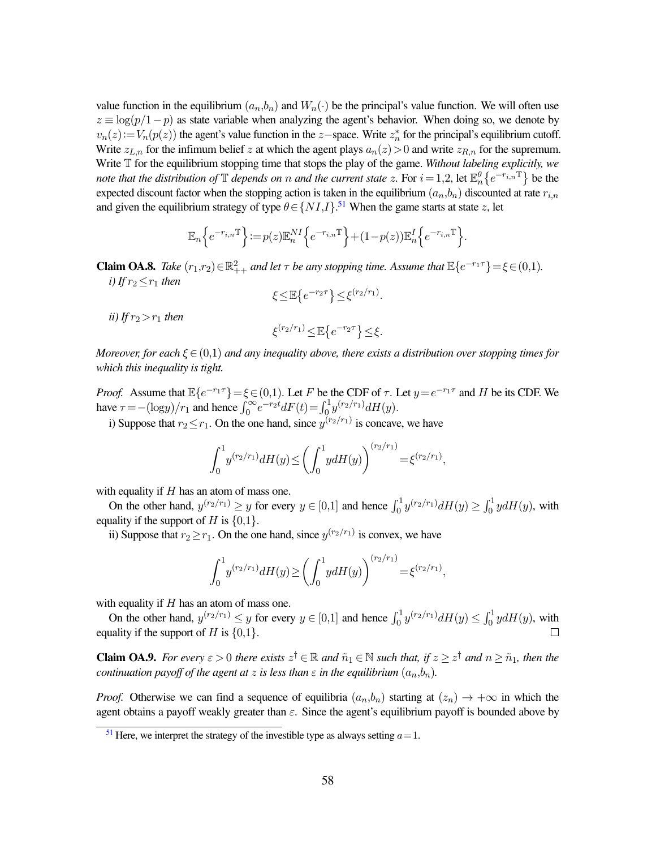value function in the equilibrium  $(a_n, b_n)$  and  $W_n(\cdot)$  be the principal's value function. We will often use  $z \equiv \log(p/1-p)$  as state variable when analyzing the agent's behavior. When doing so, we denote by  $v_n(z) := V_n(p(z))$  the agent's value function in the z-space. Write  $z_n^*$  for the principal's equilibrium cutoff. Write  $z_{L,n}$  for the infimum belief z at which the agent plays  $a_n(z) > 0$  and write  $z_{R,n}$  for the supremum. Write T for the equilibrium stopping time that stops the play of the game. *Without labeling explicitly, we* note that the distribution of  $\mathbb T$  depends on n and the current state z. For  $i = 1, 2$ , let  $\mathbb E_n^{\theta} \{e^{-r_{i,n}\mathbb T}\}$  be the expected discount factor when the stopping action is taken in the equilibrium  $(a_n,b_n)$  discounted at rate  $r_{i,n}$ and given the equilibrium strategy of type  $\theta \in \{NI,I\}$ .<sup>[51](#page-58-0)</sup> When the game starts at state z, let

$$
\mathbb{E}_n\Big\{e^{-r_{i,n}\mathbb{T}}\Big\} \!:=\! p(z)\mathbb{E}_n^{NI}\Big\{e^{-r_{i,n}\mathbb{T}}\Big\}\!+\!(1\!-\!p(z))\mathbb{E}_n^I\Big\{e^{-r_{i,n}\mathbb{T}}\Big\}.
$$

**Claim OA.8.** *Take*  $(r_1,r_2) \in \mathbb{R}^2_{++}$  *and let*  $\tau$  *be any stopping time. Assume that*  $\mathbb{E}\lbrace e^{-r_1\tau}\rbrace = \xi \in (0,1)$ *. i*) If  $r_2 \leq r_1$  *then* 

<span id="page-58-1"></span>
$$
\xi \leq \mathbb{E}\left\{e^{-r_2\tau}\right\} \leq \xi^{(r_2/r_1)}.
$$

*ii*) If  $r_2 > r_1$  *then* 

$$
\xi^{(r_2/r_1)} \leq \mathbb{E}\left\{e^{-r_2\tau}\right\} \leq \xi.
$$

*Moreover, for each* ξ∈(0,1) *and any inequality above, there exists a distribution over stopping times for which this inequality is tight.*

*Proof.* Assume that  $\mathbb{E}\{e^{-r_1\tau}\} = \xi \in (0,1)$ . Let F be the CDF of  $\tau$ . Let  $y = e^{-r_1\tau}$  and H be its CDF. We have  $\tau = -(\log y)/r_1$  and hence  $\int_0^\infty e^{-r_2t} dF(t) = \int_0^1 y^{(r_2/r_1)} dH(y)$ .

i) Suppose that  $r_2 \le r_1$ . On the one hand, since  $y^{(r_2/r_1)}$  is concave, we have

$$
\int_0^1 y^{(r_2/r_1)} dH(y) \le \left(\int_0^1 y dH(y)\right)^{(r_2/r_1)} = \xi^{(r_2/r_1)},
$$

with equality if  $H$  has an atom of mass one.

On the other hand,  $y^{(r_2/r_1)} \ge y$  for every  $y \in [0,1]$  and hence  $\int_0^1 y^{(r_2/r_1)} dH(y) \ge \int_0^1 y dH(y)$ , with equality if the support of H is  $\{0,1\}$ .

ii) Suppose that  $r_2 \ge r_1$ . On the one hand, since  $y^{(r_2/r_1)}$  is convex, we have

$$
\int_0^1 y^{(r_2/r_1)} dH(y) \ge \left(\int_0^1 y dH(y)\right)^{(r_2/r_1)} = \xi^{(r_2/r_1)},
$$

with equality if  $H$  has an atom of mass one.

On the other hand,  $y^{(r_2/r_1)} \leq y$  for every  $y \in [0,1]$  and hence  $\int_0^1 y^{(r_2/r_1)} dH(y) \leq \int_0^1 y dH(y)$ , with equality if the support of H is  $\{0,1\}$ .  $\Box$ 

**Claim OA.9.** For every  $\varepsilon > 0$  there exists  $z^{\dagger} \in \mathbb{R}$  and  $\tilde{n}_1 \in \mathbb{N}$  such that, if  $z \geq z^{\dagger}$  and  $n \geq \tilde{n}_1$ , then the *continuation payoff of the agent at* z *is less than*  $\varepsilon$  *in the equilibrium*  $(a_n, b_n)$ *.* 

*Proof.* Otherwise we can find a sequence of equilibria  $(a_n, b_n)$  starting at  $(z_n) \to +\infty$  in which the agent obtains a payoff weakly greater than  $\varepsilon$ . Since the agent's equilibrium payoff is bounded above by

<span id="page-58-0"></span><sup>&</sup>lt;sup>[51](#page-58-1)</sup> Here, we interpret the strategy of the investible type as always setting  $a=1$ .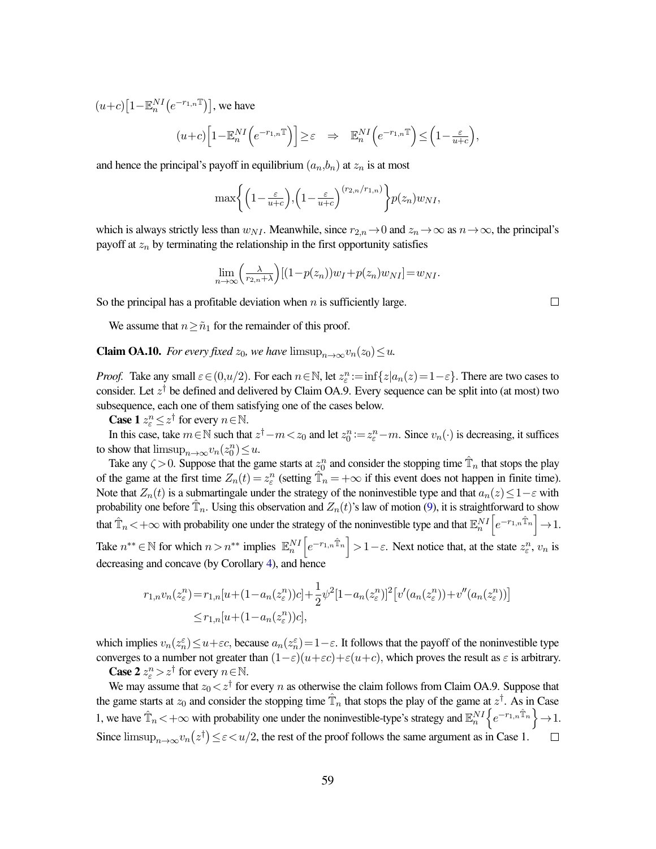$(u+c)\left[1-\mathbb{E}_{n}^{NI}\left(e^{-r_{1,n}\mathbb{T}}\right)\right]$ , we have

$$
(u+c)\Big[1-\mathbb{E}_n^{NI}\Big(e^{-r_{1,n}\mathbb{T}}\Big)\Big]\geq \varepsilon\quad \Rightarrow \quad \mathbb{E}_n^{NI}\Big(e^{-r_{1,n}\mathbb{T}}\Big)\leq \Big(1-\tfrac{\varepsilon}{u+c}\Big),
$$

and hence the principal's payoff in equilibrium  $(a_n, b_n)$  at  $z_n$  is at most

$$
\max\left\{\left(1-\frac{\varepsilon}{u+c}\right),\left(1-\frac{\varepsilon}{u+c}\right)^{(r_{2,n}/r_{1,n})}\right\}p(z_n)w_{NI},
$$

which is always strictly less than  $w_{NI}$ . Meanwhile, since  $r_{2,n} \to 0$  and  $z_n \to \infty$  as  $n \to \infty$ , the principal's payoff at  $z_n$  by terminating the relationship in the first opportunity satisfies

$$
\lim_{n \to \infty} \left( \frac{\lambda}{r_{2,n} + \lambda} \right) \left[ (1 - p(z_n)) w_I + p(z_n) w_{NI} \right] = w_{NI}.
$$

So the principal has a profitable deviation when  $n$  is sufficiently large.

We assume that  $n \geq \tilde{n}_1$  for the remainder of this proof.

**Claim OA.10.** *For every fixed*  $z_0$ *, we have*  $\limsup_{n\to\infty}v_n(z_0)\leq u$ *.* 

*Proof.* Take any small  $\varepsilon \in (0, u/2)$ . For each  $n \in \mathbb{N}$ , let  $z_{\varepsilon}^n := \inf\{z | a_n(z) = 1 - \varepsilon\}$ . There are two cases to consider. Let  $z^{\dagger}$  be defined and delivered by Claim OA.9. Every sequence can be split into (at most) two subsequence, each one of them satisfying one of the cases below.

**Case 1**  $z_{\varepsilon}^n \leq z^{\dagger}$  for every  $n \in \mathbb{N}$ .

In this case, take  $m \in \mathbb{N}$  such that  $z^{\dagger} - m < z_0$  and let  $z_0^n := z_{\varepsilon}^n - m$ . Since  $v_n(\cdot)$  is decreasing, it suffices to show that  $\limsup_{n\to\infty}v_n(z_0^n)\leq u$ .

Take any  $\zeta > 0$ . Suppose that the game starts at  $z_0^n$  and consider the stopping time  $\hat{\mathbb{T}}_n$  that stops the play of the game at the first time  $Z_n(t) = z_\varepsilon^n$  (setting  $\hat{T}_n = +\infty$  if this event does not happen in finite time). Note that  $Z_n(t)$  is a submartingale under the strategy of the noninvestible type and that  $a_n(z) \leq 1-\varepsilon$  with probability one before  $\hat{\mathbb{T}}_n$ . Using this observation and  $Z_n(t)$ 's law of motion [\(9\)](#page-30-5), it is straightforward to show that  $\hat{\mathbb{T}}_n$  <  $+\infty$  with probability one under the strategy of the noninvestible type and that  $\mathbb{E}_n^{NI}\left[e^{-r_{1,n}\hat{\mathbb{T}}_n}\right] \to 1$ . Take  $n^{**} \in \mathbb{N}$  for which  $n > n^{**}$  implies  $\mathbb{E}_n^{NI}\left[e^{-r_{1,n}\hat{\mathbb{T}}_n}\right] > 1 - \varepsilon$ . Next notice that, at the state  $z_{\varepsilon}^n$ ,  $v_n$  is decreasing and concave (by Corollary [4\)](#page-39-0), and hence

$$
r_{1,n}v_n(z_{\varepsilon}^n) = r_{1,n}[u + (1 - a_n(z_{\varepsilon}^n))c] + \frac{1}{2}\psi^2[1 - a_n(z_{\varepsilon}^n)]^2[v'(a_n(z_{\varepsilon}^n)) + v''(a_n(z_{\varepsilon}^n))]
$$
  

$$
\leq r_{1,n}[u + (1 - a_n(z_{\varepsilon}^n))c],
$$

which implies  $v_n(z_n^{\varepsilon}) \le u + \varepsilon c$ , because  $a_n(z_n^{\varepsilon}) = 1 - \varepsilon$ . It follows that the payoff of the noninvestible type converges to a number not greater than  $(1-\varepsilon)(u+\varepsilon c)+\varepsilon(u+c)$ , which proves the result as  $\varepsilon$  is arbitrary.

**Case 2**  $z_{\varepsilon}^n > z^{\dagger}$  for every  $n \in \mathbb{N}$ .

We may assume that  $z_0 \lt z^{\dagger}$  for every n as otherwise the claim follows from Claim OA.9. Suppose that the game starts at  $z_0$  and consider the stopping time  $\hat{\mathbb{T}}_n$  that stops the play of the game at  $z^{\dagger}$ . As in Case 1, we have  $\hat{\mathbb{T}}_n < +\infty$  with probability one under the noninvestible-type's strategy and  $\mathbb{E}_n^{NI} \Big\{ e^{-r_{1,n} \hat{\mathbb{T}}_n} \Big\} \to 1$ . Since  $\limsup_{n\to\infty}v_n(z^{\dagger})\leq \varepsilon < u/2$ , the rest of the proof follows the same argument as in Case 1.  $\Box$ 

 $\Box$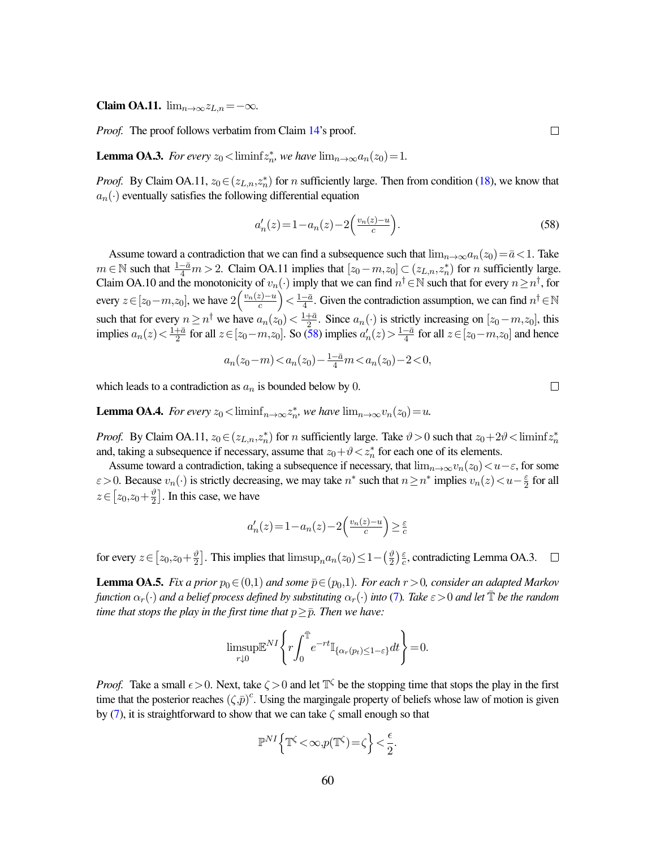Claim OA.11.  $\lim_{n\to\infty}z_{L,n}=-\infty$ .

*Proof.* The proof follows verbatim from Claim [14'](#page-45-2)s proof.

**Lemma OA.3.** For every  $z_0 <$  liminf $z_n^*$ , we have  $\lim_{n\to\infty} a_n(z_0) = 1$ .

*Proof.* By Claim OA.11,  $z_0 \in (z_{L,n}, z_n^*)$  for n sufficiently large. Then from condition [\(18\)](#page-32-3), we know that  $a_n(\cdot)$  eventually satisfies the following differential equation

<span id="page-60-0"></span>
$$
a'_n(z) = 1 - a_n(z) - 2\left(\frac{v_n(z) - u}{c}\right).
$$
\n(58)

Assume toward a contradiction that we can find a subsequence such that  $\lim_{n\to\infty}a_n(z_0)=\bar{a}<1$ . Take  $m \in \mathbb{N}$  such that  $\frac{1-\bar{a}}{4}m > 2$ . Claim OA.11 implies that  $[z_0-m, z_0] \subset (z_{L,n}, z_n^*)$  for *n* sufficiently large. Claim OA.10 and the monotonicity of  $v_n(\cdot)$  imply that we can find  $n^{\dagger} \in \mathbb{N}$  such that for every  $n \geq n^{\dagger}$ , for every  $z \in [z_0 - m, z_0]$ , we have  $2\left(\frac{v_n(z) - u}{c}\right)$  $\left(\frac{z}{c}\right)$   $\lt \frac{1-\bar{a}}{4}$  $\frac{-\bar{a}}{4}$ . Given the contradiction assumption, we can find  $n^{\dagger} \in \mathbb{N}$ such that for every  $n \geq n^{\dagger}$  we have  $a_n(z_0) < \frac{1+\overline{a}}{2}$  $\frac{1}{2}$ . Since  $a_n(\cdot)$  is strictly increasing on  $[z_0-m,z_0]$ , this implies  $a_n(z) < \frac{1+\bar{a}}{2}$  $\frac{1}{2}$  for all  $z \in [z_0 - m, z_0]$ . So [\(58\)](#page-60-0) implies  $a'_n(z) > \frac{1-\bar{a}}{4}$  $\frac{-\bar{a}}{4}$  for all  $z \in [z_0-m, z_0]$  and hence

$$
a_n(z_0 - m) < a_n(z_0) - \frac{1 - \bar{a}}{4}m < a_n(z_0) - 2 < 0,
$$

which leads to a contradiction as  $a_n$  is bounded below by 0.

**Lemma OA.4.** For every  $z_0 < \liminf_{n \to \infty} z_n^*$ , we have  $\lim_{n \to \infty} v_n(z_0) = u$ .

*Proof.* By Claim OA.11,  $z_0 \in (z_{L,n}, z_n^*)$  for *n* sufficiently large. Take  $\vartheta > 0$  such that  $z_0 + 2\vartheta < \liminf z_n^*$ and, taking a subsequence if necessary, assume that  $z_0 + \vartheta < z_n^*$  for each one of its elements.

Assume toward a contradiction, taking a subsequence if necessary, that  $\lim_{n\to\infty}v_n(z_0)\lt u-\varepsilon$ , for some  $\varepsilon > 0$ . Because  $v_n(\cdot)$  is strictly decreasing, we may take  $n^*$  such that  $n \geq n^*$  implies  $v_n(z) < u - \frac{\varepsilon}{2}$  $rac{\varepsilon}{2}$  for all  $z \in \left[z_0, z_0 + \frac{\vartheta}{2}\right]$  $\frac{\vartheta}{2}$ . In this case, we have

$$
a'_n(z) = 1 - a_n(z) - 2\left(\frac{v_n(z) - u}{c}\right) \ge \frac{\varepsilon}{c}
$$

for every  $z \in [z_0, z_0 + \frac{\vartheta}{2}]$  $\frac{\vartheta}{2}$ . This implies that  $\limsup_{n} a_n(z_0) \leq 1 - (\frac{\vartheta}{2})$  $\frac{\vartheta}{2}$ ) $\frac{\varepsilon}{c}$  $\frac{\varepsilon}{c}$ , contradicting Lemma OA.3.  $\Box$ 

**Lemma OA.5.** *Fix a prior*  $p_0 \in (0,1)$  *and some*  $\bar{p} \in (p_0,1)$ *. For each*  $r > 0$ *, consider an adapted Markov function*  $\alpha_r(\cdot)$  *and a belief process defined by substituting*  $\alpha_r(\cdot)$  *into* [\(7\)](#page-15-1). Take  $\varepsilon > 0$  *and let*  $\mathbb{T}$  *be the random time that stops the play in the first time that*  $p \geq \overline{p}$ *. Then we have:* 

$$
\limsup_{r\downarrow 0} \mathbb{E}^{NI} \left\{ r \int_0^{\bar{\mathbb{T}}} e^{-rt} \mathbb{I}_{\{\alpha_r(p_t)\leq 1-\varepsilon\}} dt \right\} = 0.
$$

*Proof.* Take a small  $\epsilon > 0$ . Next, take  $\zeta > 0$  and let  $\mathbb{T}^{\zeta}$  be the stopping time that stops the play in the first time that the posterior reaches  $(\zeta,\bar{p})^c$ . Using the margingale property of beliefs whose law of motion is given by [\(7\)](#page-15-1), it is straightforward to show that we can take  $\zeta$  small enough so that

$$
\mathbb{P}^{NI}\Big\{\mathbb{T}^\zeta\!<\!\infty,\!p(\mathbb{T}^\zeta)\!=\!\zeta\Big\}\!<\!\frac{\epsilon}{2}.
$$

 $\Box$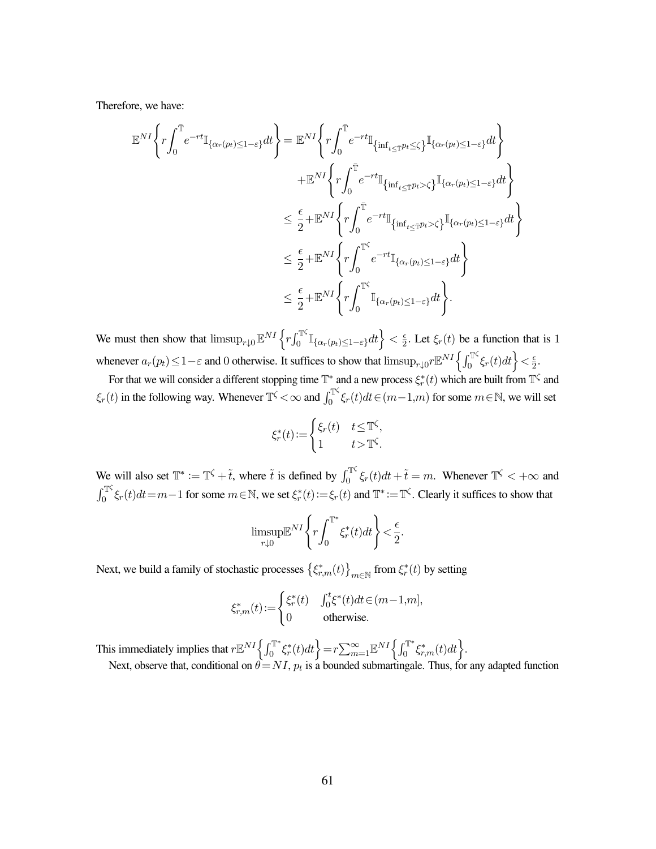Therefore, we have:

$$
\mathbb{E}^{NI}\left\{r\int_{0}^{\overline{\mathbb{T}}}e^{-rt}\mathbb{I}_{\{\alpha_{r}(p_{t})\leq1-\varepsilon\}}dt\right\}=\mathbb{E}^{NI}\left\{r\int_{0}^{\overline{\mathbb{T}}}e^{-rt}\mathbb{I}_{\{\inf_{t\leq\overline{\mathbb{T}}}p_{t}\leq\zeta\}}\mathbb{I}_{\{\alpha_{r}(p_{t})\leq1-\varepsilon\}}dt\right\}\n+\mathbb{E}^{NI}\left\{r\int_{0}^{\overline{\mathbb{T}}}e^{-rt}\mathbb{I}_{\{\inf_{t\leq\overline{\mathbb{T}}}p_{t}>\zeta\}}\mathbb{I}_{\{\alpha_{r}(p_{t})\leq1-\varepsilon\}}dt\right\}\n\leq\frac{\epsilon}{2}+\mathbb{E}^{NI}\left\{r\int_{0}^{\overline{\mathbb{T}}}e^{-rt}\mathbb{I}_{\{\inf_{t\leq\overline{\mathbb{T}}}p_{t}>\zeta\}}\mathbb{I}_{\{\alpha_{r}(p_{t})\leq1-\varepsilon\}}dt\right\}\n\leq\frac{\epsilon}{2}+\mathbb{E}^{NI}\left\{r\int_{0}^{\overline{\mathbb{T}}'}e^{-rt}\mathbb{I}_{\{\alpha_{r}(p_{t})\leq1-\varepsilon\}}dt\right\}\n\leq\frac{\epsilon}{2}+\mathbb{E}^{NI}\left\{r\int_{0}^{\overline{\mathbb{T}}'}e^{-rt}\mathbb{I}_{\{\alpha_{r}(p_{t})\leq1-\varepsilon\}}dt\right\}\n\leq\frac{\epsilon}{2}+\mathbb{E}^{NI}\left\{r\int_{0}^{\overline{\mathbb{T}}'}\mathbb{I}_{\{\alpha_{r}(p_{t})\leq1-\varepsilon\}}dt\right\}.
$$

We must then show that  $\limsup_{r\downarrow 0}$   $\mathbb{E}^{NI}\left\{ r\int_{0}^{\mathbb{T}^{\zeta}}$  $\left\{ \sup_{0}^{T\zeta} \mathbb{I}_{\{\alpha_{r}(p_{t})\leq1-\varepsilon\}}dt\right\}<\frac{\varepsilon}{2}$  $\frac{\epsilon}{2}$ . Let  $\xi_r(t)$  be a function that is 1 whenever  $a_r(p_t) \leq 1 - \varepsilon$  and 0 otherwise. It suffices to show that  $\limsup_{r \downarrow 0} r \mathbb{E}^{NT} \left\{ \int_0^{T \zeta}$  $\left\{ \frac{1}{2} \sum_{i=1}^{n} \xi_i(t) dt \right\} < \frac{\epsilon}{2}$  $\frac{\epsilon}{2}$ .

For that we will consider a different stopping time  $\mathbb{T}^*$  and a new process  $\xi_r^*(t)$  which are built from  $\mathbb{T}^\zeta$  and  $\xi_r(t)$  in the following way. Whenever  $\mathbb{T}^{\zeta} < \infty$  and  $\int_0^{\mathbb{T}^{\zeta}}$  $\int_0^{\mathbb{T}^{\varsigma}} \xi_r(t) dt \in (m-1,m)$  for some  $m \in \mathbb{N}$ , we will set

$$
\xi_r^*(t) := \begin{cases} \xi_r(t) & t \leq \mathbb{T}^\zeta, \\ 1 & t > \mathbb{T}^\zeta. \end{cases}
$$

We will also set  $\mathbb{T}^* := \mathbb{T}^{\zeta} + \tilde{t}$ , where  $\tilde{t}$  is defined by  $\int_0^{\mathbb{T}^{\zeta}}$  $\int_0^{\pi\varsigma} \xi_r(t)dt + \tilde{t} = m$ . Whenever  $\mathbb{T}^{\varsigma} < +\infty$  and  $\int_{0}^{\mathbb{T}^{\zeta}}$  $\sum_{0}^{T\zeta} \xi_r(t)dt = m-1$  for some  $m \in \mathbb{N}$ , we set  $\xi_r^*(t) := \xi_r(t)$  and  $\mathbb{T}^* := \mathbb{T}^{\zeta}$ . Clearly it suffices to show that

$$
\underset{r \downarrow 0}{\text{limsup}} \mathbb{E}^{NI} \left\{ r \int_0^{\mathbb{T}^*} \xi_r^*(t) dt \right\} < \frac{\epsilon}{2}.
$$

Next, we build a family of stochastic processes  $\{\xi_{r,m}^*(t)\}_{m\in\mathbb{N}}$  from  $\xi_r^*(t)$  by setting

$$
\xi_{r,m}^*(t)\!:=\!\begin{cases} \xi_r^*(t) & \int_0^t\!\xi^*(t)dt\!\in\!(m\!-\!1\!,\!m],\\ 0 & \text{otherwise.} \end{cases}
$$

This immediately implies that  $r \mathbb{E}^{NI} \left\{ \int_0^{\mathbb{T}^*}$  $\left\{ \mathbf{r}^*_{0}\mathbf{r}^*(t)dt\right\} =r\sum_{m=1}^{\infty}\mathbb{E}^{NI}\left\{ \int_{0}^{\mathbb{T}^*}dt\right\}$  $\left\{ \mathbf{c}_{0}^{\mathbf{r}_{*}}\xi_{r,m}^{*}(t)dt\right\} .$ Next, observe that, conditional on  $\theta = NI$ ,  $p_t$  is a bounded submartingale. Thus, for any adapted function

61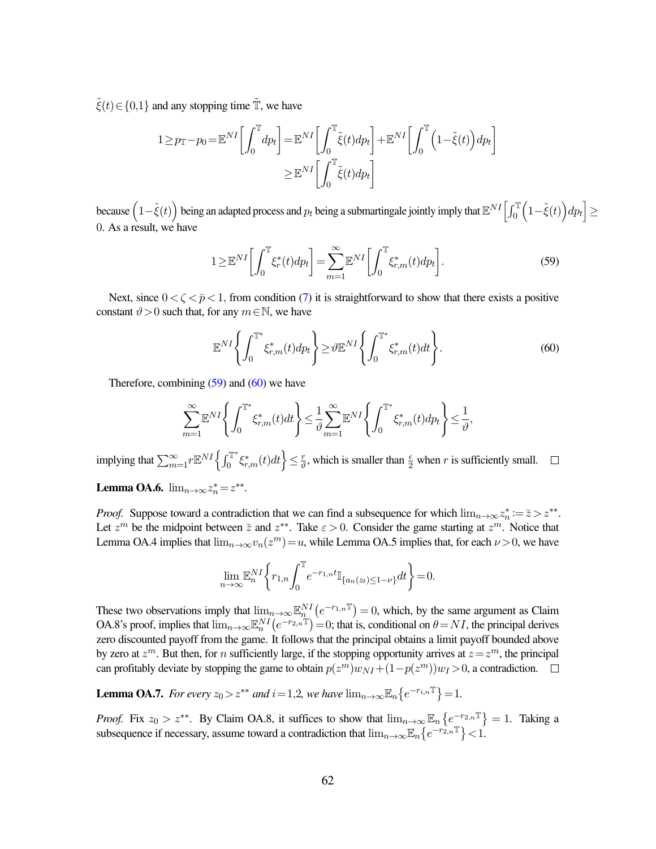$\tilde{\xi}(t) \in \{0,1\}$  and any stopping time  $\tilde{\mathbb{T}}$ , we have

$$
1 \ge p_{\mathbb{T}} - p_0 = \mathbb{E}^{NI} \left[ \int_0^{\mathbb{T}} dp_t \right] = \mathbb{E}^{NI} \left[ \int_0^{\mathbb{T}} \tilde{\xi}(t) dp_t \right] + \mathbb{E}^{NI} \left[ \int_0^{\mathbb{T}} \left( 1 - \tilde{\xi}(t) \right) dp_t \right]
$$

$$
\geq \mathbb{E}^{NI} \left[ \int_0^{\mathbb{T}} \tilde{\xi}(t) dp_t \right]
$$

because  $\left(1-\tilde{\xi}(t)\right)$  being an adapted process and  $p_t$  being a submartingale jointly imply that  $\mathbb{E}^{NI}\Big[\int_0^\mathbb{T}\Big(1-\tilde{\xi}(t)\Big)dp_t\Big]\geq 0$ 0. As a result, we have

<span id="page-62-0"></span>
$$
1 \geq \mathbb{E}^{NI} \left[ \int_0^{\mathbb{T}} \xi_r^*(t) dp_t \right] = \sum_{m=1}^{\infty} \mathbb{E}^{NI} \left[ \int_0^{\mathbb{T}} \xi_{r,m}^*(t) dp_t \right]. \tag{59}
$$

Next, since  $0 < \zeta < \bar{p} < 1$ , from condition [\(7\)](#page-15-1) it is straightforward to show that there exists a positive constant  $\vartheta > 0$  such that, for any  $m \in \mathbb{N}$ , we have

<span id="page-62-1"></span>
$$
\mathbb{E}^{NI}\left\{\int_0^{\mathbb{T}^*}\xi_{r,m}^*(t)dp_t\right\} \ge \vartheta \mathbb{E}^{NI}\left\{\int_0^{\mathbb{T}^*}\xi_{r,m}^*(t)dt\right\}.
$$
\n(60)

Therefore, combining  $(59)$  and  $(60)$  we have

$$
\sum_{m=1}^{\infty} \mathbb{E}^{NI} \left\{ \int_0^{\mathbb{T}^*} \xi^*_{r,m}(t) dt \right\} \leq \frac{1}{\vartheta} \sum_{m=1}^{\infty} \mathbb{E}^{NI} \left\{ \int_0^{\mathbb{T}^*} \xi^*_{r,m}(t) dp_t \right\} \leq \frac{1}{\vartheta},
$$

implying that  $\sum_{m=1}^{\infty} r \mathbb{E}^{NI} \left\{ \int_{0}^{\mathbb{T}^{*}}$  $\left\{\zeta_{r,m}^*(t)dt\right\}\leq \frac{r}{\vartheta}$  $\frac{r}{\vartheta}$ , which is smaller than  $\frac{\epsilon}{2}$  when r is sufficiently small.

**Lemma OA.6.**  $\lim_{n\to\infty} z_n^* = z^{**}$ .

*Proof.* Suppose toward a contradiction that we can find a subsequence for which  $\lim_{n\to\infty} z_n^* := \overline{z} > z^{**}$ . Let  $z^m$  be the midpoint between  $\overline{z}$  and  $z^{**}$ . Take  $\varepsilon > 0$ . Consider the game starting at  $z^m$ . Notice that Lemma OA.4 implies that  $\lim_{n\to\infty} v_n(z^m) = u$ , while Lemma OA.5 implies that, for each  $\nu > 0$ , we have

$$
\lim_{n\to\infty} \mathbb{E}_n^{NI} \bigg\{ r_{1,n} \int_0^{\mathbb{T}} e^{-r_{1,n}t} \mathbb{I}_{\{a_n(z_t)\leq 1-\nu\}} dt \bigg\} = 0.
$$

These two observations imply that  $\lim_{n\to\infty} \mathbb{E}_n^{NI} (e^{-r_1 n^T}) = 0$ , which, by the same argument as Claim OA.8's proof, implies that  $\lim_{n\to\infty} \mathbb{E}_n^{NI} (e^{-r_{2,n}\mathbb{T}}) = 0$ ; that is, conditional on  $\theta = NI$ , the principal derives zero discounted payoff from the game. It follows that the principal obtains a limit payoff bounded above by zero at  $z^m$ . But then, for n sufficiently large, if the stopping opportunity arrives at  $z=z^m$ , the principal can profitably deviate by stopping the game to obtain  $p(z^m)w_{NI} + (1-p(z^m))w_I > 0$ , a contradiction.

**Lemma OA.7.** For every  $z_0 > z^{**}$  and  $i = 1, 2$ , we have  $\lim_{n \to \infty} \mathbb{E}_n \{e^{-r_{i,n}\mathbb{T}}\} = 1$ .

*Proof.* Fix  $z_0 > z^{**}$ . By Claim OA.8, it suffices to show that  $\lim_{n\to\infty} \mathbb{E}_n\left\{e^{-r_{2,n}\mathbb{I}}\right\} = 1$ . Taking a subsequence if necessary, assume toward a contradiction that  $\lim_{n\to\infty} \mathbb{E}_n\left\{e^{-r_{2,n}\mathbb{T}}\right\} < 1$ .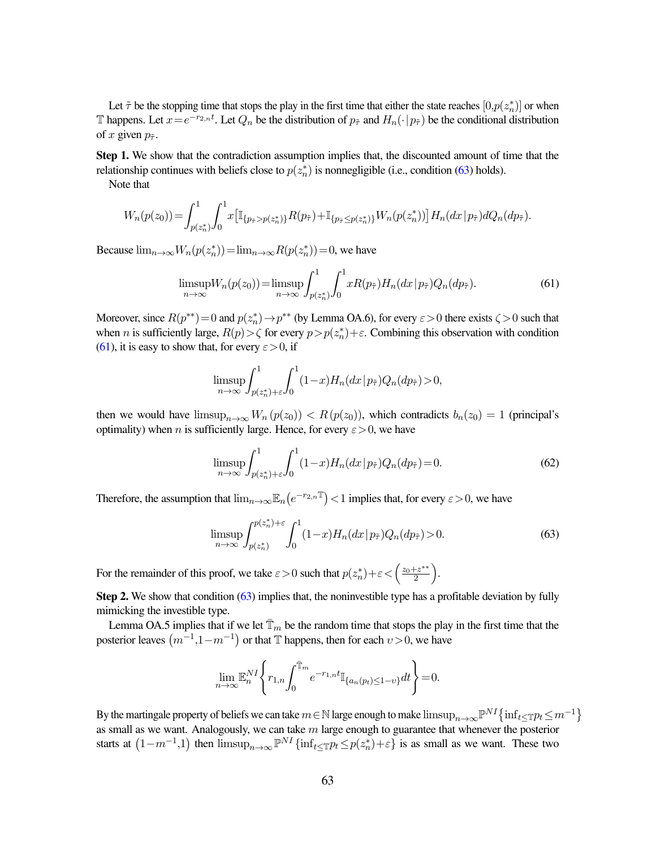Let  $\tilde{\tau}$  be the stopping time that stops the play in the first time that either the state reaches  $[0,p(z_n^*)]$  or when Thappens. Let  $x=e^{-r_{2,n}t}$ . Let  $Q_n$  be the distribution of  $p_{\tilde{\tau}}$  and  $H_n(\cdot|p_{\tilde{\tau}})$  be the conditional distribution of x given  $p_{\tilde{\tau}}$ .

Step 1. We show that the contradiction assumption implies that, the discounted amount of time that the relationship continues with beliefs close to  $p(z_n^*)$  is nonnegligible (i.e., condition [\(63\)](#page-63-0) holds).

Note that

$$
W_n(p(z_0)) = \int_{p(z_n^*)}^1 \int_0^1 x \big[ \mathbb{I}_{\{p_{\tilde{\tau}} > p(z_n^*)\}} R(p_{\tilde{\tau}}) + \mathbb{I}_{\{p_{\tilde{\tau}} \le p(z_n^*)\}} W_n(p(z_n^*)) \big] H_n(dx \, | \, p_{\tilde{\tau}}) dQ_n(dp_{\tilde{\tau}}).
$$

Because  $\lim_{n\to\infty} W_n(p(z_n^*)) = \lim_{n\to\infty} R(p(z_n^*)) = 0$ , we have

<span id="page-63-1"></span>
$$
\limsup_{n \to \infty} W_n(p(z_0)) = \limsup_{n \to \infty} \int_{p(z_n^*)}^1 \int_0^1 x R(p_{\tilde{\tau}}) H_n(dx | p_{\tilde{\tau}}) Q_n(dp_{\tilde{\tau}}).
$$
 (61)

Moreover, since  $R(p^{**}) = 0$  and  $p(z_n^*) \to p^{**}$  (by Lemma OA.6), for every  $\varepsilon > 0$  there exists  $\zeta > 0$  such that when *n* is sufficiently large,  $R(p) > \zeta$  for every  $p > p(z_n^*) + \varepsilon$ . Combining this observation with condition [\(61\)](#page-63-1), it is easy to show that, for every  $\varepsilon > 0$ , if

$$
\limsup_{n \to \infty} \int_{p(z_n^*)+\varepsilon}^{1} \int_0^1 (1-x) H_n(dx \, | \, p_{\tilde{\tau}}) Q_n(dy_{\tilde{\tau}}) > 0,
$$

then we would have  $\limsup_{n\to\infty} W_n(p(z_0)) < R(p(z_0))$ , which contradicts  $b_n(z_0) = 1$  (principal's optimality) when *n* is sufficiently large. Hence, for every  $\varepsilon > 0$ , we have

<span id="page-63-2"></span>
$$
\limsup_{n \to \infty} \int_{p(z_n^*) + \varepsilon}^{1} \int_0^1 (1 - x) H_n(dx \mid p_{\tilde{\tau}}) Q_n(dy_{\tilde{\tau}}) = 0. \tag{62}
$$

Therefore, the assumption that  $\lim_{n\to\infty} \mathbb{E}_n(e^{-r_{2,n}\mathbb{T}}) < 1$  implies that, for every  $\varepsilon > 0$ , we have

<span id="page-63-0"></span>
$$
\limsup_{n \to \infty} \int_{p(z_n^*)}^{p(z_n^*) + \varepsilon} \int_0^1 (1 - x) H_n(dx | p_{\tilde{\tau}}) Q_n(dy_{\tilde{\tau}}) > 0.
$$
 (63)

For the remainder of this proof, we take  $\varepsilon > 0$  such that  $p(z_n^*) + \varepsilon < \left(\frac{z_0 + z^{**}}{2}\right)$  $\frac{+z^{**}}{2}$ .

Step 2. We show that condition [\(63\)](#page-63-0) implies that, the noninvestible type has a profitable deviation by fully mimicking the investible type.

Lemma OA.5 implies that if we let  $\overline{T}_m$  be the random time that stops the play in the first time that the posterior leaves  $(m^{-1},1-m^{-1})$  or that T happens, then for each  $v > 0$ , we have

$$
\lim_{n\to\infty} \mathbb{E}_n^{NI} \Bigg\{ r_{1,n} \int_0^{\bar{\mathbb{T}}_m} e^{-r_{1,n}t} \mathbb{I}_{\{a_n(p_t)\leq 1-\upsilon\}} dt \Bigg\} = 0.
$$

By the martingale property of beliefs we can take  $m\in\mathbb{N}$  large enough to make  $\limsup_{n\to\infty}\mathbb{P}^{NI}\big\{\inf_{t\leq\mathbb{T}}p_t\leq m^{-1}\big\}$ as small as we want. Analogously, we can take  $m$  large enough to guarantee that whenever the posterior starts at  $(1-m^{-1},1)$  then  $\limsup_{n\to\infty} \mathbb{P}^{NI} \{\inf_{t\leq\mathbb{T}} p_t \leq p(z_n^*)+\varepsilon\}$  is as small as we want. These two